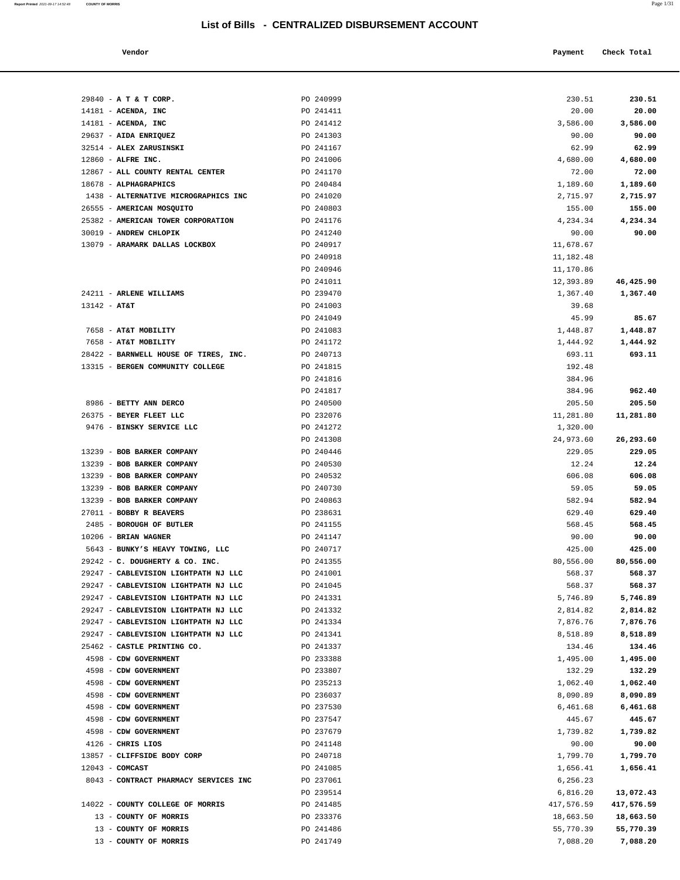| Vendor |  | Payment Check Total |
|--------|--|---------------------|
|--------|--|---------------------|

| 29840 - A T & T CORP.                                      | PO 240999              | 230.51                 | 230.51                  |
|------------------------------------------------------------|------------------------|------------------------|-------------------------|
| $14181$ - ACENDA, INC                                      | PO 241411              | 20.00                  | 20.00                   |
| $14181$ - ACENDA, INC                                      | PO 241412              | 3,586.00               | 3,586.00                |
| 29637 - AIDA ENRIQUEZ                                      | PO 241303              | 90.00                  | 90.00                   |
| 32514 - ALEX ZARUSINSKI                                    | PO 241167              | 62.99                  | 62.99                   |
| 12860 - ALFRE INC.                                         | PO 241006              | 4,680.00               | 4,680.00                |
| 12867 - ALL COUNTY RENTAL CENTER                           | PO 241170              | 72.00                  | 72.00                   |
| 18678 - ALPHAGRAPHICS                                      | PO 240484              | 1,189.60               | 1,189.60                |
| 1438 - ALTERNATIVE MICROGRAPHICS INC                       | PO 241020              | 2,715.97               | 2,715.97                |
| 26555 - AMERICAN MOSQUITO                                  | PO 240803              | 155.00                 | 155.00                  |
| 25382 - AMERICAN TOWER CORPORATION                         | PO 241176              | 4,234.34               | 4,234.34                |
| 30019 - ANDREW CHLOPIK                                     | PO 241240              | 90.00                  | 90.00                   |
| 13079 - ARAMARK DALLAS LOCKBOX                             | PO 240917              | 11,678.67              |                         |
|                                                            | PO 240918              | 11,182.48              |                         |
|                                                            | PO 240946              | 11,170.86              |                         |
| 24211 - ARLENE WILLIAMS                                    | PO 241011<br>PO 239470 | 12,393.89              | 46,425.90               |
| $13142 - AT&T$                                             | PO 241003              | 1,367.40<br>39.68      | 1,367.40                |
|                                                            | PO 241049              | 45.99                  | 85.67                   |
| 7658 - AT&T MOBILITY                                       | PO 241083              | 1,448.87               | 1,448.87                |
| 7658 - AT&T MOBILITY                                       | PO 241172              | 1,444.92               | 1,444.92                |
| 28422 - BARNWELL HOUSE OF TIRES, INC.                      | PO 240713              | 693.11                 | 693.11                  |
| 13315 - BERGEN COMMUNITY COLLEGE                           | PO 241815              | 192.48                 |                         |
|                                                            | PO 241816              | 384.96                 |                         |
|                                                            | PO 241817              | 384.96                 | 962.40                  |
| 8986 - BETTY ANN DERCO                                     | PO 240500              | 205.50                 | 205.50                  |
| 26375 - BEYER FLEET LLC                                    | PO 232076              | 11,281.80              | 11,281.80               |
| 9476 - BINSKY SERVICE LLC                                  | PO 241272              | 1,320.00               |                         |
|                                                            | PO 241308              | 24,973.60              | 26,293.60               |
| 13239 - BOB BARKER COMPANY                                 | PO 240446              | 229.05                 | 229.05                  |
| 13239 - BOB BARKER COMPANY                                 | PO 240530              | 12.24                  | 12.24                   |
| 13239 - BOB BARKER COMPANY                                 | PO 240532              | 606.08                 | 606.08                  |
| 13239 - BOB BARKER COMPANY                                 | PO 240730              | 59.05                  | 59.05                   |
| 13239 - BOB BARKER COMPANY                                 | PO 240863              | 582.94                 | 582.94                  |
| 27011 - BOBBY R BEAVERS                                    | PO 238631              | 629.40                 | 629.40                  |
| 2485 - BOROUGH OF BUTLER                                   | PO 241155              | 568.45                 | 568.45                  |
| $10206$ - BRIAN WAGNER<br>5643 - BUNKY'S HEAVY TOWING, LLC | PO 241147<br>PO 240717 | 90.00<br>425.00        | 90.00<br>425.00         |
| 29242 - C. DOUGHERTY & CO. INC.                            | PO 241355              | 80,556.00              | 80,556.00               |
| 29247 - CABLEVISION LIGHTPATH NJ LLC                       | PO 241001              | 568.37                 | 568.37                  |
| 29247 - CABLEVISION LIGHTPATH NJ LLC                       | PO 241045              | 568.37                 | 568.37                  |
| 29247 - CABLEVISION LIGHTPATH NJ LLC                       | PO 241331              | 5,746.89               | 5,746.89                |
| 29247 - CABLEVISION LIGHTPATH NJ LLC                       | PO 241332              | 2,814.82               | 2,814.82                |
| 29247 - CABLEVISION LIGHTPATH NJ LLC                       | PO 241334              | 7,876.76               | 7,876.76                |
| 29247 - CABLEVISION LIGHTPATH NJ LLC                       | PO 241341              | 8,518.89               | 8,518.89                |
| 25462 - CASTLE PRINTING CO.                                | PO 241337              | 134.46                 | 134.46                  |
| 4598 - CDW GOVERNMENT                                      | PO 233388              | 1,495.00               | 1,495.00                |
| 4598 - CDW GOVERNMENT                                      | PO 233807              | 132.29                 | 132.29                  |
| 4598 - CDW GOVERNMENT                                      | PO 235213              | 1,062.40               | 1,062.40                |
| 4598 - CDW GOVERNMENT                                      | PO 236037              | 8,090.89               | 8,090.89                |
| 4598 - CDW GOVERNMENT                                      | PO 237530              | 6,461.68               | 6,461.68                |
| 4598 - CDW GOVERNMENT                                      | PO 237547              | 445.67                 | 445.67                  |
| 4598 - CDW GOVERNMENT                                      | PO 237679              | 1,739.82               | 1,739.82                |
| 4126 - CHRIS LIOS                                          | PO 241148              | 90.00                  | 90.00                   |
| 13857 - CLIFFSIDE BODY CORP                                | PO 240718              | 1,799.70               | 1,799.70                |
| $12043$ - COMCAST                                          | PO 241085              | 1,656.41               | 1,656.41                |
| 8043 - CONTRACT PHARMACY SERVICES INC                      | PO 237061              | 6,256.23               |                         |
| 14022 - COUNTY COLLEGE OF MORRIS                           | PO 239514<br>PO 241485 | 6,816.20<br>417,576.59 | 13,072.43<br>417,576.59 |
| 13 - COUNTY OF MORRIS                                      | PO 233376              | 18,663.50              | 18,663.50               |
| 13 - COUNTY OF MORRIS                                      | PO 241486              | 55,770.39              | 55,770.39               |
| 13 - COUNTY OF MORRIS                                      | PO 241749              | 7,088.20               | 7,088.20                |
|                                                            |                        |                        |                         |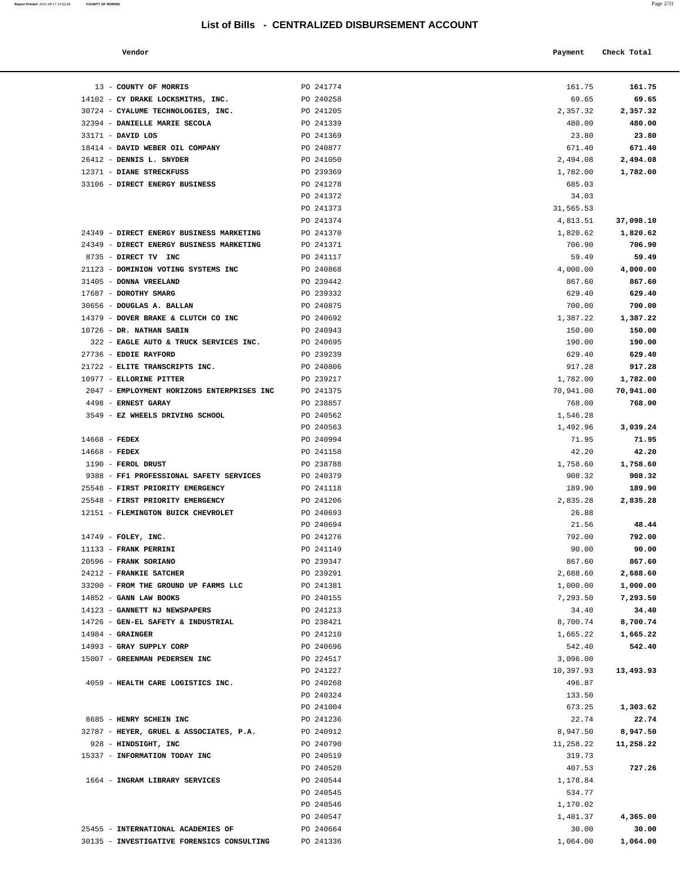**Report Printed** 2021-09-17 14:52:48 **COUNTY OF MORRIS** Page 2/31

| Vendor | Payment | Check Total<br>____<br>. |
|--------|---------|--------------------------|
|        |         |                          |

| 13 - COUNTY OF MORRIS                                           | PO 241774              | 161.75               | 161.75               |
|-----------------------------------------------------------------|------------------------|----------------------|----------------------|
| 14102 - CY DRAKE LOCKSMITHS, INC.                               | PO 240258              | 69.65                | 69.65                |
| 30724 - CYALUME TECHNOLOGIES, INC.                              | PO 241205              | 2,357.32             | 2,357.32             |
| 32394 - DANIELLE MARIE SECOLA                                   | PO 241339              | 480.00               | 480.00               |
| 33171 - DAVID LOS                                               | PO 241369              | 23.80                | 23.80                |
| 18414 - DAVID WEBER OIL COMPANY                                 | PO 240877              | 671.40               | 671.40               |
| 26412 - DENNIS L. SNYDER<br>12371 - DIANE STRECKFUSS            | PO 241050<br>PO 239369 | 2,494.08<br>1,782.00 | 2,494.08<br>1,782.00 |
| 33106 - DIRECT ENERGY BUSINESS                                  | PO 241278              | 685.03               |                      |
|                                                                 | PO 241372              | 34.03                |                      |
|                                                                 | PO 241373              | 31,565.53            |                      |
|                                                                 | PO 241374              | 4,813.51             | 37,098.10            |
| 24349 - DIRECT ENERGY BUSINESS MARKETING                        | PO 241370              | 1,820.62             | 1,820.62             |
| 24349 - DIRECT ENERGY BUSINESS MARKETING                        | PO 241371              | 706.90               | 706.90               |
| 8735 - DIRECT TV INC                                            | PO 241117              | 59.49                | 59.49                |
| 21123 - DOMINION VOTING SYSTEMS INC                             | PO 240868              | 4,000.00             | 4,000.00             |
| 31405 - DONNA VREELAND                                          | PO 239442              | 867.60               | 867.60               |
| 17687 - DOROTHY SMARG                                           | PO 239332              | 629.40               | 629.40               |
| 30656 - DOUGLAS A. BALLAN                                       | PO 240875              | 700.00               | 700.00               |
| 14379 - DOVER BRAKE & CLUTCH CO INC                             | PO 240692              | 1,387.22             | 1,387.22             |
| 10726 - DR. NATHAN SABIN                                        | PO 240943              | 150.00               | 150.00               |
| 322 - EAGLE AUTO & TRUCK SERVICES INC.<br>27736 - EDDIE RAYFORD | PO 240695<br>PO 239239 | 190.00<br>629.40     | 190.00<br>629.40     |
| 21722 - ELITE TRANSCRIPTS INC.                                  | PO 240806              | 917.28               | 917.28               |
| 10977 - ELLORINE PITTER                                         | PO 239217              | 1,782.00             | 1,782.00             |
| 2047 - EMPLOYMENT HORIZONS ENTERPRISES INC                      | PO 241375              | 70,941.00            | 70,941.00            |
| 4498 - ERNEST GARAY                                             | PO 238857              | 768.00               | 768.00               |
| 3549 - EZ WHEELS DRIVING SCHOOL                                 | PO 240562              | 1,546.28             |                      |
|                                                                 | PO 240563              | 1,492.96             | 3,039.24             |
| $14668$ - FEDEX                                                 | PO 240994              | 71.95                | 71.95                |
| $14668$ - FEDEX                                                 | PO 241158              | 42.20                | 42.20                |
| 1190 - FEROL DRUST                                              | PO 238788              | 1,758.60             | 1,758.60             |
| 9388 - FF1 PROFESSIONAL SAFETY SERVICES                         | PO 240379              | 908.32               | 908.32               |
| 25548 - FIRST PRIORITY EMERGENCY                                | PO 241118              | 189.90               | 189.90               |
| 25548 - FIRST PRIORITY EMERGENCY                                | PO 241206              | 2,835.28             | 2,835.28             |
| 12151 - FLEMINGTON BUICK CHEVROLET                              | PO 240693<br>PO 240694 | 26.88<br>21.56       | 48.44                |
| 14749 - FOLEY, INC.                                             | PO 241276              | 792.00               | 792.00               |
| 11133 - FRANK PERRINI                                           | PO 241149              | 90.00                | 90.00                |
| 20596 - FRANK SORIANO                                           | PO 239347              | 867.60               | 867.60               |
| 24212 - FRANKIE SATCHER                                         | PO 239291              | 2,688.60             | 2,688.60             |
| 33200 - FROM THE GROUND UP FARMS LLC                            | PO 241381              | 1,000.00             | 1,000.00             |
| 14852 - GANN LAW BOOKS                                          | PO 240155              | 7,293.50             | 7,293.50             |
| 14123 - GANNETT NJ NEWSPAPERS                                   | PO 241213              | 34.40                | 34.40                |
| 14726 - GEN-EL SAFETY & INDUSTRIAL                              | PO 238421              | 8,700.74             | 8,700.74             |
| $14984$ - GRAINGER                                              | PO 241210              | 1,665.22             | 1,665.22             |
| 14993 - GRAY SUPPLY CORP                                        | PO 240696              | 542.40               | 542.40               |
| 15007 - GREENMAN PEDERSEN INC                                   | PO 224517              | 3,096.00             |                      |
| 4059 - HEALTH CARE LOGISTICS INC.                               | PO 241227<br>PO 240268 | 10,397.93<br>496.87  | 13,493.93            |
|                                                                 | PO 240324              | 133.50               |                      |
|                                                                 | PO 241004              | 673.25               | 1,303.62             |
| 8685 - HENRY SCHEIN INC                                         | PO 241236              | 22.74                | 22.74                |
| 32787 - HEYER, GRUEL & ASSOCIATES, P.A.                         | PO 240912              | 8,947.50             | 8,947.50             |
| 928 - HINDSIGHT, INC                                            | PO 240790              | 11,258.22            | 11,258.22            |
| 15337 - INFORMATION TODAY INC                                   | PO 240519              | 319.73               |                      |
|                                                                 | PO 240520              | 407.53               | 727.26               |
| 1664 - INGRAM LIBRARY SERVICES                                  | PO 240544              | 1,178.84             |                      |
|                                                                 | PO 240545              | 534.77               |                      |
|                                                                 | PO 240546              | 1,170.02             |                      |
|                                                                 | PO 240547              | 1,481.37             | 4,365.00             |
| 25455 - INTERNATIONAL ACADEMIES OF                              | PO 240664              | 30.00                | 30.00                |
| 30135 - INVESTIGATIVE FORENSICS CONSULTING                      | PO 241336              | 1,064.00             | 1,064.00             |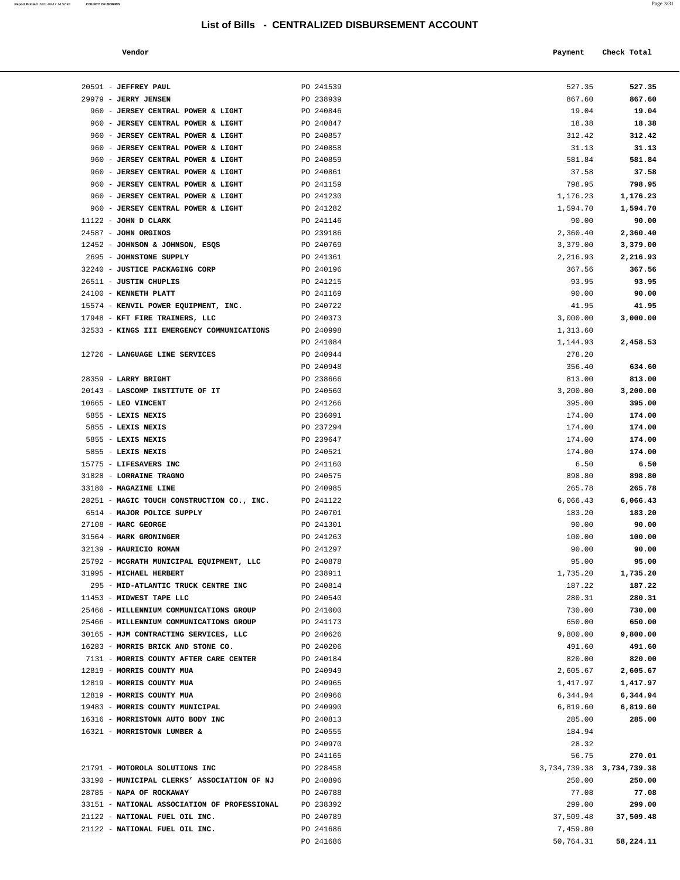| Vendor | Payment Check Total |
|--------|---------------------|
|        |                     |

| 20591 - JEFFREY PAUL                                                | PO 241539              | 527.35                        | 527.35           |
|---------------------------------------------------------------------|------------------------|-------------------------------|------------------|
| 29979 - JERRY JENSEN                                                | PO 238939              | 867.60                        | 867.60           |
| 960 - JERSEY CENTRAL POWER & LIGHT                                  | PO 240846              | 19.04                         | 19.04            |
| 960 - JERSEY CENTRAL POWER & LIGHT                                  | PO 240847              | 18.38                         | 18.38            |
| 960 - JERSEY CENTRAL POWER & LIGHT                                  | PO 240857              | 312.42                        | 312.42           |
| 960 - JERSEY CENTRAL POWER & LIGHT                                  | PO 240858              | 31.13                         | 31.13            |
| 960 - JERSEY CENTRAL POWER & LIGHT                                  | PO 240859              | 581.84                        | 581.84           |
| 960 - JERSEY CENTRAL POWER & LIGHT                                  | PO 240861              | 37.58                         | 37.58            |
| 960 - JERSEY CENTRAL POWER & LIGHT                                  | PO 241159              | 798.95                        | 798.95           |
| 960 - JERSEY CENTRAL POWER & LIGHT                                  | PO 241230              | 1,176.23                      | 1,176.23         |
| 960 - JERSEY CENTRAL POWER & LIGHT                                  | PO 241282              | 1,594.70                      | 1,594.70         |
| $11122$ - JOHN D CLARK                                              | PO 241146              | 90.00                         | 90.00            |
| 24587 - JOHN ORGINOS                                                | PO 239186              | 2,360.40                      | 2,360.40         |
| 12452 - JOHNSON & JOHNSON, ESQS                                     | PO 240769              | 3,379.00                      | 3,379.00         |
| 2695 - JOHNSTONE SUPPLY                                             | PO 241361              | 2,216.93                      | 2,216.93         |
| 32240 - JUSTICE PACKAGING CORP                                      | PO 240196              | 367.56                        | 367.56           |
| 26511 - JUSTIN CHUPLIS<br>24100 - KENNETH PLATT                     | PO 241215<br>PO 241169 | 93.95<br>90.00                | 93.95<br>90.00   |
| 15574 - KENVIL POWER EQUIPMENT, INC.                                | PO 240722              | 41.95                         | 41.95            |
| 17948 - KFT FIRE TRAINERS, LLC                                      | PO 240373              | 3,000.00                      | 3,000.00         |
| 32533 - KINGS III EMERGENCY COMMUNICATIONS                          | PO 240998              | 1,313.60                      |                  |
|                                                                     | PO 241084              | 1,144.93                      | 2,458.53         |
| 12726 - LANGUAGE LINE SERVICES                                      | PO 240944              | 278.20                        |                  |
|                                                                     | PO 240948              | 356.40                        | 634.60           |
| 28359 - LARRY BRIGHT                                                | PO 238666              | 813.00                        | 813.00           |
| 20143 - LASCOMP INSTITUTE OF IT                                     | PO 240560              | 3,200.00                      | 3,200.00         |
| 10665 - LEO VINCENT                                                 | PO 241266              | 395.00                        | 395.00           |
| 5855 - LEXIS NEXIS                                                  | PO 236091              | 174.00                        | 174.00           |
| 5855 - LEXIS NEXIS                                                  | PO 237294              | 174.00                        | 174.00           |
| 5855 - LEXIS NEXIS                                                  | PO 239647              | 174.00                        | 174.00           |
| 5855 - LEXIS NEXIS                                                  | PO 240521              | 174.00                        | 174.00           |
| 15775 - LIFESAVERS INC                                              | PO 241160              | 6.50                          | 6.50             |
| 31828 - LORRAINE TRAGNO                                             | PO 240575              | 898.80                        | 898.80           |
| 33180 - MAGAZINE LINE                                               | PO 240985              | 265.78                        | 265.78           |
| 28251 - MAGIC TOUCH CONSTRUCTION CO., INC.                          | PO 241122              | 6,066.43                      | 6,066.43         |
| 6514 - MAJOR POLICE SUPPLY                                          | PO 240701              | 183.20                        | 183.20           |
| $27108$ - MARC GEORGE                                               | PO 241301              | 90.00                         | 90.00            |
| 31564 - MARK GRONINGER                                              | PO 241263              | 100.00                        | 100.00           |
| 32139 - MAURICIO ROMAN                                              | PO 241297              | 90.00                         | 90.00            |
| 25792 - MCGRATH MUNICIPAL EQUIPMENT, LLC                            | PO 240878              | 95.00                         | 95.00            |
| 31995 - MICHAEL HERBERT                                             | PO 238911              | 1,735.20                      | 1,735.20         |
| 295 - MID-ATLANTIC TRUCK CENTRE INC                                 | PO 240814              | 187.22                        | 187.22           |
| 11453 - MIDWEST TAPE LLC<br>25466 - MILLENNIUM COMMUNICATIONS GROUP | PO 240540<br>PO 241000 | 280.31<br>730.00              | 280.31<br>730.00 |
| 25466 - MILLENNIUM COMMUNICATIONS GROUP                             | PO 241173              | 650.00                        | 650.00           |
| 30165 - MJM CONTRACTING SERVICES, LLC                               | PO 240626              | 9,800.00                      | 9,800.00         |
| 16283 - MORRIS BRICK AND STONE CO.                                  | PO 240206              | 491.60                        | 491.60           |
| 7131 - MORRIS COUNTY AFTER CARE CENTER                              | PO 240184              | 820.00                        | 820.00           |
| 12819 - MORRIS COUNTY MUA                                           | PO 240949              | 2,605.67                      | 2,605.67         |
| 12819 - MORRIS COUNTY MUA                                           | PO 240965              | 1,417.97                      | 1,417.97         |
| 12819 - MORRIS COUNTY MUA                                           | PO 240966              | 6,344.94                      | 6,344.94         |
| 19483 - MORRIS COUNTY MUNICIPAL                                     | PO 240990              | 6,819.60                      | 6,819.60         |
| 16316 - MORRISTOWN AUTO BODY INC                                    | PO 240813              | 285.00                        | 285.00           |
| 16321 - MORRISTOWN LUMBER &                                         | PO 240555              | 184.94                        |                  |
|                                                                     | PO 240970              | 28.32                         |                  |
|                                                                     | PO 241165              | 56.75                         | 270.01           |
| 21791 - MOTOROLA SOLUTIONS INC                                      | PO 228458              | 3, 734, 739.38 3, 734, 739.38 |                  |
| 33190 - MUNICIPAL CLERKS' ASSOCIATION OF NJ                         | PO 240896              | 250.00                        | 250.00           |
| 28785 - NAPA OF ROCKAWAY                                            | PO 240788              | 77.08                         | 77.08            |
| 33151 - NATIONAL ASSOCIATION OF PROFESSIONAL                        | PO 238392              | 299.00                        | 299.00           |
| 21122 - NATIONAL FUEL OIL INC.                                      | PO 240789              | 37,509.48                     | 37,509.48        |
| 21122 - NATIONAL FUEL OIL INC.                                      | PO 241686              | 7,459.80                      |                  |
|                                                                     | PO 241686              | 50,764.31                     | 58,224.11        |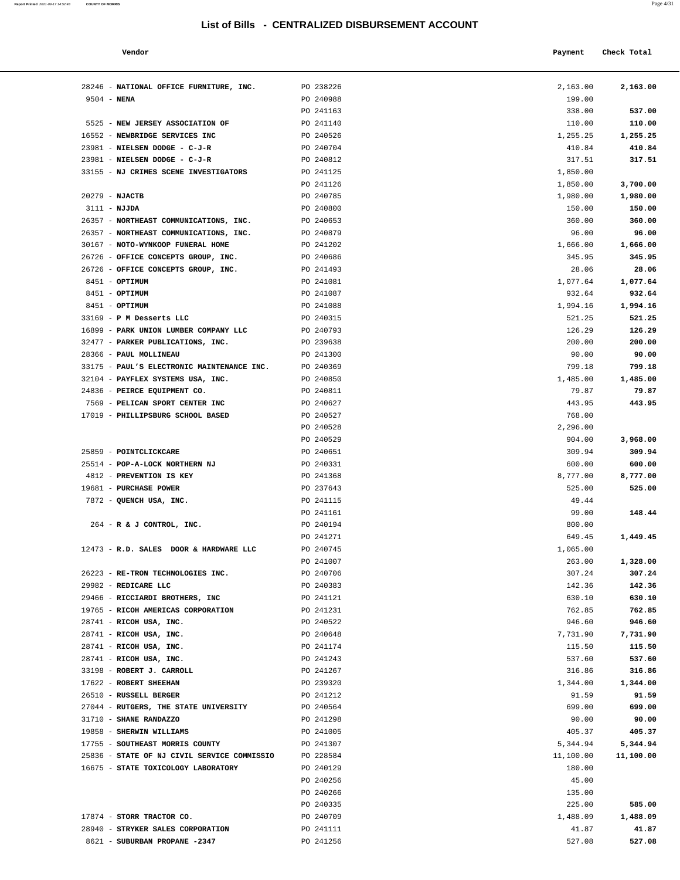28246 - **NATIONAL OFFICE FURNITURE, INC.** PO 238226 9504 - **NENA** PO 240988

| Report Printed 2021-09-17 14:52:48 COUNTY OF MORRIS | Page 4/31 |
|-----------------------------------------------------|-----------|
|                                                     |           |

|                                    | List of Bills - CENTRALIZED DISBURSEMENT ACCOUNT |          |             |
|------------------------------------|--------------------------------------------------|----------|-------------|
| Vendor                             |                                                  | Payment  | Check Total |
| NATIONAL OFFICE FURNITURE, INC.    | PO 238226                                        | 2,163.00 | 2,163.00    |
| NENA                               | PO 240988                                        | 199.00   |             |
|                                    | PO 241163                                        | 338.00   | 537.00      |
| <b>NEW JERSEY ASSOCIATION OF</b>   | PO 241140                                        | 110.00   | 110.00      |
| NEWBRIDGE SERVICES INC             | PO 240526                                        | 1,255.25 | 1,255.25    |
| NIELSEN DODGE - C-J-R              | PO 240704                                        | 410.84   | 410.84      |
| NIELSEN DODGE - C-J-R              | PO 240812                                        | 317.51   | 317.51      |
| NJ CRIMES SCENE INVESTIGATORS      | PO 241125                                        | 1,850.00 |             |
|                                    | PO 241126                                        | 1,850.00 | 3,700.00    |
| <b>NJACTB</b>                      | PO 240785                                        | 1,980.00 | 1,980.00    |
| <b>NJJDA</b>                       | PO 240800                                        | 150.00   | 150.00      |
| NORTHEAST COMMUNICATIONS, INC.     | PO 240653                                        | 360.00   | 360.00      |
| NORTHEAST COMMUNICATIONS, INC.     | PO 240879                                        | 96.00    | 96.00       |
| NOTO-WYNKOOP FUNERAL HOME          | PO 241202                                        | 1,666.00 | 1,666.00    |
| OFFICE CONCEPTS GROUP, INC.        | PO 240686                                        | 345.95   | 345.95      |
| OFFICE CONCEPTS GROUP, INC.        | PO 241493                                        | 28.06    | 28.06       |
| OPTIMUM                            | PO 241081                                        | 1,077.64 | 1,077.64    |
| OPTIMUM                            | PO 241087                                        | 932.64   | 932.64      |
| OPTIMUM                            | PO 241088                                        | 1,994.16 | 1,994.16    |
| P M Desserts LLC                   | PO 240315                                        | 521.25   | 521.25      |
| PARK UNION LUMBER COMPANY LLC      | PO 240793                                        | 126.29   | 126.29      |
| PARKER PUBLICATIONS, INC.          | PO 239638                                        | 200.00   | 200.00      |
| <b>PAUL MOLLINEAU</b>              | PO 241300                                        | 90.00    | 90.00       |
| PAUL'S ELECTRONIC MAINTENANCE INC. | PO 240369                                        | 799.18   | 799.18      |
| PAYFLEX SYSTEMS USA, INC.          | PO 240850                                        | 1,485.00 | 1,485.00    |
| PEIRCE EQUIPMENT CO.               | PO 240811                                        | 79.87    | 79.87       |
|                                    | PO 240627                                        | 443.95   | 443.95      |
| PELICAN SPORT CENTER INC           |                                                  |          |             |
| PHILLIPSBURG SCHOOL BASED          | PO 240527                                        | 768.00   |             |
|                                    | PO 240528                                        | 2,296.00 |             |
|                                    | PO 240529                                        | 904.00   | 3,968.00    |
| <b>POINTCLICKCARE</b>              | PO 240651                                        | 309.94   | 309.94      |
| POP-A-LOCK NORTHERN NJ             | PO 240331                                        | 600.00   | 600.00      |
| PREVENTION IS KEY                  | PO 241368                                        | 8,777.00 | 8,777.00    |
| <b>PURCHASE POWER</b>              | PO 237643                                        | 525.00   | 525.00      |
| QUENCH USA, INC.                   | PO 241115                                        | 49.44    |             |
|                                    | PO 241161                                        | 99.00    | 148.44      |
| R & J CONTROL, INC.                | PO 240194                                        | 800.00   |             |
|                                    | PO 241271                                        | 649.45   | 1,449.45    |
| R.D. SALES DOOR & HARDWARE LLC     | PO 240745                                        | 1,065.00 |             |
|                                    | PO 241007                                        | 263.00   | 1,328.00    |
| RE-TRON TECHNOLOGIES INC.          | PO 240706                                        | 307.24   | 307.24      |
| REDICARE LLC                       | PO 240383                                        | 142.36   | 142.36      |
| RICCIARDI BROTHERS, INC            | PO 241121                                        | 630.10   | 630.10      |
| RICOH AMERICAS CORPORATION         | PO 241231                                        | 762.85   | 762.85      |

| 5525 - NEW JERSEY ASSOCIATION OF<br>PO 241140<br>110.00<br>110.00<br>PO 240526<br>1,255.25<br>16552 - NEWBRIDGE SERVICES INC<br>1,255.25<br>23981 - NIELSEN DODGE - C-J-R<br>PO 240704<br>410.84<br>410.84<br>23981 - NIELSEN DODGE - C-J-R<br>PO 240812<br>317.51<br>317.51<br>33155 - NJ CRIMES SCENE INVESTIGATORS<br>PO 241125<br>1,850.00<br>PO 241126<br>1,850.00<br>3,700.00<br>20279 - NJACTB<br>PO 240785<br>1,980.00<br>1,980.00<br>PO 240800<br>150.00<br>$3111 - NJJDA$<br>150.00<br>26357 - NORTHEAST COMMUNICATIONS, INC.<br>PO 240653<br>360.00<br>360.00<br>26357 - NORTHEAST COMMUNICATIONS, INC.<br>PO 240879<br>96.00<br>96.00<br>30167 - NOTO-WYNKOOP FUNERAL HOME<br>PO 241202<br>1,666.00<br>1,666.00<br>26726 - OFFICE CONCEPTS GROUP, INC.<br>PO 240686<br>345.95<br>345.95<br>26726 - OFFICE CONCEPTS GROUP, INC.<br>PO 241493<br>28.06<br>28.06<br>8451 - OPTIMUM<br>PO 241081<br>1,077.64<br>1,077.64<br>8451 - OPTIMUM<br>PO 241087<br>932.64<br>932.64<br>8451 - OPTIMUM<br>PO 241088<br>1,994.16<br>1,994.16<br>33169 - P M Desserts LLC<br>PO 240315<br>521.25<br>521.25<br>16899 - PARK UNION LUMBER COMPANY LLC<br>PO 240793<br>126.29<br>126.29<br>32477 - PARKER PUBLICATIONS, INC.<br>PO 239638<br>200.00<br>200.00<br>28366 - PAUL MOLLINEAU<br>PO 241300<br>90.00<br>90.00<br>33175 - PAUL'S ELECTRONIC MAINTENANCE INC.<br>PO 240369<br>799.18<br>799.18<br>32104 - PAYFLEX SYSTEMS USA, INC.<br>1,485.00<br>PO 240850<br>1,485.00<br>24836 - PEIRCE EQUIPMENT CO.<br>PO 240811<br>79.87<br>79.87<br>7569 - PELICAN SPORT CENTER INC<br>PO 240627<br>443.95<br>443.95<br>PO 240527<br>768.00<br>17019 - PHILLIPSBURG SCHOOL BASED<br>PO 240528<br>2,296.00<br>PO 240529<br>904.00<br>3,968.00<br>PO 240651<br>309.94<br>25859 - POINTCLICKCARE<br>309.94<br>25514 - POP-A-LOCK NORTHERN NJ<br>PO 240331<br>600.00<br>600.00<br>4812 - PREVENTION IS KEY<br>PO 241368<br>8,777.00<br>8,777.00<br>19681 - PURCHASE POWER<br>PO 237643<br>525.00<br>525.00<br>PO 241115<br>7872 - QUENCH USA, INC.<br>49.44<br>PO 241161<br>99.00<br>148.44<br>PO 240194<br>264 - R & J CONTROL, INC.<br>800.00<br>PO 241271<br>649.45<br>1,449.45<br>PO 240745<br>1,065.00<br>12473 - R.D. SALES DOOR & HARDWARE LLC<br>PO 241007<br>263.00<br>1,328.00<br>PO 240706<br>307.24<br>307.24<br>26223 - RE-TRON TECHNOLOGIES INC.<br>29982 - REDICARE LLC<br>PO 240383<br>142.36<br>142.36<br>29466 - RICCIARDI BROTHERS, INC<br>PO 241121<br>630.10<br>630.10<br>19765 - RICOH AMERICAS CORPORATION<br>PO 241231<br>762.85<br>762.85<br>946.60<br>28741 - RICOH USA, INC.<br>PO 240522<br>946.60<br>28741 - RICOH USA, INC.<br>PO 240648<br>7,731.90<br>7,731.90<br>28741 - RICOH USA, INC.<br>PO 241174<br>115.50<br>115.50<br>28741 - RICOH USA, INC.<br>PO 241243<br>537.60<br>537.60<br>33198 - ROBERT J. CARROLL<br>PO 241267<br>316.86<br>316.86<br>17622 - ROBERT SHEEHAN<br>PO 239320<br>1,344.00<br>1,344.00<br>26510 - RUSSELL BERGER<br>PO 241212<br>91.59<br>91.59<br>27044 - RUTGERS, THE STATE UNIVERSITY<br>PO 240564<br>699.00<br>699.00<br>31710 - SHANE RANDAZZO<br>PO 241298<br>90.00<br>90.00<br>19858 - SHERWIN WILLIAMS<br>PO 241005<br>405.37<br>405.37<br>17755 - SOUTHEAST MORRIS COUNTY<br>PO 241307<br>5,344.94<br>5,344.94<br>25836 - STATE OF NJ CIVIL SERVICE COMMISSIO<br>PO 228584<br>11,100.00<br>11,100.00<br>16675 - STATE TOXICOLOGY LABORATORY<br>PO 240129<br>180.00<br>PO 240256<br>45.00<br>PO 240266<br>135.00<br>PO 240335<br>225.00<br>585.00<br>17874 - STORR TRACTOR CO.<br>PO 240709<br>1,488.09<br>1,488.09<br>28940 - STRYKER SALES CORPORATION<br>PO 241111<br>41.87<br>41.87<br>8621 - SUBURBAN PROPANE -2347<br>PO 241256<br>527.08<br>527.08 | PO 241163 | 338.00 | 537.00 |
|--------------------------------------------------------------------------------------------------------------------------------------------------------------------------------------------------------------------------------------------------------------------------------------------------------------------------------------------------------------------------------------------------------------------------------------------------------------------------------------------------------------------------------------------------------------------------------------------------------------------------------------------------------------------------------------------------------------------------------------------------------------------------------------------------------------------------------------------------------------------------------------------------------------------------------------------------------------------------------------------------------------------------------------------------------------------------------------------------------------------------------------------------------------------------------------------------------------------------------------------------------------------------------------------------------------------------------------------------------------------------------------------------------------------------------------------------------------------------------------------------------------------------------------------------------------------------------------------------------------------------------------------------------------------------------------------------------------------------------------------------------------------------------------------------------------------------------------------------------------------------------------------------------------------------------------------------------------------------------------------------------------------------------------------------------------------------------------------------------------------------------------------------------------------------------------------------------------------------------------------------------------------------------------------------------------------------------------------------------------------------------------------------------------------------------------------------------------------------------------------------------------------------------------------------------------------------------------------------------------------------------------------------------------------------------------------------------------------------------------------------------------------------------------------------------------------------------------------------------------------------------------------------------------------------------------------------------------------------------------------------------------------------------------------------------------------------------------------------------------------------------------------------------------------------------------------------------------------------------------------------------------------------------------------------------------------------------------------------------------------------------------------------------------------------------------------------------------------------------------------------------------------------------------------------------------------------------------------------------------------------------------------------------------------------------------------------------------------|-----------|--------|--------|
|                                                                                                                                                                                                                                                                                                                                                                                                                                                                                                                                                                                                                                                                                                                                                                                                                                                                                                                                                                                                                                                                                                                                                                                                                                                                                                                                                                                                                                                                                                                                                                                                                                                                                                                                                                                                                                                                                                                                                                                                                                                                                                                                                                                                                                                                                                                                                                                                                                                                                                                                                                                                                                                                                                                                                                                                                                                                                                                                                                                                                                                                                                                                                                                                                                                                                                                                                                                                                                                                                                                                                                                                                                                                                                                    |           |        |        |
|                                                                                                                                                                                                                                                                                                                                                                                                                                                                                                                                                                                                                                                                                                                                                                                                                                                                                                                                                                                                                                                                                                                                                                                                                                                                                                                                                                                                                                                                                                                                                                                                                                                                                                                                                                                                                                                                                                                                                                                                                                                                                                                                                                                                                                                                                                                                                                                                                                                                                                                                                                                                                                                                                                                                                                                                                                                                                                                                                                                                                                                                                                                                                                                                                                                                                                                                                                                                                                                                                                                                                                                                                                                                                                                    |           |        |        |
|                                                                                                                                                                                                                                                                                                                                                                                                                                                                                                                                                                                                                                                                                                                                                                                                                                                                                                                                                                                                                                                                                                                                                                                                                                                                                                                                                                                                                                                                                                                                                                                                                                                                                                                                                                                                                                                                                                                                                                                                                                                                                                                                                                                                                                                                                                                                                                                                                                                                                                                                                                                                                                                                                                                                                                                                                                                                                                                                                                                                                                                                                                                                                                                                                                                                                                                                                                                                                                                                                                                                                                                                                                                                                                                    |           |        |        |
|                                                                                                                                                                                                                                                                                                                                                                                                                                                                                                                                                                                                                                                                                                                                                                                                                                                                                                                                                                                                                                                                                                                                                                                                                                                                                                                                                                                                                                                                                                                                                                                                                                                                                                                                                                                                                                                                                                                                                                                                                                                                                                                                                                                                                                                                                                                                                                                                                                                                                                                                                                                                                                                                                                                                                                                                                                                                                                                                                                                                                                                                                                                                                                                                                                                                                                                                                                                                                                                                                                                                                                                                                                                                                                                    |           |        |        |
|                                                                                                                                                                                                                                                                                                                                                                                                                                                                                                                                                                                                                                                                                                                                                                                                                                                                                                                                                                                                                                                                                                                                                                                                                                                                                                                                                                                                                                                                                                                                                                                                                                                                                                                                                                                                                                                                                                                                                                                                                                                                                                                                                                                                                                                                                                                                                                                                                                                                                                                                                                                                                                                                                                                                                                                                                                                                                                                                                                                                                                                                                                                                                                                                                                                                                                                                                                                                                                                                                                                                                                                                                                                                                                                    |           |        |        |
|                                                                                                                                                                                                                                                                                                                                                                                                                                                                                                                                                                                                                                                                                                                                                                                                                                                                                                                                                                                                                                                                                                                                                                                                                                                                                                                                                                                                                                                                                                                                                                                                                                                                                                                                                                                                                                                                                                                                                                                                                                                                                                                                                                                                                                                                                                                                                                                                                                                                                                                                                                                                                                                                                                                                                                                                                                                                                                                                                                                                                                                                                                                                                                                                                                                                                                                                                                                                                                                                                                                                                                                                                                                                                                                    |           |        |        |
|                                                                                                                                                                                                                                                                                                                                                                                                                                                                                                                                                                                                                                                                                                                                                                                                                                                                                                                                                                                                                                                                                                                                                                                                                                                                                                                                                                                                                                                                                                                                                                                                                                                                                                                                                                                                                                                                                                                                                                                                                                                                                                                                                                                                                                                                                                                                                                                                                                                                                                                                                                                                                                                                                                                                                                                                                                                                                                                                                                                                                                                                                                                                                                                                                                                                                                                                                                                                                                                                                                                                                                                                                                                                                                                    |           |        |        |
|                                                                                                                                                                                                                                                                                                                                                                                                                                                                                                                                                                                                                                                                                                                                                                                                                                                                                                                                                                                                                                                                                                                                                                                                                                                                                                                                                                                                                                                                                                                                                                                                                                                                                                                                                                                                                                                                                                                                                                                                                                                                                                                                                                                                                                                                                                                                                                                                                                                                                                                                                                                                                                                                                                                                                                                                                                                                                                                                                                                                                                                                                                                                                                                                                                                                                                                                                                                                                                                                                                                                                                                                                                                                                                                    |           |        |        |
|                                                                                                                                                                                                                                                                                                                                                                                                                                                                                                                                                                                                                                                                                                                                                                                                                                                                                                                                                                                                                                                                                                                                                                                                                                                                                                                                                                                                                                                                                                                                                                                                                                                                                                                                                                                                                                                                                                                                                                                                                                                                                                                                                                                                                                                                                                                                                                                                                                                                                                                                                                                                                                                                                                                                                                                                                                                                                                                                                                                                                                                                                                                                                                                                                                                                                                                                                                                                                                                                                                                                                                                                                                                                                                                    |           |        |        |
|                                                                                                                                                                                                                                                                                                                                                                                                                                                                                                                                                                                                                                                                                                                                                                                                                                                                                                                                                                                                                                                                                                                                                                                                                                                                                                                                                                                                                                                                                                                                                                                                                                                                                                                                                                                                                                                                                                                                                                                                                                                                                                                                                                                                                                                                                                                                                                                                                                                                                                                                                                                                                                                                                                                                                                                                                                                                                                                                                                                                                                                                                                                                                                                                                                                                                                                                                                                                                                                                                                                                                                                                                                                                                                                    |           |        |        |
|                                                                                                                                                                                                                                                                                                                                                                                                                                                                                                                                                                                                                                                                                                                                                                                                                                                                                                                                                                                                                                                                                                                                                                                                                                                                                                                                                                                                                                                                                                                                                                                                                                                                                                                                                                                                                                                                                                                                                                                                                                                                                                                                                                                                                                                                                                                                                                                                                                                                                                                                                                                                                                                                                                                                                                                                                                                                                                                                                                                                                                                                                                                                                                                                                                                                                                                                                                                                                                                                                                                                                                                                                                                                                                                    |           |        |        |
|                                                                                                                                                                                                                                                                                                                                                                                                                                                                                                                                                                                                                                                                                                                                                                                                                                                                                                                                                                                                                                                                                                                                                                                                                                                                                                                                                                                                                                                                                                                                                                                                                                                                                                                                                                                                                                                                                                                                                                                                                                                                                                                                                                                                                                                                                                                                                                                                                                                                                                                                                                                                                                                                                                                                                                                                                                                                                                                                                                                                                                                                                                                                                                                                                                                                                                                                                                                                                                                                                                                                                                                                                                                                                                                    |           |        |        |
|                                                                                                                                                                                                                                                                                                                                                                                                                                                                                                                                                                                                                                                                                                                                                                                                                                                                                                                                                                                                                                                                                                                                                                                                                                                                                                                                                                                                                                                                                                                                                                                                                                                                                                                                                                                                                                                                                                                                                                                                                                                                                                                                                                                                                                                                                                                                                                                                                                                                                                                                                                                                                                                                                                                                                                                                                                                                                                                                                                                                                                                                                                                                                                                                                                                                                                                                                                                                                                                                                                                                                                                                                                                                                                                    |           |        |        |
|                                                                                                                                                                                                                                                                                                                                                                                                                                                                                                                                                                                                                                                                                                                                                                                                                                                                                                                                                                                                                                                                                                                                                                                                                                                                                                                                                                                                                                                                                                                                                                                                                                                                                                                                                                                                                                                                                                                                                                                                                                                                                                                                                                                                                                                                                                                                                                                                                                                                                                                                                                                                                                                                                                                                                                                                                                                                                                                                                                                                                                                                                                                                                                                                                                                                                                                                                                                                                                                                                                                                                                                                                                                                                                                    |           |        |        |
|                                                                                                                                                                                                                                                                                                                                                                                                                                                                                                                                                                                                                                                                                                                                                                                                                                                                                                                                                                                                                                                                                                                                                                                                                                                                                                                                                                                                                                                                                                                                                                                                                                                                                                                                                                                                                                                                                                                                                                                                                                                                                                                                                                                                                                                                                                                                                                                                                                                                                                                                                                                                                                                                                                                                                                                                                                                                                                                                                                                                                                                                                                                                                                                                                                                                                                                                                                                                                                                                                                                                                                                                                                                                                                                    |           |        |        |
|                                                                                                                                                                                                                                                                                                                                                                                                                                                                                                                                                                                                                                                                                                                                                                                                                                                                                                                                                                                                                                                                                                                                                                                                                                                                                                                                                                                                                                                                                                                                                                                                                                                                                                                                                                                                                                                                                                                                                                                                                                                                                                                                                                                                                                                                                                                                                                                                                                                                                                                                                                                                                                                                                                                                                                                                                                                                                                                                                                                                                                                                                                                                                                                                                                                                                                                                                                                                                                                                                                                                                                                                                                                                                                                    |           |        |        |
|                                                                                                                                                                                                                                                                                                                                                                                                                                                                                                                                                                                                                                                                                                                                                                                                                                                                                                                                                                                                                                                                                                                                                                                                                                                                                                                                                                                                                                                                                                                                                                                                                                                                                                                                                                                                                                                                                                                                                                                                                                                                                                                                                                                                                                                                                                                                                                                                                                                                                                                                                                                                                                                                                                                                                                                                                                                                                                                                                                                                                                                                                                                                                                                                                                                                                                                                                                                                                                                                                                                                                                                                                                                                                                                    |           |        |        |
|                                                                                                                                                                                                                                                                                                                                                                                                                                                                                                                                                                                                                                                                                                                                                                                                                                                                                                                                                                                                                                                                                                                                                                                                                                                                                                                                                                                                                                                                                                                                                                                                                                                                                                                                                                                                                                                                                                                                                                                                                                                                                                                                                                                                                                                                                                                                                                                                                                                                                                                                                                                                                                                                                                                                                                                                                                                                                                                                                                                                                                                                                                                                                                                                                                                                                                                                                                                                                                                                                                                                                                                                                                                                                                                    |           |        |        |
|                                                                                                                                                                                                                                                                                                                                                                                                                                                                                                                                                                                                                                                                                                                                                                                                                                                                                                                                                                                                                                                                                                                                                                                                                                                                                                                                                                                                                                                                                                                                                                                                                                                                                                                                                                                                                                                                                                                                                                                                                                                                                                                                                                                                                                                                                                                                                                                                                                                                                                                                                                                                                                                                                                                                                                                                                                                                                                                                                                                                                                                                                                                                                                                                                                                                                                                                                                                                                                                                                                                                                                                                                                                                                                                    |           |        |        |
|                                                                                                                                                                                                                                                                                                                                                                                                                                                                                                                                                                                                                                                                                                                                                                                                                                                                                                                                                                                                                                                                                                                                                                                                                                                                                                                                                                                                                                                                                                                                                                                                                                                                                                                                                                                                                                                                                                                                                                                                                                                                                                                                                                                                                                                                                                                                                                                                                                                                                                                                                                                                                                                                                                                                                                                                                                                                                                                                                                                                                                                                                                                                                                                                                                                                                                                                                                                                                                                                                                                                                                                                                                                                                                                    |           |        |        |
|                                                                                                                                                                                                                                                                                                                                                                                                                                                                                                                                                                                                                                                                                                                                                                                                                                                                                                                                                                                                                                                                                                                                                                                                                                                                                                                                                                                                                                                                                                                                                                                                                                                                                                                                                                                                                                                                                                                                                                                                                                                                                                                                                                                                                                                                                                                                                                                                                                                                                                                                                                                                                                                                                                                                                                                                                                                                                                                                                                                                                                                                                                                                                                                                                                                                                                                                                                                                                                                                                                                                                                                                                                                                                                                    |           |        |        |
|                                                                                                                                                                                                                                                                                                                                                                                                                                                                                                                                                                                                                                                                                                                                                                                                                                                                                                                                                                                                                                                                                                                                                                                                                                                                                                                                                                                                                                                                                                                                                                                                                                                                                                                                                                                                                                                                                                                                                                                                                                                                                                                                                                                                                                                                                                                                                                                                                                                                                                                                                                                                                                                                                                                                                                                                                                                                                                                                                                                                                                                                                                                                                                                                                                                                                                                                                                                                                                                                                                                                                                                                                                                                                                                    |           |        |        |
|                                                                                                                                                                                                                                                                                                                                                                                                                                                                                                                                                                                                                                                                                                                                                                                                                                                                                                                                                                                                                                                                                                                                                                                                                                                                                                                                                                                                                                                                                                                                                                                                                                                                                                                                                                                                                                                                                                                                                                                                                                                                                                                                                                                                                                                                                                                                                                                                                                                                                                                                                                                                                                                                                                                                                                                                                                                                                                                                                                                                                                                                                                                                                                                                                                                                                                                                                                                                                                                                                                                                                                                                                                                                                                                    |           |        |        |
|                                                                                                                                                                                                                                                                                                                                                                                                                                                                                                                                                                                                                                                                                                                                                                                                                                                                                                                                                                                                                                                                                                                                                                                                                                                                                                                                                                                                                                                                                                                                                                                                                                                                                                                                                                                                                                                                                                                                                                                                                                                                                                                                                                                                                                                                                                                                                                                                                                                                                                                                                                                                                                                                                                                                                                                                                                                                                                                                                                                                                                                                                                                                                                                                                                                                                                                                                                                                                                                                                                                                                                                                                                                                                                                    |           |        |        |
|                                                                                                                                                                                                                                                                                                                                                                                                                                                                                                                                                                                                                                                                                                                                                                                                                                                                                                                                                                                                                                                                                                                                                                                                                                                                                                                                                                                                                                                                                                                                                                                                                                                                                                                                                                                                                                                                                                                                                                                                                                                                                                                                                                                                                                                                                                                                                                                                                                                                                                                                                                                                                                                                                                                                                                                                                                                                                                                                                                                                                                                                                                                                                                                                                                                                                                                                                                                                                                                                                                                                                                                                                                                                                                                    |           |        |        |
|                                                                                                                                                                                                                                                                                                                                                                                                                                                                                                                                                                                                                                                                                                                                                                                                                                                                                                                                                                                                                                                                                                                                                                                                                                                                                                                                                                                                                                                                                                                                                                                                                                                                                                                                                                                                                                                                                                                                                                                                                                                                                                                                                                                                                                                                                                                                                                                                                                                                                                                                                                                                                                                                                                                                                                                                                                                                                                                                                                                                                                                                                                                                                                                                                                                                                                                                                                                                                                                                                                                                                                                                                                                                                                                    |           |        |        |
|                                                                                                                                                                                                                                                                                                                                                                                                                                                                                                                                                                                                                                                                                                                                                                                                                                                                                                                                                                                                                                                                                                                                                                                                                                                                                                                                                                                                                                                                                                                                                                                                                                                                                                                                                                                                                                                                                                                                                                                                                                                                                                                                                                                                                                                                                                                                                                                                                                                                                                                                                                                                                                                                                                                                                                                                                                                                                                                                                                                                                                                                                                                                                                                                                                                                                                                                                                                                                                                                                                                                                                                                                                                                                                                    |           |        |        |
|                                                                                                                                                                                                                                                                                                                                                                                                                                                                                                                                                                                                                                                                                                                                                                                                                                                                                                                                                                                                                                                                                                                                                                                                                                                                                                                                                                                                                                                                                                                                                                                                                                                                                                                                                                                                                                                                                                                                                                                                                                                                                                                                                                                                                                                                                                                                                                                                                                                                                                                                                                                                                                                                                                                                                                                                                                                                                                                                                                                                                                                                                                                                                                                                                                                                                                                                                                                                                                                                                                                                                                                                                                                                                                                    |           |        |        |
|                                                                                                                                                                                                                                                                                                                                                                                                                                                                                                                                                                                                                                                                                                                                                                                                                                                                                                                                                                                                                                                                                                                                                                                                                                                                                                                                                                                                                                                                                                                                                                                                                                                                                                                                                                                                                                                                                                                                                                                                                                                                                                                                                                                                                                                                                                                                                                                                                                                                                                                                                                                                                                                                                                                                                                                                                                                                                                                                                                                                                                                                                                                                                                                                                                                                                                                                                                                                                                                                                                                                                                                                                                                                                                                    |           |        |        |
|                                                                                                                                                                                                                                                                                                                                                                                                                                                                                                                                                                                                                                                                                                                                                                                                                                                                                                                                                                                                                                                                                                                                                                                                                                                                                                                                                                                                                                                                                                                                                                                                                                                                                                                                                                                                                                                                                                                                                                                                                                                                                                                                                                                                                                                                                                                                                                                                                                                                                                                                                                                                                                                                                                                                                                                                                                                                                                                                                                                                                                                                                                                                                                                                                                                                                                                                                                                                                                                                                                                                                                                                                                                                                                                    |           |        |        |
|                                                                                                                                                                                                                                                                                                                                                                                                                                                                                                                                                                                                                                                                                                                                                                                                                                                                                                                                                                                                                                                                                                                                                                                                                                                                                                                                                                                                                                                                                                                                                                                                                                                                                                                                                                                                                                                                                                                                                                                                                                                                                                                                                                                                                                                                                                                                                                                                                                                                                                                                                                                                                                                                                                                                                                                                                                                                                                                                                                                                                                                                                                                                                                                                                                                                                                                                                                                                                                                                                                                                                                                                                                                                                                                    |           |        |        |
|                                                                                                                                                                                                                                                                                                                                                                                                                                                                                                                                                                                                                                                                                                                                                                                                                                                                                                                                                                                                                                                                                                                                                                                                                                                                                                                                                                                                                                                                                                                                                                                                                                                                                                                                                                                                                                                                                                                                                                                                                                                                                                                                                                                                                                                                                                                                                                                                                                                                                                                                                                                                                                                                                                                                                                                                                                                                                                                                                                                                                                                                                                                                                                                                                                                                                                                                                                                                                                                                                                                                                                                                                                                                                                                    |           |        |        |
|                                                                                                                                                                                                                                                                                                                                                                                                                                                                                                                                                                                                                                                                                                                                                                                                                                                                                                                                                                                                                                                                                                                                                                                                                                                                                                                                                                                                                                                                                                                                                                                                                                                                                                                                                                                                                                                                                                                                                                                                                                                                                                                                                                                                                                                                                                                                                                                                                                                                                                                                                                                                                                                                                                                                                                                                                                                                                                                                                                                                                                                                                                                                                                                                                                                                                                                                                                                                                                                                                                                                                                                                                                                                                                                    |           |        |        |
|                                                                                                                                                                                                                                                                                                                                                                                                                                                                                                                                                                                                                                                                                                                                                                                                                                                                                                                                                                                                                                                                                                                                                                                                                                                                                                                                                                                                                                                                                                                                                                                                                                                                                                                                                                                                                                                                                                                                                                                                                                                                                                                                                                                                                                                                                                                                                                                                                                                                                                                                                                                                                                                                                                                                                                                                                                                                                                                                                                                                                                                                                                                                                                                                                                                                                                                                                                                                                                                                                                                                                                                                                                                                                                                    |           |        |        |
|                                                                                                                                                                                                                                                                                                                                                                                                                                                                                                                                                                                                                                                                                                                                                                                                                                                                                                                                                                                                                                                                                                                                                                                                                                                                                                                                                                                                                                                                                                                                                                                                                                                                                                                                                                                                                                                                                                                                                                                                                                                                                                                                                                                                                                                                                                                                                                                                                                                                                                                                                                                                                                                                                                                                                                                                                                                                                                                                                                                                                                                                                                                                                                                                                                                                                                                                                                                                                                                                                                                                                                                                                                                                                                                    |           |        |        |
|                                                                                                                                                                                                                                                                                                                                                                                                                                                                                                                                                                                                                                                                                                                                                                                                                                                                                                                                                                                                                                                                                                                                                                                                                                                                                                                                                                                                                                                                                                                                                                                                                                                                                                                                                                                                                                                                                                                                                                                                                                                                                                                                                                                                                                                                                                                                                                                                                                                                                                                                                                                                                                                                                                                                                                                                                                                                                                                                                                                                                                                                                                                                                                                                                                                                                                                                                                                                                                                                                                                                                                                                                                                                                                                    |           |        |        |
|                                                                                                                                                                                                                                                                                                                                                                                                                                                                                                                                                                                                                                                                                                                                                                                                                                                                                                                                                                                                                                                                                                                                                                                                                                                                                                                                                                                                                                                                                                                                                                                                                                                                                                                                                                                                                                                                                                                                                                                                                                                                                                                                                                                                                                                                                                                                                                                                                                                                                                                                                                                                                                                                                                                                                                                                                                                                                                                                                                                                                                                                                                                                                                                                                                                                                                                                                                                                                                                                                                                                                                                                                                                                                                                    |           |        |        |
|                                                                                                                                                                                                                                                                                                                                                                                                                                                                                                                                                                                                                                                                                                                                                                                                                                                                                                                                                                                                                                                                                                                                                                                                                                                                                                                                                                                                                                                                                                                                                                                                                                                                                                                                                                                                                                                                                                                                                                                                                                                                                                                                                                                                                                                                                                                                                                                                                                                                                                                                                                                                                                                                                                                                                                                                                                                                                                                                                                                                                                                                                                                                                                                                                                                                                                                                                                                                                                                                                                                                                                                                                                                                                                                    |           |        |        |
|                                                                                                                                                                                                                                                                                                                                                                                                                                                                                                                                                                                                                                                                                                                                                                                                                                                                                                                                                                                                                                                                                                                                                                                                                                                                                                                                                                                                                                                                                                                                                                                                                                                                                                                                                                                                                                                                                                                                                                                                                                                                                                                                                                                                                                                                                                                                                                                                                                                                                                                                                                                                                                                                                                                                                                                                                                                                                                                                                                                                                                                                                                                                                                                                                                                                                                                                                                                                                                                                                                                                                                                                                                                                                                                    |           |        |        |
|                                                                                                                                                                                                                                                                                                                                                                                                                                                                                                                                                                                                                                                                                                                                                                                                                                                                                                                                                                                                                                                                                                                                                                                                                                                                                                                                                                                                                                                                                                                                                                                                                                                                                                                                                                                                                                                                                                                                                                                                                                                                                                                                                                                                                                                                                                                                                                                                                                                                                                                                                                                                                                                                                                                                                                                                                                                                                                                                                                                                                                                                                                                                                                                                                                                                                                                                                                                                                                                                                                                                                                                                                                                                                                                    |           |        |        |
|                                                                                                                                                                                                                                                                                                                                                                                                                                                                                                                                                                                                                                                                                                                                                                                                                                                                                                                                                                                                                                                                                                                                                                                                                                                                                                                                                                                                                                                                                                                                                                                                                                                                                                                                                                                                                                                                                                                                                                                                                                                                                                                                                                                                                                                                                                                                                                                                                                                                                                                                                                                                                                                                                                                                                                                                                                                                                                                                                                                                                                                                                                                                                                                                                                                                                                                                                                                                                                                                                                                                                                                                                                                                                                                    |           |        |        |
|                                                                                                                                                                                                                                                                                                                                                                                                                                                                                                                                                                                                                                                                                                                                                                                                                                                                                                                                                                                                                                                                                                                                                                                                                                                                                                                                                                                                                                                                                                                                                                                                                                                                                                                                                                                                                                                                                                                                                                                                                                                                                                                                                                                                                                                                                                                                                                                                                                                                                                                                                                                                                                                                                                                                                                                                                                                                                                                                                                                                                                                                                                                                                                                                                                                                                                                                                                                                                                                                                                                                                                                                                                                                                                                    |           |        |        |
|                                                                                                                                                                                                                                                                                                                                                                                                                                                                                                                                                                                                                                                                                                                                                                                                                                                                                                                                                                                                                                                                                                                                                                                                                                                                                                                                                                                                                                                                                                                                                                                                                                                                                                                                                                                                                                                                                                                                                                                                                                                                                                                                                                                                                                                                                                                                                                                                                                                                                                                                                                                                                                                                                                                                                                                                                                                                                                                                                                                                                                                                                                                                                                                                                                                                                                                                                                                                                                                                                                                                                                                                                                                                                                                    |           |        |        |
|                                                                                                                                                                                                                                                                                                                                                                                                                                                                                                                                                                                                                                                                                                                                                                                                                                                                                                                                                                                                                                                                                                                                                                                                                                                                                                                                                                                                                                                                                                                                                                                                                                                                                                                                                                                                                                                                                                                                                                                                                                                                                                                                                                                                                                                                                                                                                                                                                                                                                                                                                                                                                                                                                                                                                                                                                                                                                                                                                                                                                                                                                                                                                                                                                                                                                                                                                                                                                                                                                                                                                                                                                                                                                                                    |           |        |        |
|                                                                                                                                                                                                                                                                                                                                                                                                                                                                                                                                                                                                                                                                                                                                                                                                                                                                                                                                                                                                                                                                                                                                                                                                                                                                                                                                                                                                                                                                                                                                                                                                                                                                                                                                                                                                                                                                                                                                                                                                                                                                                                                                                                                                                                                                                                                                                                                                                                                                                                                                                                                                                                                                                                                                                                                                                                                                                                                                                                                                                                                                                                                                                                                                                                                                                                                                                                                                                                                                                                                                                                                                                                                                                                                    |           |        |        |
|                                                                                                                                                                                                                                                                                                                                                                                                                                                                                                                                                                                                                                                                                                                                                                                                                                                                                                                                                                                                                                                                                                                                                                                                                                                                                                                                                                                                                                                                                                                                                                                                                                                                                                                                                                                                                                                                                                                                                                                                                                                                                                                                                                                                                                                                                                                                                                                                                                                                                                                                                                                                                                                                                                                                                                                                                                                                                                                                                                                                                                                                                                                                                                                                                                                                                                                                                                                                                                                                                                                                                                                                                                                                                                                    |           |        |        |
|                                                                                                                                                                                                                                                                                                                                                                                                                                                                                                                                                                                                                                                                                                                                                                                                                                                                                                                                                                                                                                                                                                                                                                                                                                                                                                                                                                                                                                                                                                                                                                                                                                                                                                                                                                                                                                                                                                                                                                                                                                                                                                                                                                                                                                                                                                                                                                                                                                                                                                                                                                                                                                                                                                                                                                                                                                                                                                                                                                                                                                                                                                                                                                                                                                                                                                                                                                                                                                                                                                                                                                                                                                                                                                                    |           |        |        |
|                                                                                                                                                                                                                                                                                                                                                                                                                                                                                                                                                                                                                                                                                                                                                                                                                                                                                                                                                                                                                                                                                                                                                                                                                                                                                                                                                                                                                                                                                                                                                                                                                                                                                                                                                                                                                                                                                                                                                                                                                                                                                                                                                                                                                                                                                                                                                                                                                                                                                                                                                                                                                                                                                                                                                                                                                                                                                                                                                                                                                                                                                                                                                                                                                                                                                                                                                                                                                                                                                                                                                                                                                                                                                                                    |           |        |        |
|                                                                                                                                                                                                                                                                                                                                                                                                                                                                                                                                                                                                                                                                                                                                                                                                                                                                                                                                                                                                                                                                                                                                                                                                                                                                                                                                                                                                                                                                                                                                                                                                                                                                                                                                                                                                                                                                                                                                                                                                                                                                                                                                                                                                                                                                                                                                                                                                                                                                                                                                                                                                                                                                                                                                                                                                                                                                                                                                                                                                                                                                                                                                                                                                                                                                                                                                                                                                                                                                                                                                                                                                                                                                                                                    |           |        |        |
|                                                                                                                                                                                                                                                                                                                                                                                                                                                                                                                                                                                                                                                                                                                                                                                                                                                                                                                                                                                                                                                                                                                                                                                                                                                                                                                                                                                                                                                                                                                                                                                                                                                                                                                                                                                                                                                                                                                                                                                                                                                                                                                                                                                                                                                                                                                                                                                                                                                                                                                                                                                                                                                                                                                                                                                                                                                                                                                                                                                                                                                                                                                                                                                                                                                                                                                                                                                                                                                                                                                                                                                                                                                                                                                    |           |        |        |
|                                                                                                                                                                                                                                                                                                                                                                                                                                                                                                                                                                                                                                                                                                                                                                                                                                                                                                                                                                                                                                                                                                                                                                                                                                                                                                                                                                                                                                                                                                                                                                                                                                                                                                                                                                                                                                                                                                                                                                                                                                                                                                                                                                                                                                                                                                                                                                                                                                                                                                                                                                                                                                                                                                                                                                                                                                                                                                                                                                                                                                                                                                                                                                                                                                                                                                                                                                                                                                                                                                                                                                                                                                                                                                                    |           |        |        |
|                                                                                                                                                                                                                                                                                                                                                                                                                                                                                                                                                                                                                                                                                                                                                                                                                                                                                                                                                                                                                                                                                                                                                                                                                                                                                                                                                                                                                                                                                                                                                                                                                                                                                                                                                                                                                                                                                                                                                                                                                                                                                                                                                                                                                                                                                                                                                                                                                                                                                                                                                                                                                                                                                                                                                                                                                                                                                                                                                                                                                                                                                                                                                                                                                                                                                                                                                                                                                                                                                                                                                                                                                                                                                                                    |           |        |        |
|                                                                                                                                                                                                                                                                                                                                                                                                                                                                                                                                                                                                                                                                                                                                                                                                                                                                                                                                                                                                                                                                                                                                                                                                                                                                                                                                                                                                                                                                                                                                                                                                                                                                                                                                                                                                                                                                                                                                                                                                                                                                                                                                                                                                                                                                                                                                                                                                                                                                                                                                                                                                                                                                                                                                                                                                                                                                                                                                                                                                                                                                                                                                                                                                                                                                                                                                                                                                                                                                                                                                                                                                                                                                                                                    |           |        |        |
|                                                                                                                                                                                                                                                                                                                                                                                                                                                                                                                                                                                                                                                                                                                                                                                                                                                                                                                                                                                                                                                                                                                                                                                                                                                                                                                                                                                                                                                                                                                                                                                                                                                                                                                                                                                                                                                                                                                                                                                                                                                                                                                                                                                                                                                                                                                                                                                                                                                                                                                                                                                                                                                                                                                                                                                                                                                                                                                                                                                                                                                                                                                                                                                                                                                                                                                                                                                                                                                                                                                                                                                                                                                                                                                    |           |        |        |
|                                                                                                                                                                                                                                                                                                                                                                                                                                                                                                                                                                                                                                                                                                                                                                                                                                                                                                                                                                                                                                                                                                                                                                                                                                                                                                                                                                                                                                                                                                                                                                                                                                                                                                                                                                                                                                                                                                                                                                                                                                                                                                                                                                                                                                                                                                                                                                                                                                                                                                                                                                                                                                                                                                                                                                                                                                                                                                                                                                                                                                                                                                                                                                                                                                                                                                                                                                                                                                                                                                                                                                                                                                                                                                                    |           |        |        |
|                                                                                                                                                                                                                                                                                                                                                                                                                                                                                                                                                                                                                                                                                                                                                                                                                                                                                                                                                                                                                                                                                                                                                                                                                                                                                                                                                                                                                                                                                                                                                                                                                                                                                                                                                                                                                                                                                                                                                                                                                                                                                                                                                                                                                                                                                                                                                                                                                                                                                                                                                                                                                                                                                                                                                                                                                                                                                                                                                                                                                                                                                                                                                                                                                                                                                                                                                                                                                                                                                                                                                                                                                                                                                                                    |           |        |        |
|                                                                                                                                                                                                                                                                                                                                                                                                                                                                                                                                                                                                                                                                                                                                                                                                                                                                                                                                                                                                                                                                                                                                                                                                                                                                                                                                                                                                                                                                                                                                                                                                                                                                                                                                                                                                                                                                                                                                                                                                                                                                                                                                                                                                                                                                                                                                                                                                                                                                                                                                                                                                                                                                                                                                                                                                                                                                                                                                                                                                                                                                                                                                                                                                                                                                                                                                                                                                                                                                                                                                                                                                                                                                                                                    |           |        |        |
|                                                                                                                                                                                                                                                                                                                                                                                                                                                                                                                                                                                                                                                                                                                                                                                                                                                                                                                                                                                                                                                                                                                                                                                                                                                                                                                                                                                                                                                                                                                                                                                                                                                                                                                                                                                                                                                                                                                                                                                                                                                                                                                                                                                                                                                                                                                                                                                                                                                                                                                                                                                                                                                                                                                                                                                                                                                                                                                                                                                                                                                                                                                                                                                                                                                                                                                                                                                                                                                                                                                                                                                                                                                                                                                    |           |        |        |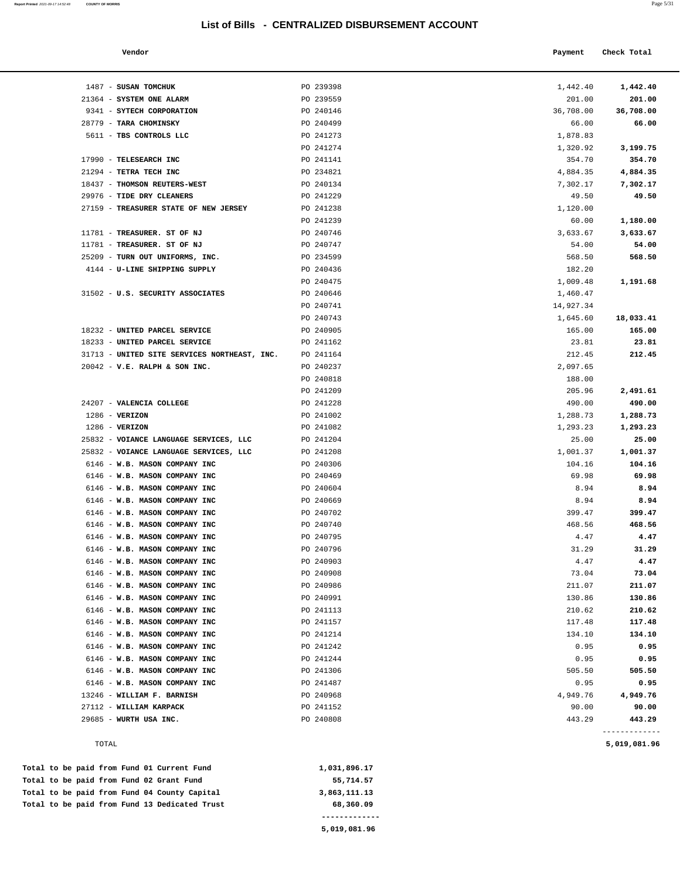**Report Printed** 2021-09-17 14:52:48 **COUNTY OF MORRIS** 

| a. | $\sim$<br>×<br>٧ |  |
|----|------------------|--|
|    |                  |  |

| Vendor | Payment Check Total |
|--------|---------------------|
|        |                     |

| 1487 - SUSAN TOMCHUK                         | PO 239398 | 1,442.40  | 1,442.40      |
|----------------------------------------------|-----------|-----------|---------------|
| 21364 - SYSTEM ONE ALARM                     | PO 239559 | 201.00    | 201.00        |
| 9341 - SYTECH CORPORATION                    | PO 240146 | 36,708.00 | 36,708.00     |
| 28779 - TARA CHOMINSKY                       | PO 240499 | 66.00     | 66.00         |
| 5611 - TBS CONTROLS LLC                      | PO 241273 | 1,878.83  |               |
|                                              | PO 241274 | 1,320.92  | 3,199.75      |
| 17990 - TELESEARCH INC                       | PO 241141 | 354.70    | 354.70        |
| 21294 - TETRA TECH INC                       | PO 234821 | 4,884.35  | 4,884.35      |
| 18437 - THOMSON REUTERS-WEST                 | PO 240134 | 7,302.17  | 7,302.17      |
| 29976 - TIDE DRY CLEANERS                    | PO 241229 | 49.50     | 49.50         |
| 27159 - TREASURER STATE OF NEW JERSEY        | PO 241238 | 1,120.00  |               |
|                                              | PO 241239 | 60.00     | 1,180.00      |
| 11781 - TREASURER. ST OF NJ                  | PO 240746 | 3,633.67  | 3,633.67      |
| 11781 - TREASURER. ST OF NJ                  | PO 240747 | 54.00     | 54.00         |
| 25209 - TURN OUT UNIFORMS, INC.              | PO 234599 | 568.50    | 568.50        |
| 4144 - U-LINE SHIPPING SUPPLY                | PO 240436 | 182.20    |               |
|                                              | PO 240475 | 1,009.48  | 1,191.68      |
| 31502 - U.S. SECURITY ASSOCIATES             | PO 240646 | 1,460.47  |               |
|                                              | PO 240741 | 14,927.34 |               |
|                                              | PO 240743 | 1,645.60  | 18,033.41     |
| 18232 - UNITED PARCEL SERVICE                | PO 240905 | 165.00    | 165.00        |
| 18233 - UNITED PARCEL SERVICE                | PO 241162 | 23.81     | 23.81         |
| 31713 - UNITED SITE SERVICES NORTHEAST, INC. | PO 241164 | 212.45    | 212.45        |
| $20042$ - V.E. RALPH & SON INC.              | PO 240237 | 2,097.65  |               |
|                                              | PO 240818 | 188.00    |               |
|                                              | PO 241209 | 205.96    | 2,491.61      |
| 24207 - VALENCIA COLLEGE                     | PO 241228 | 490.00    | 490.00        |
| $1286$ - VERIZON                             | PO 241002 | 1,288.73  | 1,288.73      |
| $1286$ - VERIZON                             | PO 241082 | 1,293.23  | 1,293.23      |
| 25832 - VOIANCE LANGUAGE SERVICES, LLC       | PO 241204 | 25.00     | 25.00         |
| 25832 - VOIANCE LANGUAGE SERVICES, LLC       | PO 241208 | 1,001.37  | 1,001.37      |
| 6146 - W.B. MASON COMPANY INC                | PO 240306 | 104.16    | 104.16        |
| 6146 - W.B. MASON COMPANY INC                | PO 240469 | 69.98     | 69.98         |
| 6146 - W.B. MASON COMPANY INC                | PO 240604 | 8.94      | 8.94          |
| 6146 - W.B. MASON COMPANY INC                | PO 240669 | 8.94      | 8.94          |
| 6146 - W.B. MASON COMPANY INC                | PO 240702 | 399.47    | 399.47        |
| 6146 - W.B. MASON COMPANY INC                | PO 240740 | 468.56    | 468.56        |
| 6146 - W.B. MASON COMPANY INC                | PO 240795 | 4.47      | 4.47          |
| 6146 - W.B. MASON COMPANY INC                | PO 240796 | 31.29     | 31.29         |
| 6146 - W.B. MASON COMPANY INC                | PO 240903 | 4.47      | 4.47          |
| 6146 - W.B. MASON COMPANY INC                | PO 240908 | 73.04     | 73.04         |
| 6146 - W.B. MASON COMPANY INC                | PO 240986 | 211.07    | 211.07        |
| 6146 - W.B. MASON COMPANY INC                | PO 240991 | 130.86    | 130.86        |
| 6146 - W.B. MASON COMPANY INC                | PO 241113 | 210.62    | 210.62        |
| 6146 - W.B. MASON COMPANY INC                | PO 241157 | 117.48    | 117.48        |
| 6146 - W.B. MASON COMPANY INC                | PO 241214 | 134.10    | 134.10        |
| 6146 - W.B. MASON COMPANY INC                | PO 241242 | 0.95      | 0.95          |
| 6146 - W.B. MASON COMPANY INC                | PO 241244 | 0.95      | 0.95          |
| 6146 - W.B. MASON COMPANY INC                | PO 241306 | 505.50    | 505.50        |
| 6146 - W.B. MASON COMPANY INC                | PO 241487 | 0.95      | 0.95          |
| 13246 - WILLIAM F. BARNISH                   | PO 240968 | 4,949.76  | 4,949.76      |
| 27112 - WILLIAM KARPACK                      | PO 241152 | 90.00     | 90.00         |
| 29685 - WURTH USA INC.                       | PO 240808 | 443.29    | 443.29        |
|                                              |           |           | ------------- |

| Total to be paid from Fund 13 Dedicated Trust | 68,360.09    |
|-----------------------------------------------|--------------|
| Total to be paid from Fund 04 County Capital  | 3,863,111,13 |
| Total to be paid from Fund 02 Grant Fund      | 55,714.57    |
| Total to be paid from Fund 01 Current Fund    | 1,031,896.17 |

**5,019,081.96** 

TOTAL **5,019,081.96**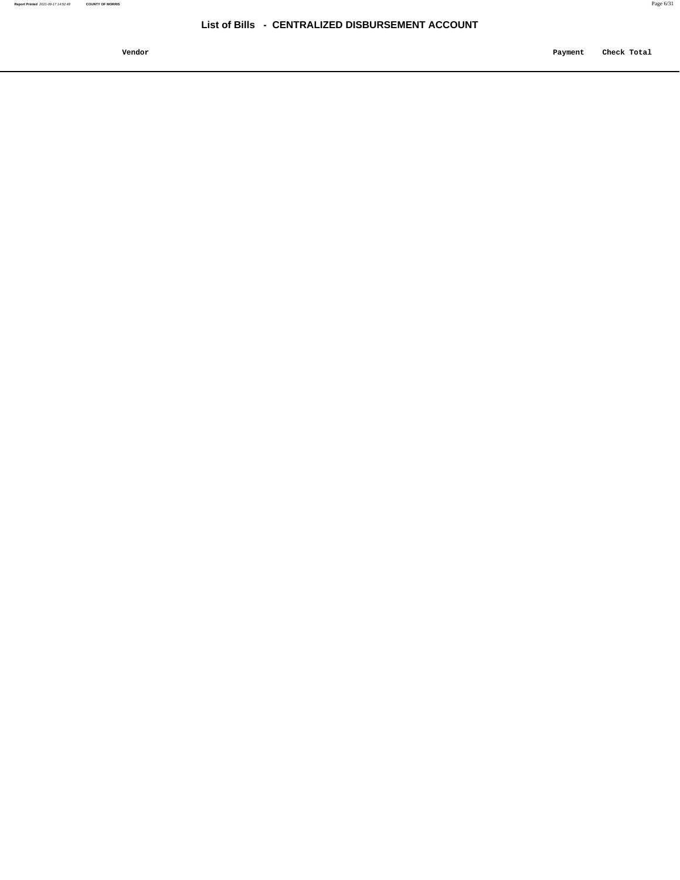**Vendor Payment Check Total**   $\blacksquare$  Payment Check Total **Payment** Check Total **Payment**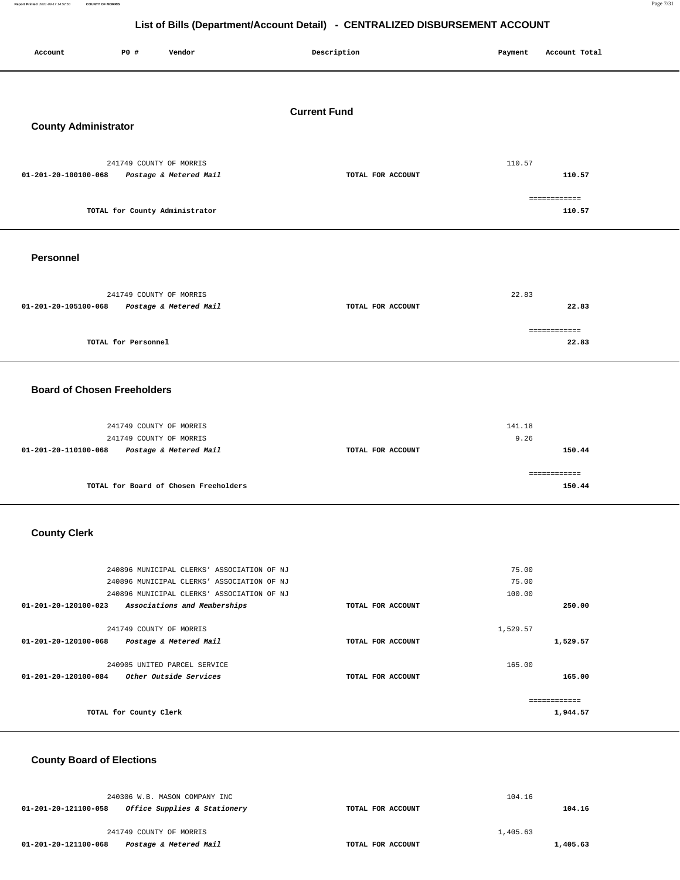**Report Printed** 2021-09-17 14:52:50 **COUNTY OF MORRIS** Page 7/31

# **List of Bills (Department/Account Detail) - CENTRALIZED DISBURSEMENT ACCOUNT**

| --- - - - ----<br>P0 #<br>Vendor<br>Account                               | Description         | Payment<br>Account Total |  |  |
|---------------------------------------------------------------------------|---------------------|--------------------------|--|--|
|                                                                           | <b>Current Fund</b> |                          |  |  |
| <b>County Administrator</b>                                               |                     |                          |  |  |
|                                                                           |                     |                          |  |  |
| 241749 COUNTY OF MORRIS<br>01-201-20-100100-068<br>Postage & Metered Mail | TOTAL FOR ACCOUNT   | 110.57<br>110.57         |  |  |
|                                                                           |                     |                          |  |  |
| TOTAL for County Administrator                                            |                     | ============<br>110.57   |  |  |
| <b>Personnel</b>                                                          |                     |                          |  |  |
|                                                                           |                     |                          |  |  |
| 241749 COUNTY OF MORRIS                                                   |                     | 22.83                    |  |  |
| 01-201-20-105100-068<br>Postage & Metered Mail                            | TOTAL FOR ACCOUNT   | 22.83                    |  |  |
|                                                                           |                     | ============             |  |  |
| TOTAL for Personnel                                                       |                     | 22.83                    |  |  |
| <b>Board of Chosen Freeholders</b>                                        |                     |                          |  |  |
| 241749 COUNTY OF MORRIS                                                   |                     | 141.18                   |  |  |
| 241749 COUNTY OF MORRIS                                                   |                     | 9.26                     |  |  |
| 01-201-20-110100-068<br>Postage & Metered Mail                            | TOTAL FOR ACCOUNT   | 150.44                   |  |  |
|                                                                           |                     | ============             |  |  |
| TOTAL for Board of Chosen Freeholders                                     |                     | 150.44                   |  |  |
| <b>County Clerk</b>                                                       |                     |                          |  |  |
|                                                                           |                     |                          |  |  |
| 240896 MUNICIPAL CLERKS' ASSOCIATION OF NJ                                |                     | 75.00                    |  |  |
| 240896 MUNICIPAL CLERKS' ASSOCIATION OF NJ                                |                     | 75.00                    |  |  |
| 240896 MUNICIPAL CLERKS' ASSOCIATION OF NJ                                |                     | 100.00                   |  |  |
| 01-201-20-120100-023<br>Associations and Memberships                      | TOTAL FOR ACCOUNT   | 250.00                   |  |  |
| 241749 COUNTY OF MORRIS                                                   |                     | 1,529.57                 |  |  |
| 01-201-20-120100-068<br>Postage & Metered Mail                            | TOTAL FOR ACCOUNT   | 1,529.57                 |  |  |
| 240905 UNITED PARCEL SERVICE                                              |                     | 165.00                   |  |  |
| 01-201-20-120100-084<br>Other Outside Services                            | TOTAL FOR ACCOUNT   | 165.00                   |  |  |
|                                                                           |                     | ============             |  |  |
| TOTAL for County Clerk                                                    |                     | 1,944.57                 |  |  |
|                                                                           |                     |                          |  |  |

## **County Board of Elections**

|                      | 240306 W.B. MASON COMPANY INC |                   | 104.16   |
|----------------------|-------------------------------|-------------------|----------|
| 01-201-20-121100-058 | Office Supplies & Stationery  | TOTAL FOR ACCOUNT | 104.16   |
|                      | 241749 COUNTY OF MORRIS       |                   | 1,405.63 |
| 01-201-20-121100-068 | Postage & Metered Mail        | TOTAL FOR ACCOUNT | 1,405.63 |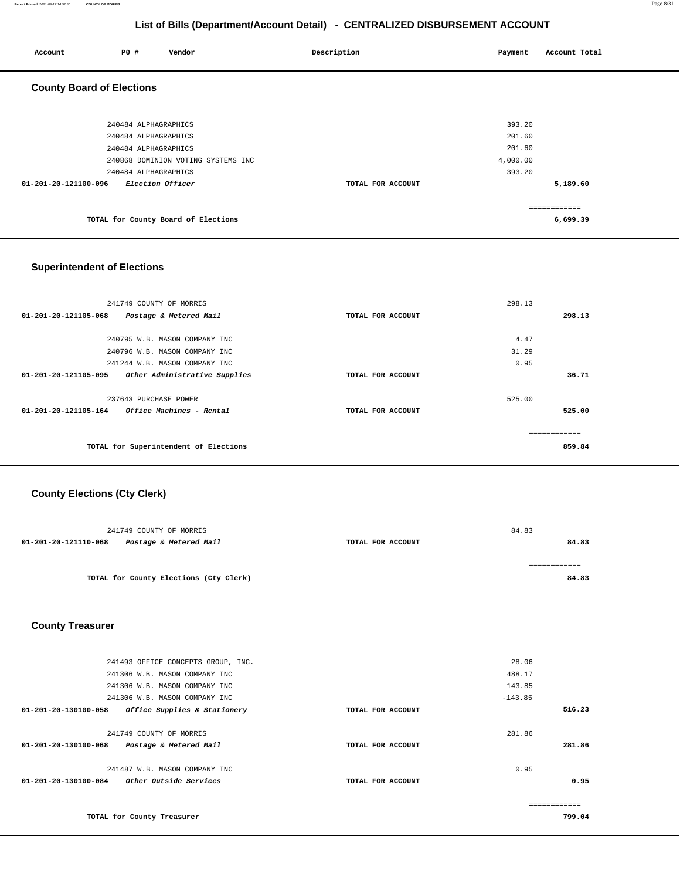| P0 #<br>Vendor<br>Account                | Description       | Account Total<br>Payment |
|------------------------------------------|-------------------|--------------------------|
| <b>County Board of Elections</b>         |                   |                          |
|                                          |                   |                          |
| 240484 ALPHAGRAPHICS                     |                   | 393.20                   |
| 240484 ALPHAGRAPHICS                     |                   | 201.60                   |
| 240484 ALPHAGRAPHICS                     |                   | 201.60                   |
| 240868 DOMINION VOTING SYSTEMS INC       |                   | 4,000.00                 |
| 240484 ALPHAGRAPHICS                     |                   | 393.20                   |
| 01-201-20-121100-096<br>Election Officer | TOTAL FOR ACCOUNT | 5,189.60                 |
|                                          |                   |                          |
|                                          |                   | ============             |
| TOTAL for County Board of Elections      |                   | 6,699.39                 |

## **Superintendent of Elections**

| 241749 COUNTY OF MORRIS                                        |                   | 298.13       |
|----------------------------------------------------------------|-------------------|--------------|
| $01 - 201 - 20 - 121105 - 068$<br>Postage & Metered Mail       | TOTAL FOR ACCOUNT | 298.13       |
|                                                                |                   |              |
| 240795 W.B. MASON COMPANY INC                                  |                   | 4.47         |
| 240796 W.B. MASON COMPANY INC                                  |                   | 31.29        |
| 241244 W.B. MASON COMPANY INC                                  |                   | 0.95         |
| 01-201-20-121105-095<br>Other Administrative Supplies          | TOTAL FOR ACCOUNT | 36.71        |
|                                                                |                   |              |
| 237643 PURCHASE POWER                                          |                   | 525.00       |
| <i><b>Office Machines - Rental</b></i><br>01-201-20-121105-164 | TOTAL FOR ACCOUNT | 525.00       |
|                                                                |                   |              |
|                                                                |                   | ============ |
| TOTAL for Superintendent of Elections                          |                   | 859.84       |
|                                                                |                   |              |

## **County Elections (Cty Clerk)**

| 241749 COUNTY OF MORRIS                        |                   | 84.83 |
|------------------------------------------------|-------------------|-------|
| Postage & Metered Mail<br>01-201-20-121110-068 | TOTAL FOR ACCOUNT | 84.83 |
|                                                |                   |       |
|                                                |                   |       |
| TOTAL for County Elections (Cty Clerk)         |                   | 84.83 |
|                                                |                   |       |

### **County Treasurer**

| 241493 OFFICE CONCEPTS GROUP, INC.                   |                   | 28.06     |
|------------------------------------------------------|-------------------|-----------|
| 241306 W.B. MASON COMPANY INC                        |                   | 488.17    |
| 241306 W.B. MASON COMPANY INC                        |                   | 143.85    |
| 241306 W.B. MASON COMPANY INC                        |                   | $-143.85$ |
| 01-201-20-130100-058<br>Office Supplies & Stationery | TOTAL FOR ACCOUNT | 516.23    |
|                                                      |                   |           |
| 241749 COUNTY OF MORRIS                              |                   | 281.86    |
| Postage & Metered Mail<br>01-201-20-130100-068       | TOTAL FOR ACCOUNT | 281.86    |
|                                                      |                   |           |
| 241487 W.B. MASON COMPANY INC                        |                   | 0.95      |
| 01-201-20-130100-084<br>Other Outside Services       | TOTAL FOR ACCOUNT | 0.95      |
|                                                      |                   |           |
|                                                      |                   |           |
| TOTAL for County Treasurer                           |                   | 799.04    |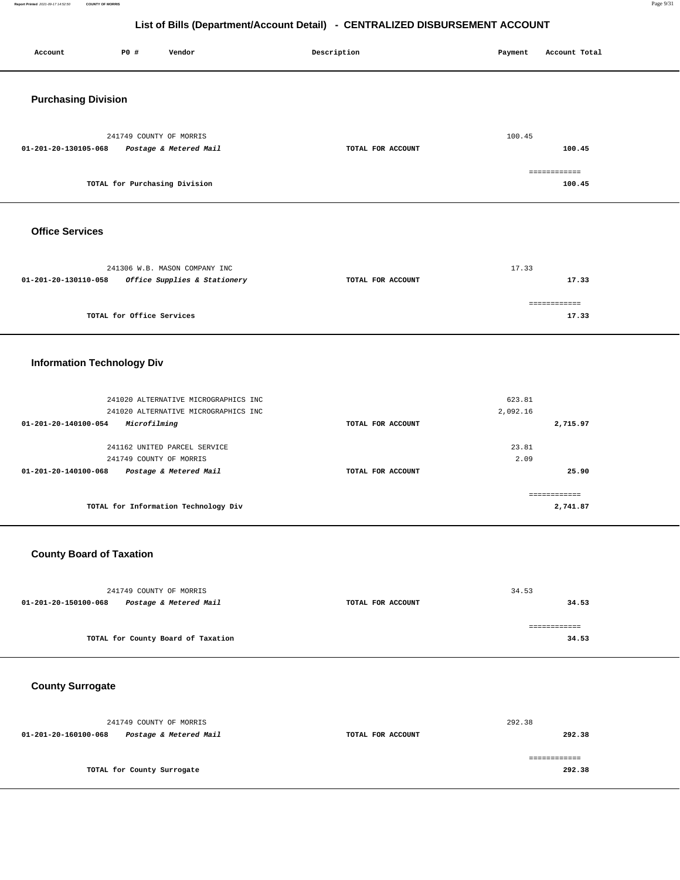**Report Printed** 2021-09-17 14:52:50 **COUNTY OF MORRIS** Page 9/31

## **List of Bills (Department/Account Detail) - CENTRALIZED DISBURSEMENT ACCOUNT**

| Account                           | P0 #                       | Vendor                                                                       | Description |                   | Payment            | Account Total            |  |
|-----------------------------------|----------------------------|------------------------------------------------------------------------------|-------------|-------------------|--------------------|--------------------------|--|
| <b>Purchasing Division</b>        |                            |                                                                              |             |                   |                    |                          |  |
| 01-201-20-130105-068              | 241749 COUNTY OF MORRIS    | Postage & Metered Mail                                                       |             | TOTAL FOR ACCOUNT | 100.45             | 100.45                   |  |
|                                   |                            | TOTAL for Purchasing Division                                                |             |                   |                    | ============<br>100.45   |  |
| <b>Office Services</b>            |                            |                                                                              |             |                   |                    |                          |  |
| 01-201-20-130110-058              |                            | 241306 W.B. MASON COMPANY INC<br>Office Supplies & Stationery                |             | TOTAL FOR ACCOUNT | 17.33              | 17.33                    |  |
|                                   | TOTAL for Office Services  |                                                                              |             |                   |                    | ============<br>17.33    |  |
| <b>Information Technology Div</b> |                            |                                                                              |             |                   |                    |                          |  |
| 01-201-20-140100-054              | Microfilming               | 241020 ALTERNATIVE MICROGRAPHICS INC<br>241020 ALTERNATIVE MICROGRAPHICS INC |             | TOTAL FOR ACCOUNT | 623.81<br>2,092.16 | 2,715.97                 |  |
| 01-201-20-140100-068              | 241749 COUNTY OF MORRIS    | 241162 UNITED PARCEL SERVICE<br>Postage & Metered Mail                       |             | TOTAL FOR ACCOUNT | 23.81<br>2.09      | 25.90                    |  |
|                                   |                            | TOTAL for Information Technology Div                                         |             |                   |                    | ------------<br>2,741.87 |  |
| <b>County Board of Taxation</b>   |                            |                                                                              |             |                   |                    |                          |  |
| 01-201-20-150100-068              | 241749 COUNTY OF MORRIS    | Postage & Metered Mail                                                       |             | TOTAL FOR ACCOUNT | 34.53              | 34.53                    |  |
|                                   |                            | TOTAL for County Board of Taxation                                           |             |                   |                    | ------------<br>34.53    |  |
| <b>County Surrogate</b>           |                            |                                                                              |             |                   |                    |                          |  |
| 01-201-20-160100-068              | 241749 COUNTY OF MORRIS    | Postage & Metered Mail                                                       |             | TOTAL FOR ACCOUNT | 292.38             | 292.38                   |  |
|                                   | TOTAL for County Surrogate |                                                                              |             |                   |                    | ============<br>292.38   |  |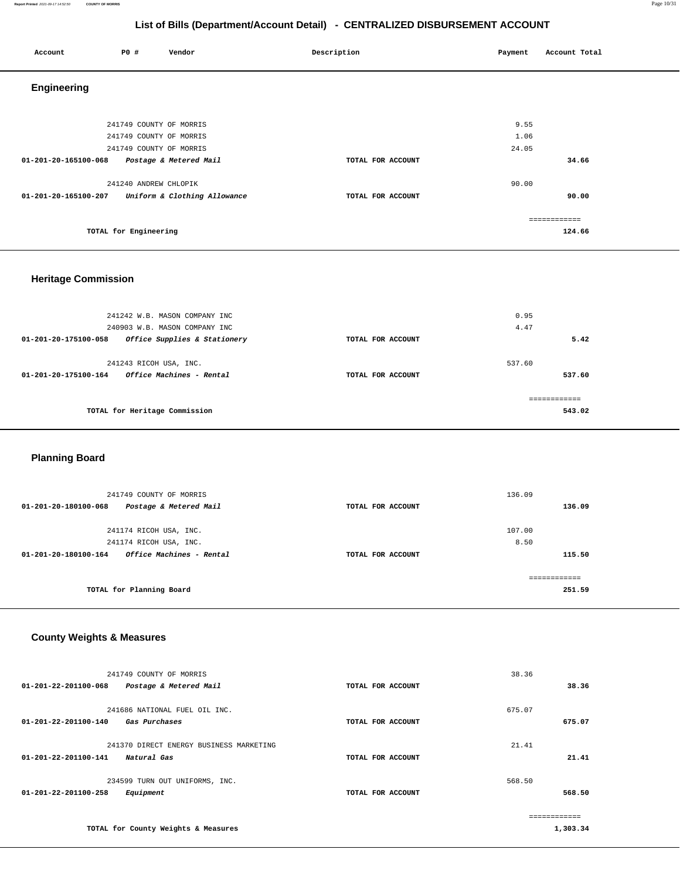#### **Report Printed** 2021-09-17 14:52:50 **COUNTY OF MORRIS** Page 10/31

## **List of Bills (Department/Account Detail) - CENTRALIZED DISBURSEMENT ACCOUNT**

| Account              | P0 #                    | Vendor                       | Description       | Payment | Account Total |
|----------------------|-------------------------|------------------------------|-------------------|---------|---------------|
| <b>Engineering</b>   |                         |                              |                   |         |               |
|                      |                         |                              |                   |         |               |
|                      | 241749 COUNTY OF MORRIS |                              |                   | 9.55    |               |
|                      | 241749 COUNTY OF MORRIS |                              |                   | 1.06    |               |
|                      | 241749 COUNTY OF MORRIS |                              |                   | 24.05   |               |
| 01-201-20-165100-068 |                         | Postage & Metered Mail       | TOTAL FOR ACCOUNT |         | 34.66         |
|                      | 241240 ANDREW CHLOPIK   |                              |                   | 90.00   |               |
| 01-201-20-165100-207 |                         | Uniform & Clothing Allowance | TOTAL FOR ACCOUNT |         | 90.00         |
|                      |                         |                              |                   |         | ============  |
|                      | TOTAL for Engineering   |                              |                   |         | 124.66        |
|                      |                         |                              |                   |         |               |

## **Heritage Commission**

| 241242 W.B. MASON COMPANY INC                                              |                   | 0.95             |
|----------------------------------------------------------------------------|-------------------|------------------|
| 240903 W.B. MASON COMPANY INC                                              |                   | 4.47             |
| Office Supplies & Stationery<br>01-201-20-175100-058                       | TOTAL FOR ACCOUNT | 5.42             |
| 241243 RICOH USA, INC.<br>Office Machines - Rental<br>01-201-20-175100-164 | TOTAL FOR ACCOUNT | 537.60<br>537.60 |
| TOTAL for Heritage Commission                                              |                   | 543.02           |

## **Planning Board**

| 241749 COUNTY OF MORRIS                          |                   | 136.09 |
|--------------------------------------------------|-------------------|--------|
| Postage & Metered Mail<br>01-201-20-180100-068   | TOTAL FOR ACCOUNT | 136.09 |
|                                                  |                   |        |
| 241174 RICOH USA, INC.                           |                   | 107.00 |
| 241174 RICOH USA, INC.                           |                   | 8.50   |
| Office Machines - Rental<br>01-201-20-180100-164 | TOTAL FOR ACCOUNT | 115.50 |
|                                                  |                   |        |
| TOTAL for Planning Board                         |                   | 251.59 |

## **County Weights & Measures**

| 241749 COUNTY OF MORRIS<br>01-201-22-201100-068<br>Postage & Metered Mail            | TOTAL FOR ACCOUNT | 38.36<br>38.36   |
|--------------------------------------------------------------------------------------|-------------------|------------------|
| 241686 NATIONAL FUEL OIL INC.<br>01-201-22-201100-140<br><i><b>Gas Purchases</b></i> | TOTAL FOR ACCOUNT | 675.07<br>675.07 |
| 241370 DIRECT ENERGY BUSINESS MARKETING<br>01-201-22-201100-141<br>Natural Gas       | TOTAL FOR ACCOUNT | 21.41<br>21.41   |
| 234599 TURN OUT UNIFORMS, INC.<br>01-201-22-201100-258<br>Equipment                  | TOTAL FOR ACCOUNT | 568.50<br>568.50 |
| TOTAL for County Weights & Measures                                                  |                   | 1,303.34         |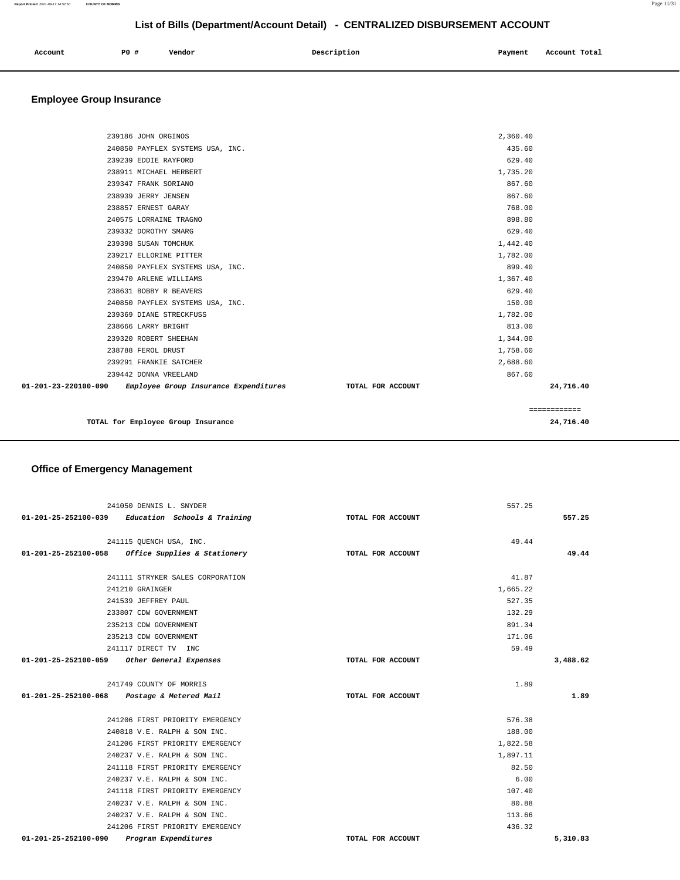| Account | P0 # | Vendor | Description | Payment | Account Total |
|---------|------|--------|-------------|---------|---------------|
|         |      |        |             |         |               |

## **Employee Group Insurance**

| TOTAL for Employee Group Insurance                            |                   |              | 24,716.40 |
|---------------------------------------------------------------|-------------------|--------------|-----------|
|                                                               |                   | ============ |           |
| 01-201-23-220100-090<br>Employee Group Insurance Expenditures | TOTAL FOR ACCOUNT |              | 24,716.40 |
| 239442 DONNA VREELAND                                         |                   | 867.60       |           |
| 239291 FRANKIE SATCHER                                        |                   | 2,688.60     |           |
| 238788 FEROL DRUST                                            |                   | 1,758.60     |           |
| 239320 ROBERT SHEEHAN                                         |                   | 1,344.00     |           |
| 238666 LARRY BRIGHT                                           |                   | 813.00       |           |
| 239369 DIANE STRECKFUSS                                       |                   | 1,782.00     |           |
| 240850 PAYFLEX SYSTEMS USA, INC.                              |                   | 150.00       |           |
| 238631 BOBBY R BEAVERS                                        |                   | 629.40       |           |
| 239470 ARLENE WILLIAMS                                        |                   | 1,367.40     |           |
| 240850 PAYFLEX SYSTEMS USA, INC.                              |                   | 899.40       |           |
| 239217 ELLORINE PITTER                                        |                   | 1,782.00     |           |
| 239398 SUSAN TOMCHUK                                          |                   | 1,442.40     |           |
| 239332 DOROTHY SMARG                                          |                   | 629.40       |           |
| 240575 LORRAINE TRAGNO                                        |                   | 898.80       |           |
| 238857 ERNEST GARAY                                           |                   | 768.00       |           |
| 238939 JERRY JENSEN                                           |                   | 867.60       |           |
| 239347 FRANK SORIANO                                          |                   | 867.60       |           |
| 238911 MICHAEL HERBERT                                        |                   | 1,735.20     |           |
| 239239 EDDIE RAYFORD                                          |                   | 629.40       |           |
| 240850 PAYFLEX SYSTEMS USA, INC.                              |                   | 435.60       |           |
| 239186 JOHN ORGINOS                                           |                   | 2,360.40     |           |
|                                                               |                   |              |           |

# **Office of Emergency Management**

| 241050 DENNIS L. SNYDER                             |                   | 557.25   |          |
|-----------------------------------------------------|-------------------|----------|----------|
| $01-201-25-252100-039$ Education Schools & Training | TOTAL FOR ACCOUNT |          | 557.25   |
| 241115 OUENCH USA, INC.                             |                   | 49.44    |          |
| $01-201-25-252100-058$ Office Supplies & Stationery | TOTAL FOR ACCOUNT |          | 49.44    |
|                                                     |                   |          |          |
| 241111 STRYKER SALES CORPORATION                    |                   | 41.87    |          |
| 241210 GRAINGER                                     |                   | 1,665.22 |          |
| 241539 JEFFREY PAUL                                 |                   | 527.35   |          |
| 233807 CDW GOVERNMENT                               |                   | 132.29   |          |
| 235213 CDW GOVERNMENT                               |                   | 891.34   |          |
| 235213 CDW GOVERNMENT                               |                   | 171.06   |          |
| 241117 DIRECT TV INC                                |                   | 59.49    |          |
| 01-201-25-252100-059 Other General Expenses         | TOTAL FOR ACCOUNT |          | 3,488.62 |
|                                                     |                   |          |          |
| 241749 COUNTY OF MORRIS                             |                   | 1.89     |          |
| 01-201-25-252100-068 Postage & Metered Mail         | TOTAL FOR ACCOUNT |          | 1.89     |
| 241206 FIRST PRIORITY EMERGENCY                     |                   | 576.38   |          |
| 240818 V.E. RALPH & SON INC.                        |                   | 188.00   |          |
| 241206 FIRST PRIORITY EMERGENCY                     |                   | 1,822.58 |          |
| 240237 V.E. RALPH & SON INC.                        |                   | 1,897.11 |          |
| 241118 FIRST PRIORITY EMERGENCY                     |                   | 82.50    |          |
| 240237 V.E. RALPH & SON INC.                        |                   | 6.00     |          |
| 241118 FIRST PRIORITY EMERGENCY                     |                   | 107.40   |          |
| 240237 V.E. RALPH & SON INC.                        |                   | 80.88    |          |
|                                                     |                   |          |          |
| 240237 V.E. RALPH & SON INC.                        |                   | 113.66   |          |
| 241206 FIRST PRIORITY EMERGENCY                     |                   | 436.32   |          |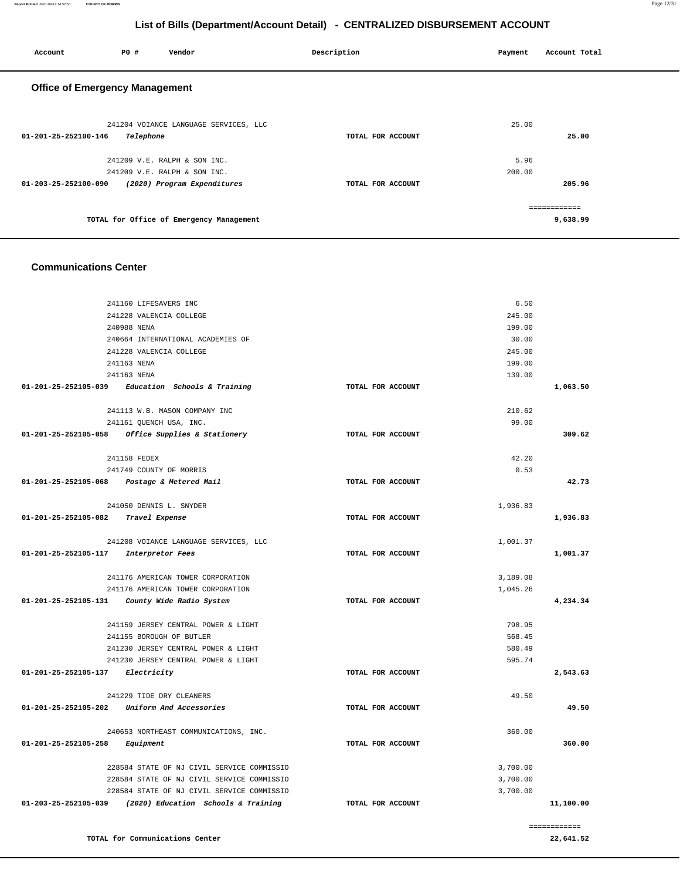| Account                               | P0 #      | Vendor                                   | Description       | Payment | Account Total            |
|---------------------------------------|-----------|------------------------------------------|-------------------|---------|--------------------------|
| <b>Office of Emergency Management</b> |           |                                          |                   |         |                          |
| 01-201-25-252100-146                  | Telephone | 241204 VOIANCE LANGUAGE SERVICES, LLC    | TOTAL FOR ACCOUNT | 25.00   | 25.00                    |
|                                       |           | 241209 V.E. RALPH & SON INC.             |                   | 5.96    |                          |
|                                       |           | 241209 V.E. RALPH & SON INC.             |                   | 200.00  |                          |
| 01-203-25-252100-090                  |           | (2020) Program Expenditures              | TOTAL FOR ACCOUNT |         | 205.96                   |
|                                       |           | TOTAL for Office of Emergency Management |                   |         | ============<br>9,638.99 |

#### **Communications Center**

| 241160 LIFESAVERS INC                                    |                   | 6.50     |              |
|----------------------------------------------------------|-------------------|----------|--------------|
| 241228 VALENCIA COLLEGE                                  |                   | 245.00   |              |
| 240988 NENA                                              |                   | 199.00   |              |
| 240664 INTERNATIONAL ACADEMIES OF                        |                   | 30.00    |              |
| 241228 VALENCIA COLLEGE                                  |                   | 245.00   |              |
| 241163 NENA                                              |                   | 199.00   |              |
| 241163 NENA                                              |                   | 139.00   |              |
| 01-201-25-252105-039 Education Schools & Training        | TOTAL FOR ACCOUNT |          | 1,063.50     |
|                                                          |                   |          |              |
| 241113 W.B. MASON COMPANY INC                            |                   | 210.62   |              |
| 241161 QUENCH USA, INC.                                  |                   | 99.00    |              |
| 01-201-25-252105-058 Office Supplies & Stationery        | TOTAL FOR ACCOUNT |          | 309.62       |
| 241158 FEDEX                                             |                   | 42.20    |              |
| 241749 COUNTY OF MORRIS                                  |                   | 0.53     |              |
| 01-201-25-252105-068 Postage & Metered Mail              | TOTAL FOR ACCOUNT |          | 42.73        |
|                                                          |                   |          |              |
| 241050 DENNIS L. SNYDER                                  |                   | 1,936.83 |              |
| 01-201-25-252105-082 Travel Expense                      | TOTAL FOR ACCOUNT |          | 1,936.83     |
|                                                          |                   |          |              |
| 241208 VOIANCE LANGUAGE SERVICES, LLC                    |                   | 1,001.37 |              |
| 01-201-25-252105-117 Interpretor Fees                    | TOTAL FOR ACCOUNT |          | 1,001.37     |
|                                                          |                   |          |              |
| 241176 AMERICAN TOWER CORPORATION                        |                   | 3,189.08 |              |
| 241176 AMERICAN TOWER CORPORATION                        |                   | 1,045.26 |              |
| 01-201-25-252105-131<br>County Wide Radio System         | TOTAL FOR ACCOUNT |          | 4,234.34     |
| 241159 JERSEY CENTRAL POWER & LIGHT                      |                   | 798.95   |              |
| 241155 BOROUGH OF BUTLER                                 |                   | 568.45   |              |
| 241230 JERSEY CENTRAL POWER & LIGHT                      |                   | 580.49   |              |
| 241230 JERSEY CENTRAL POWER & LIGHT                      |                   | 595.74   |              |
| 01-201-25-252105-137 Electricity                         | TOTAL FOR ACCOUNT |          | 2,543.63     |
| 241229 TIDE DRY CLEANERS                                 |                   | 49.50    |              |
| 01-201-25-252105-202 Uniform And Accessories             | TOTAL FOR ACCOUNT |          | 49.50        |
|                                                          |                   |          |              |
| 240653 NORTHEAST COMMUNICATIONS, INC.                    |                   | 360.00   |              |
| 01-201-25-252105-258<br>Equipment                        | TOTAL FOR ACCOUNT |          | 360.00       |
| 228584 STATE OF NJ CIVIL SERVICE COMMISSIO               |                   | 3,700.00 |              |
| 228584 STATE OF NJ CIVIL SERVICE COMMISSIO               |                   | 3,700.00 |              |
| 228584 STATE OF NJ CIVIL SERVICE COMMISSIO               |                   | 3,700.00 |              |
| 01-203-25-252105-039 (2020) Education Schools & Training | TOTAL FOR ACCOUNT |          | 11,100.00    |
|                                                          |                   |          |              |
|                                                          |                   |          | ============ |
| TOTAL for Communications Center                          |                   |          | 22,641.52    |

**22,641.52**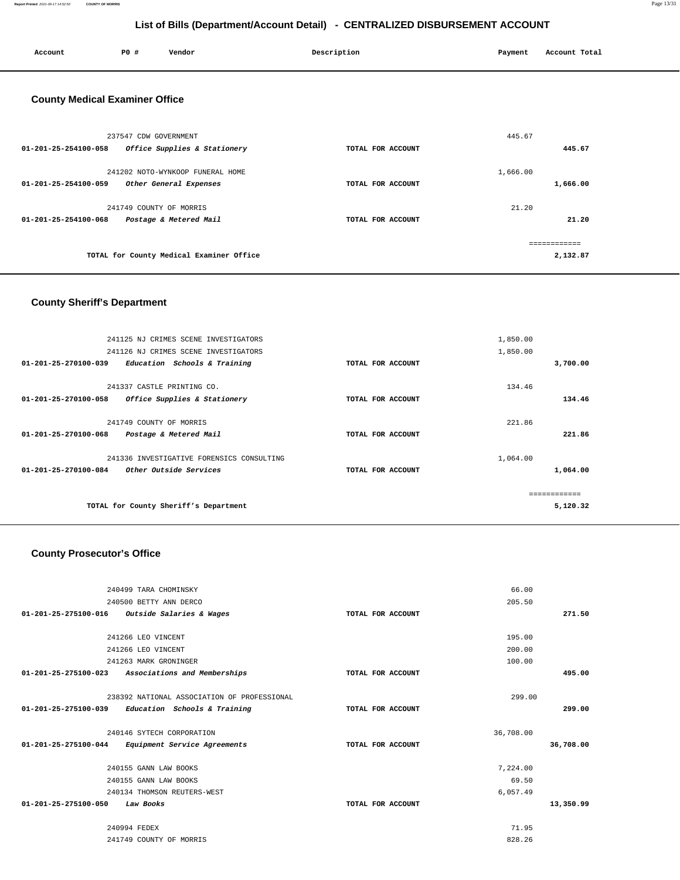**Report Printed** 2021-09-17 14:52:50 **COUNTY OF MORRIS** Page 13/31

## **List of Bills (Department/Account Detail) - CENTRALIZED DISBURSEMENT ACCOUNT**

| Account                               | P0 #                    | Vendor                                   | Description       | Payment  | Account Total |
|---------------------------------------|-------------------------|------------------------------------------|-------------------|----------|---------------|
| <b>County Medical Examiner Office</b> |                         |                                          |                   |          |               |
|                                       | 237547 CDW GOVERNMENT   |                                          |                   | 445.67   |               |
| 01-201-25-254100-058                  |                         | Office Supplies & Stationery             | TOTAL FOR ACCOUNT |          | 445.67        |
|                                       |                         | 241202 NOTO-WYNKOOP FUNERAL HOME         |                   | 1,666.00 |               |
| $01 - 201 - 25 - 254100 - 059$        |                         | Other General Expenses                   | TOTAL FOR ACCOUNT |          | 1,666.00      |
|                                       | 241749 COUNTY OF MORRIS |                                          |                   | 21.20    |               |
| $01 - 201 - 25 - 254100 - 068$        |                         | Postage & Metered Mail                   | TOTAL FOR ACCOUNT |          | 21.20         |
|                                       |                         |                                          |                   |          | ============  |
|                                       |                         | TOTAL for County Medical Examiner Office |                   |          | 2,132.87      |
|                                       |                         |                                          |                   |          |               |

## **County Sheriff's Department**

| 241125 NJ CRIMES SCENE INVESTIGATORS                                                                  |                   | 1,850.00             |
|-------------------------------------------------------------------------------------------------------|-------------------|----------------------|
| 241126 NJ CRIMES SCENE INVESTIGATORS                                                                  |                   | 1,850.00             |
| 01-201-25-270100-039<br>Education Schools & Training                                                  | TOTAL FOR ACCOUNT | 3,700.00             |
| 241337 CASTLE PRINTING CO.                                                                            |                   | 134.46               |
| $01 - 201 - 25 - 270100 - 058$<br>Office Supplies & Stationery                                        | TOTAL FOR ACCOUNT | 134.46               |
| 241749 COUNTY OF MORRIS                                                                               |                   | 221.86               |
| 01-201-25-270100-068<br>Postage & Metered Mail                                                        | TOTAL FOR ACCOUNT | 221.86               |
| 241336 INVESTIGATIVE FORENSICS CONSULTING<br>Other Outside Services<br>$01 - 201 - 25 - 270100 - 084$ | TOTAL FOR ACCOUNT | 1,064.00<br>1,064.00 |
|                                                                                                       |                   | -------------        |
| TOTAL for County Sheriff's Department                                                                 |                   | 5,120.32             |

### **County Prosecutor's Office**

| 240499 TARA CHOMINSKY                                          |                   | 66.00     |           |
|----------------------------------------------------------------|-------------------|-----------|-----------|
| 240500 BETTY ANN DERCO                                         |                   | 205.50    |           |
| $01-201-25-275100-016$ Outside Salaries & Wages                | TOTAL FOR ACCOUNT |           | 271.50    |
|                                                                |                   |           |           |
| 241266 LEO VINCENT                                             |                   | 195.00    |           |
| 241266 LEO VINCENT                                             |                   | 200.00    |           |
| 241263 MARK GRONINGER                                          |                   | 100.00    |           |
| 01-201-25-275100-023<br>Associations and Memberships           | TOTAL FOR ACCOUNT |           | 495.00    |
|                                                                |                   |           |           |
| 238392 NATIONAL ASSOCIATION OF PROFESSIONAL                    |                   | 299.00    |           |
| 01-201-25-275100-039<br>Education Schools & Training           | TOTAL FOR ACCOUNT |           | 299.00    |
|                                                                |                   |           |           |
| 240146 SYTECH CORPORATION                                      |                   | 36,708.00 |           |
| $01 - 201 - 25 - 275100 - 044$<br>Equipment Service Agreements | TOTAL FOR ACCOUNT |           | 36,708.00 |
|                                                                |                   |           |           |
| 240155 GANN LAW BOOKS                                          |                   | 7,224.00  |           |
| 240155 GANN LAW BOOKS                                          |                   | 69.50     |           |
| 240134 THOMSON REUTERS-WEST                                    |                   | 6,057.49  |           |
| 01-201-25-275100-050<br>Law Books                              | TOTAL FOR ACCOUNT |           | 13,350.99 |
|                                                                |                   |           |           |
| 240994 FEDEX                                                   |                   | 71.95     |           |
| 241749 COUNTY OF MORRIS                                        |                   | 828.26    |           |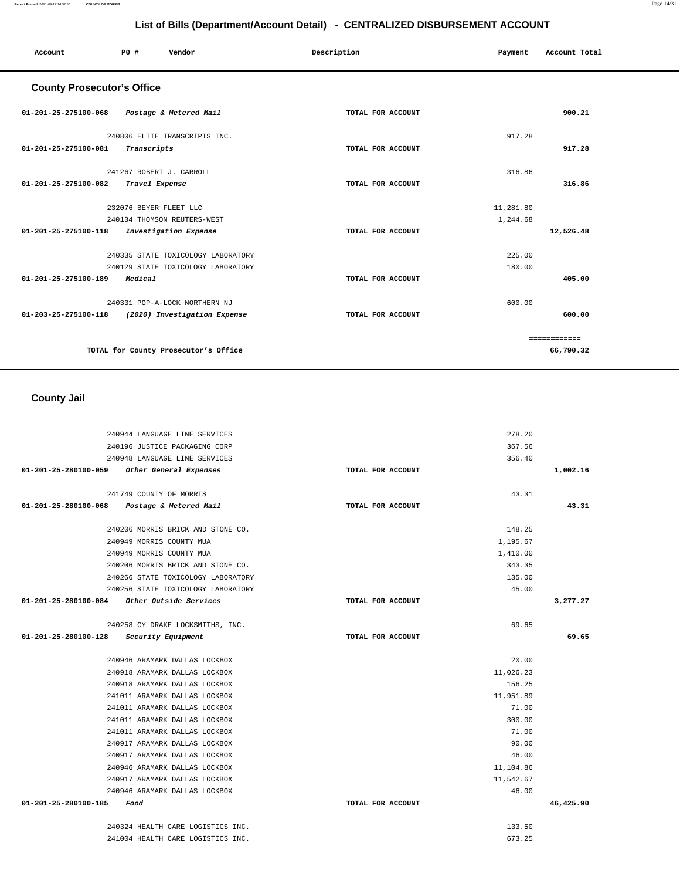#### **Report Printed** 2021-09-17 14:52:50 **COUNTY OF MORRIS** Page 14/31

## **List of Bills (Department/Account Detail) - CENTRALIZED DISBURSEMENT ACCOUNT**

| Account                           | P0 #                     | Vendor                               | Description       | Payment   | Account Total |
|-----------------------------------|--------------------------|--------------------------------------|-------------------|-----------|---------------|
| <b>County Prosecutor's Office</b> |                          |                                      |                   |           |               |
| 01-201-25-275100-068              |                          | Postage & Metered Mail               | TOTAL FOR ACCOUNT |           | 900.21        |
|                                   |                          | 240806 ELITE TRANSCRIPTS INC.        |                   | 917.28    |               |
| 01-201-25-275100-081              | Transcripts              |                                      | TOTAL FOR ACCOUNT |           | 917.28        |
|                                   | 241267 ROBERT J. CARROLL |                                      |                   | 316.86    |               |
| 01-201-25-275100-082              | Travel Expense           |                                      | TOTAL FOR ACCOUNT |           | 316.86        |
|                                   | 232076 BEYER FLEET LLC   |                                      |                   | 11,281.80 |               |
|                                   |                          | 240134 THOMSON REUTERS-WEST          |                   | 1,244.68  |               |
| 01-201-25-275100-118              |                          | Investigation Expense                | TOTAL FOR ACCOUNT |           | 12,526.48     |
|                                   |                          | 240335 STATE TOXICOLOGY LABORATORY   |                   | 225.00    |               |
|                                   |                          | 240129 STATE TOXICOLOGY LABORATORY   |                   | 180.00    |               |
| 01-201-25-275100-189              | Medical                  |                                      | TOTAL FOR ACCOUNT |           | 405.00        |
|                                   |                          | 240331 POP-A-LOCK NORTHERN NJ        |                   | 600.00    |               |
| 01-203-25-275100-118              |                          | (2020) Investigation Expense         | TOTAL FOR ACCOUNT |           | 600.00        |
|                                   |                          |                                      |                   |           | ============  |
|                                   |                          | TOTAL for County Prosecutor's Office |                   |           | 66,790.32     |

## **County Jail**

|                                                                        |                   | 278.20           |           |
|------------------------------------------------------------------------|-------------------|------------------|-----------|
| 240944 LANGUAGE LINE SERVICES<br>240196 JUSTICE PACKAGING CORP         |                   | 367.56           |           |
|                                                                        |                   |                  |           |
| 240948 LANGUAGE LINE SERVICES                                          |                   | 356.40           |           |
| 01-201-25-280100-059<br>Other General Expenses                         | TOTAL FOR ACCOUNT |                  | 1,002.16  |
| 241749 COUNTY OF MORRIS                                                |                   | 43.31            |           |
| 01-201-25-280100-068 Postage & Metered Mail                            | TOTAL FOR ACCOUNT |                  | 43.31     |
|                                                                        |                   |                  |           |
| 240206 MORRIS BRICK AND STONE CO.                                      |                   | 148.25           |           |
| 240949 MORRIS COUNTY MUA                                               |                   | 1,195.67         |           |
| 240949 MORRIS COUNTY MUA                                               |                   | 1,410.00         |           |
| 240206 MORRIS BRICK AND STONE CO.                                      |                   | 343.35           |           |
| 240266 STATE TOXICOLOGY LABORATORY                                     |                   | 135.00           |           |
| 240256 STATE TOXICOLOGY LABORATORY                                     |                   | 45.00            |           |
| 01-201-25-280100-084<br>Other Outside Services                         | TOTAL FOR ACCOUNT |                  | 3,277.27  |
|                                                                        |                   |                  |           |
| 240258 CY DRAKE LOCKSMITHS, INC.                                       |                   | 69.65            |           |
|                                                                        |                   |                  |           |
| 01-201-25-280100-128<br>Security Equipment                             | TOTAL FOR ACCOUNT |                  | 69.65     |
|                                                                        |                   |                  |           |
| 240946 ARAMARK DALLAS LOCKBOX                                          |                   | 20.00            |           |
| 240918 ARAMARK DALLAS LOCKBOX                                          |                   | 11,026.23        |           |
| 240918 ARAMARK DALLAS LOCKBOX                                          |                   | 156.25           |           |
| 241011 ARAMARK DALLAS LOCKBOX                                          |                   | 11,951.89        |           |
| 241011 ARAMARK DALLAS LOCKBOX                                          |                   | 71.00            |           |
| 241011 ARAMARK DALLAS LOCKBOX                                          |                   | 300.00           |           |
| 241011 ARAMARK DALLAS LOCKBOX                                          |                   | 71.00            |           |
| 240917 ARAMARK DALLAS LOCKBOX                                          |                   | 90.00            |           |
| 240917 ARAMARK DALLAS LOCKBOX                                          |                   | 46.00            |           |
| 240946 ARAMARK DALLAS LOCKBOX                                          |                   | 11,104.86        |           |
| 240917 ARAMARK DALLAS LOCKBOX                                          |                   | 11,542.67        |           |
| 240946 ARAMARK DALLAS LOCKBOX                                          |                   | 46.00            |           |
| 01-201-25-280100-185<br>Food                                           | TOTAL FOR ACCOUNT |                  | 46,425.90 |
|                                                                        |                   |                  |           |
| 240324 HEALTH CARE LOGISTICS INC.<br>241004 HEALTH CARE LOGISTICS INC. |                   | 133.50<br>673.25 |           |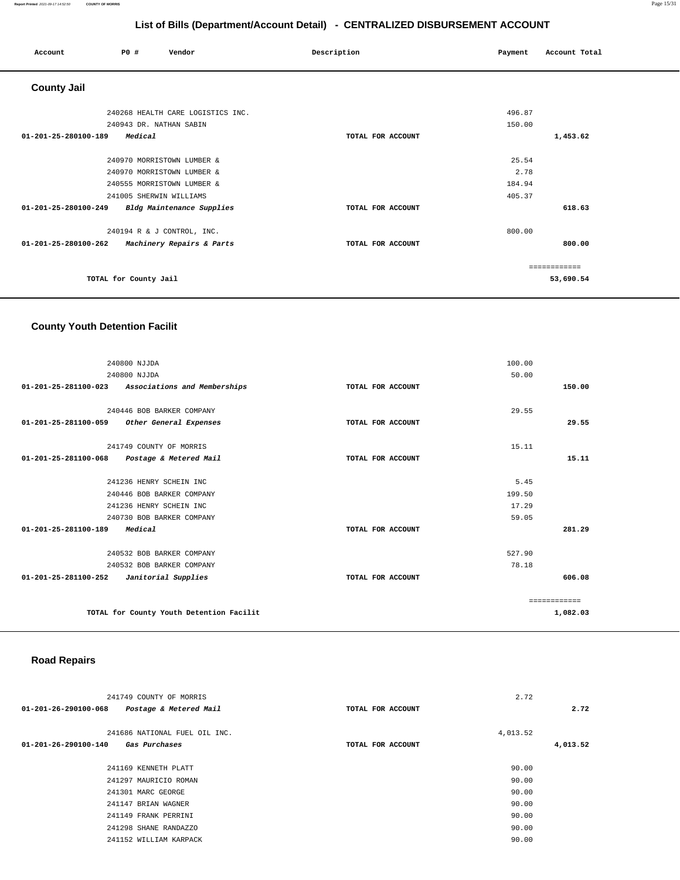#### **Report Printed** 2021-09-17 14:52:50 **COUNTY OF MORRIS** Page 15/31

## **List of Bills (Department/Account Detail) - CENTRALIZED DISBURSEMENT ACCOUNT**

| Account              | <b>PO #</b>                | Vendor                            | Description       | Payment | Account Total |
|----------------------|----------------------------|-----------------------------------|-------------------|---------|---------------|
| <b>County Jail</b>   |                            |                                   |                   |         |               |
|                      |                            | 240268 HEALTH CARE LOGISTICS INC. |                   | 496.87  |               |
|                      | 240943 DR. NATHAN SABIN    |                                   |                   | 150.00  |               |
| 01-201-25-280100-189 | Medical                    |                                   | TOTAL FOR ACCOUNT |         | 1,453.62      |
|                      | 240970 MORRISTOWN LUMBER & |                                   |                   | 25.54   |               |
|                      | 240970 MORRISTOWN LUMBER & |                                   |                   | 2.78    |               |
|                      | 240555 MORRISTOWN LUMBER & |                                   |                   | 184.94  |               |
|                      | 241005 SHERWIN WILLIAMS    |                                   |                   | 405.37  |               |
| 01-201-25-280100-249 |                            | Bldg Maintenance Supplies         | TOTAL FOR ACCOUNT |         | 618.63        |
|                      | 240194 R & J CONTROL, INC. |                                   |                   | 800.00  |               |
| 01-201-25-280100-262 |                            | Machinery Repairs & Parts         | TOTAL FOR ACCOUNT |         | 800.00        |
|                      |                            |                                   |                   |         | ============  |
|                      | TOTAL for County Jail      |                                   |                   |         | 53,690.54     |

### **County Youth Detention Facilit**

| 240800 NJJDA                                             |                   | 100.00       |
|----------------------------------------------------------|-------------------|--------------|
| 240800 NJJDA                                             |                   | 50.00        |
| 01-201-25-281100-023 Associations and Memberships        | TOTAL FOR ACCOUNT | 150.00       |
|                                                          |                   |              |
| 240446 BOB BARKER COMPANY                                |                   | 29.55        |
| 01-201-25-281100-059 Other General Expenses              | TOTAL FOR ACCOUNT | 29.55        |
| 241749 COUNTY OF MORRIS                                  |                   | 15.11        |
| $01 - 201 - 25 - 281100 - 068$<br>Postage & Metered Mail | TOTAL FOR ACCOUNT | 15.11        |
|                                                          |                   |              |
| 241236 HENRY SCHEIN INC                                  |                   | 5.45         |
| 240446 BOB BARKER COMPANY                                |                   | 199.50       |
| 241236 HENRY SCHEIN INC                                  |                   | 17.29        |
| 240730 BOB BARKER COMPANY                                |                   | 59.05        |
| 01-201-25-281100-189<br>Medical                          | TOTAL FOR ACCOUNT | 281.29       |
| 240532 BOB BARKER COMPANY                                |                   | 527.90       |
| 240532 BOB BARKER COMPANY                                |                   | 78.18        |
| 01-201-25-281100-252<br>Janitorial Supplies              | TOTAL FOR ACCOUNT | 606.08       |
|                                                          |                   |              |
|                                                          |                   | ============ |
| TOTAL for County Youth Detention Facilit                 |                   | 1,082.03     |
|                                                          |                   |              |

### **Road Repairs**

| 241749 COUNTY OF MORRIS                        |                   | 2.72     |          |
|------------------------------------------------|-------------------|----------|----------|
| Postage & Metered Mail<br>01-201-26-290100-068 | TOTAL FOR ACCOUNT |          | 2.72     |
| 241686 NATIONAL FUEL OIL INC.                  |                   | 4,013.52 |          |
| 01-201-26-290100-140<br>Gas Purchases          | TOTAL FOR ACCOUNT |          | 4,013.52 |
| 241169 KENNETH PLATT                           |                   | 90.00    |          |
| 241297 MAURICIO ROMAN                          |                   | 90.00    |          |
| 241301 MARC GEORGE                             |                   | 90.00    |          |
| 241147 BRIAN WAGNER                            |                   | 90.00    |          |
| 241149 FRANK PERRINI                           |                   | 90.00    |          |
| 241298 SHANE RANDAZZO                          |                   | 90.00    |          |
| 241152 WILLIAM KARPACK                         |                   | 90.00    |          |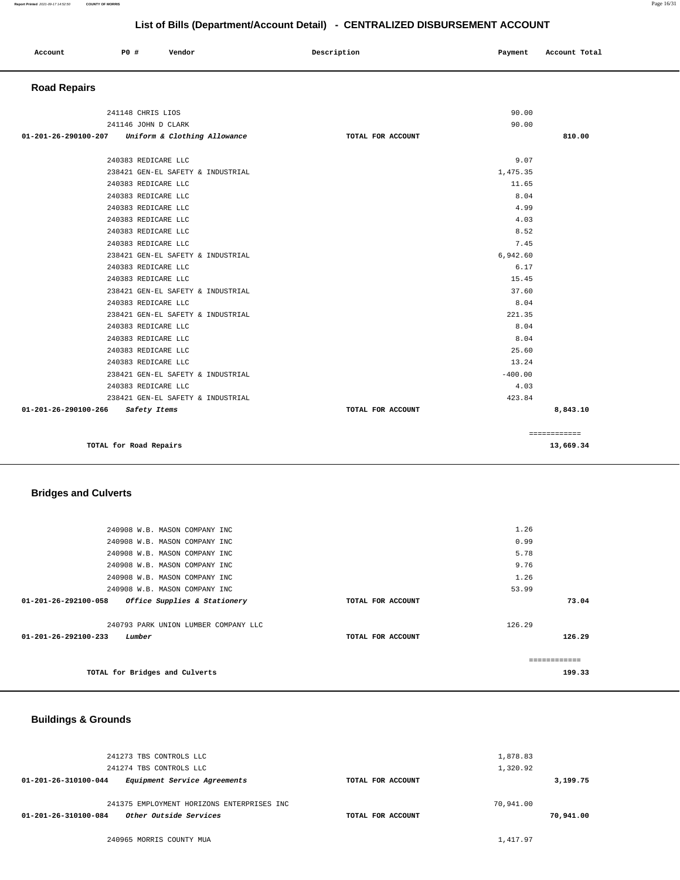|                     |                     |                                                   |             | List of Dins (Department/Negouin Detail) CENTRALIZED DIODOROEMENT AGOGONT |                  |               |  |
|---------------------|---------------------|---------------------------------------------------|-------------|---------------------------------------------------------------------------|------------------|---------------|--|
| Account             | P0 #                | Vendor                                            | Description |                                                                           | Payment          | Account Total |  |
| <b>Road Repairs</b> |                     |                                                   |             |                                                                           |                  |               |  |
|                     | 241148 CHRIS LIOS   |                                                   |             |                                                                           | 90.00            |               |  |
|                     | 241146 JOHN D CLARK |                                                   |             |                                                                           | 90.00            |               |  |
|                     |                     | 01-201-26-290100-207 Uniform & Clothing Allowance |             | TOTAL FOR ACCOUNT                                                         |                  | 810.00        |  |
|                     | 240383 REDICARE LLC | 238421 GEN-EL SAFETY & INDUSTRIAL                 |             |                                                                           | 9.07<br>1,475.35 |               |  |
|                     | 240383 REDICARE LLC |                                                   |             |                                                                           | 11.65            |               |  |
|                     | 240383 REDICARE LLC |                                                   |             |                                                                           | 8.04             |               |  |
|                     | 240383 REDICARE LLC |                                                   |             |                                                                           | 4.99             |               |  |
|                     | 240383 REDICARE LLC |                                                   |             |                                                                           | 4.03             |               |  |
|                     | 240383 REDICARE LLC |                                                   |             |                                                                           | 8.52             |               |  |
|                     | 240383 REDICARE LLC |                                                   |             |                                                                           | 7.45             |               |  |
|                     |                     | 238421 GEN-EL SAFETY & INDUSTRIAL                 |             |                                                                           | 6,942.60         |               |  |
|                     | 240383 REDICARE LLC |                                                   |             |                                                                           | 6.17             |               |  |
|                     | 240383 REDICARE LLC |                                                   |             |                                                                           | 15.45            |               |  |
|                     |                     | 238421 GEN-EL SAFETY & INDUSTRIAL                 |             |                                                                           | 37.60            |               |  |
|                     | 240383 REDICARE LLC |                                                   |             |                                                                           | 8.04             |               |  |
|                     |                     | 238421 GEN-EL SAFETY & INDUSTRIAL                 |             |                                                                           | 221.35           |               |  |
|                     | 240383 REDICARE LLC |                                                   |             |                                                                           | 8.04             |               |  |

 240383 REDICARE LLC 8.04 240383 REDICARE LLC 25.60 240383 REDICARE LLC 13.24  $238421$  GEN-EL SAFETY & INDUSTRIAL  $-400.00$  240383 REDICARE LLC 4.03 238421 GEN-EL SAFETY & INDUSTRIAL 423.84  **01-201-26-290100-266 Safety Items TOTAL FOR ACCOUNT 8,843.10**

**TOTAL for Road Repairs 13,669.34**

| 240908 W.B. MASON COMPANY INC                        |                   | 1.26         |
|------------------------------------------------------|-------------------|--------------|
|                                                      |                   |              |
| 240908 W.B. MASON COMPANY INC                        |                   | 0.99         |
| 240908 W.B. MASON COMPANY INC                        |                   | 5.78         |
| 240908 W.B. MASON COMPANY INC                        |                   | 9.76         |
| 240908 W.B. MASON COMPANY INC                        |                   | 1.26         |
| 240908 W.B. MASON COMPANY INC                        |                   | 53.99        |
| 01-201-26-292100-058<br>Office Supplies & Stationery | TOTAL FOR ACCOUNT | 73.04        |
|                                                      |                   |              |
| 240793 PARK UNION LUMBER COMPANY LLC                 |                   | 126.29       |
| $01 - 201 - 26 - 292100 - 233$<br>Lumber             | TOTAL FOR ACCOUNT | 126.29       |
|                                                      |                   |              |
|                                                      |                   | ============ |
| TOTAL for Bridges and Culverts                       |                   | 199.33       |
|                                                      |                   |              |

#### **Buildings & Grounds**

| 241273 TBS CONTROLS LLC                                  |                   | 1,878.83  |           |
|----------------------------------------------------------|-------------------|-----------|-----------|
| 241274 TBS CONTROLS LLC                                  |                   | 1,320.92  |           |
| Equipment Service Agreements<br>01-201-26-310100-044     | TOTAL FOR ACCOUNT |           | 3,199.75  |
|                                                          |                   |           |           |
| 241375 EMPLOYMENT HORIZONS ENTERPRISES INC               |                   | 70,941.00 |           |
| Other Outside Services<br>$01 - 201 - 26 - 310100 - 084$ | TOTAL FOR ACCOUNT |           | 70,941.00 |
|                                                          |                   |           |           |
| 240965 MORRIS COUNTY MUA                                 |                   | 1,417.97  |           |

============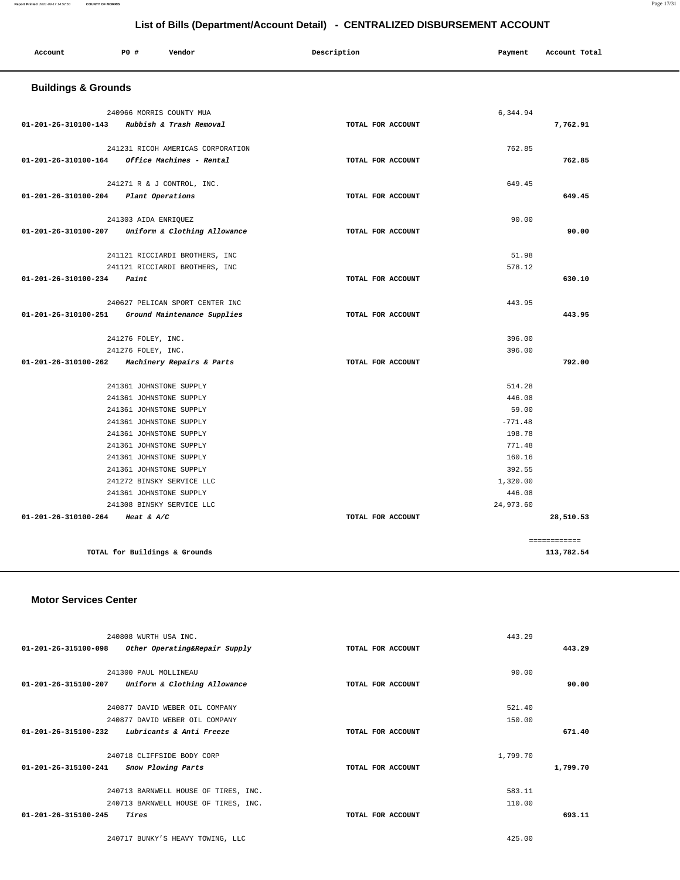| Account                                      | P0 #                          | Vendor                            | Description       | Payment   | Account Total |
|----------------------------------------------|-------------------------------|-----------------------------------|-------------------|-----------|---------------|
| <b>Buildings &amp; Grounds</b>               |                               |                                   |                   |           |               |
|                                              | 240966 MORRIS COUNTY MUA      |                                   |                   | 6,344.94  |               |
| 01-201-26-310100-143 Rubbish & Trash Removal |                               |                                   | TOTAL FOR ACCOUNT |           | 7,762.91      |
|                                              |                               | 241231 RICOH AMERICAS CORPORATION |                   | 762.85    |               |
| 01-201-26-310100-164                         |                               | Office Machines - Rental          | TOTAL FOR ACCOUNT |           | 762.85        |
|                                              | 241271 R & J CONTROL, INC.    |                                   |                   | 649.45    |               |
| 01-201-26-310100-204                         | <i>Plant Operations</i>       |                                   | TOTAL FOR ACCOUNT |           | 649.45        |
|                                              | 241303 AIDA ENRIQUEZ          |                                   |                   | 90.00     |               |
| 01-201-26-310100-207                         |                               | Uniform & Clothing Allowance      | TOTAL FOR ACCOUNT |           | 90.00         |
|                                              |                               | 241121 RICCIARDI BROTHERS, INC    |                   | 51.98     |               |
|                                              |                               | 241121 RICCIARDI BROTHERS, INC    |                   | 578.12    |               |
| 01-201-26-310100-234                         | Paint                         |                                   | TOTAL FOR ACCOUNT |           | 630.10        |
|                                              |                               | 240627 PELICAN SPORT CENTER INC   |                   | 443.95    |               |
| 01-201-26-310100-251                         |                               | Ground Maintenance Supplies       | TOTAL FOR ACCOUNT |           | 443.95        |
|                                              | 241276 FOLEY, INC.            |                                   |                   | 396.00    |               |
|                                              | 241276 FOLEY, INC.            |                                   |                   | 396.00    |               |
| 01-201-26-310100-262                         |                               | Machinery Repairs & Parts         | TOTAL FOR ACCOUNT |           | 792.00        |
|                                              | 241361 JOHNSTONE SUPPLY       |                                   |                   | 514.28    |               |
|                                              | 241361 JOHNSTONE SUPPLY       |                                   |                   | 446.08    |               |
|                                              | 241361 JOHNSTONE SUPPLY       |                                   |                   | 59.00     |               |
|                                              | 241361 JOHNSTONE SUPPLY       |                                   |                   | $-771.48$ |               |
|                                              | 241361 JOHNSTONE SUPPLY       |                                   |                   | 198.78    |               |
|                                              | 241361 JOHNSTONE SUPPLY       |                                   |                   | 771.48    |               |
|                                              | 241361 JOHNSTONE SUPPLY       |                                   |                   | 160.16    |               |
|                                              | 241361 JOHNSTONE SUPPLY       |                                   |                   | 392.55    |               |
|                                              | 241272 BINSKY SERVICE LLC     |                                   |                   | 1,320.00  |               |
|                                              | 241361 JOHNSTONE SUPPLY       |                                   |                   | 446.08    |               |
|                                              | 241308 BINSKY SERVICE LLC     |                                   |                   | 24,973.60 |               |
| 01-201-26-310100-264                         | Heat & $A/C$                  |                                   | TOTAL FOR ACCOUNT |           | 28,510.53     |
|                                              |                               |                                   |                   |           | ============  |
|                                              | TOTAL for Buildings & Grounds |                                   |                   |           | 113,782.54    |

### **Motor Services Center**

| 240808 WURTH USA INC.                                           | 443.29            |          |
|-----------------------------------------------------------------|-------------------|----------|
| Other Operating&Repair Supply<br>$01 - 201 - 26 - 315100 - 098$ | TOTAL FOR ACCOUNT | 443.29   |
|                                                                 |                   |          |
| 241300 PAUL MOLLINEAU                                           | 90.00             |          |
| Uniform & Clothing Allowance<br>01-201-26-315100-207            | TOTAL FOR ACCOUNT | 90.00    |
|                                                                 |                   |          |
| 240877 DAVID WEBER OIL COMPANY                                  | 521.40            |          |
| 240877 DAVID WEBER OIL COMPANY                                  | 150.00            |          |
| Lubricants & Anti Freeze<br>$01 - 201 - 26 - 315100 - 232$      | TOTAL FOR ACCOUNT | 671.40   |
|                                                                 |                   |          |
| 240718 CLIFFSIDE BODY CORP                                      | 1,799.70          |          |
| $01 - 201 - 26 - 315100 - 241$<br>Snow Plowing Parts            | TOTAL FOR ACCOUNT | 1,799.70 |
| 240713 BARNWELL HOUSE OF TIRES, INC.                            | 583.11            |          |
|                                                                 |                   |          |
| 240713 BARNWELL HOUSE OF TIRES, INC.                            | 110.00            |          |
| 01-201-26-315100-245<br>Tires                                   | TOTAL FOR ACCOUNT | 693.11   |
| 240717 BUNKY'S HEAVY TOWING, LLC                                | 425.00            |          |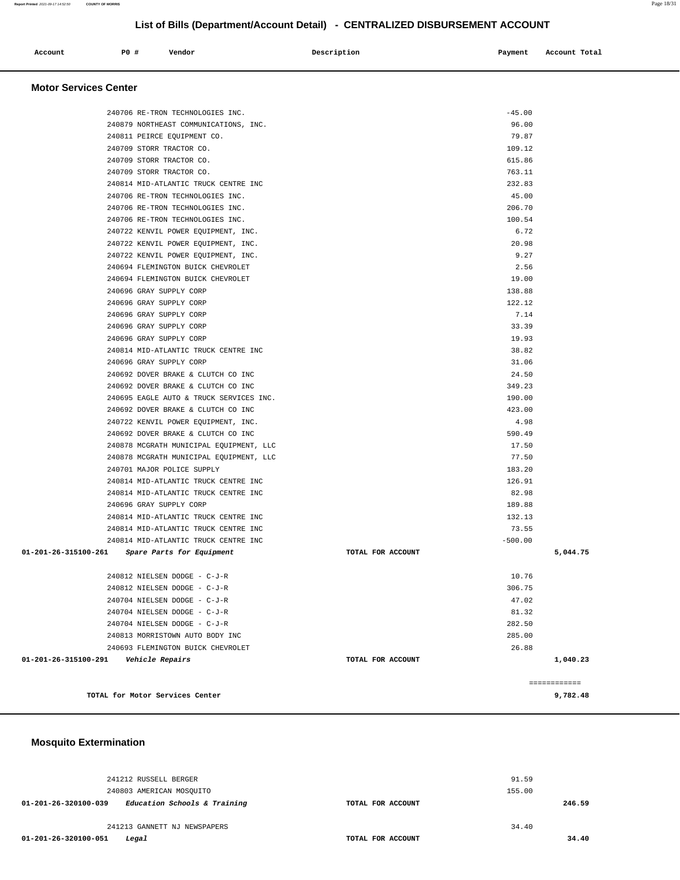#### **Mosquito Extermination**

| <b>Motor Services Center</b>                      |                   |           |              |
|---------------------------------------------------|-------------------|-----------|--------------|
|                                                   |                   |           |              |
| 240706 RE-TRON TECHNOLOGIES INC.                  |                   | $-45.00$  |              |
| 240879 NORTHEAST COMMUNICATIONS, INC.             |                   | 96.00     |              |
| 240811 PEIRCE EQUIPMENT CO.                       |                   | 79.87     |              |
| 240709 STORR TRACTOR CO.                          |                   | 109.12    |              |
| 240709 STORR TRACTOR CO.                          |                   | 615.86    |              |
| 240709 STORR TRACTOR CO.                          |                   | 763.11    |              |
| 240814 MID-ATLANTIC TRUCK CENTRE INC              |                   | 232.83    |              |
| 240706 RE-TRON TECHNOLOGIES INC.                  |                   | 45.00     |              |
| 240706 RE-TRON TECHNOLOGIES INC.                  |                   | 206.70    |              |
| 240706 RE-TRON TECHNOLOGIES INC.                  |                   | 100.54    |              |
| 240722 KENVIL POWER EQUIPMENT, INC.               |                   | 6.72      |              |
| 240722 KENVIL POWER EQUIPMENT, INC.               |                   | 20.98     |              |
| 240722 KENVIL POWER EQUIPMENT, INC.               |                   | 9.27      |              |
| 240694 FLEMINGTON BUICK CHEVROLET                 |                   | 2.56      |              |
| 240694 FLEMINGTON BUICK CHEVROLET                 |                   | 19.00     |              |
| 240696 GRAY SUPPLY CORP                           |                   | 138.88    |              |
| 240696 GRAY SUPPLY CORP                           |                   | 122.12    |              |
| 240696 GRAY SUPPLY CORP                           |                   | 7.14      |              |
| 240696 GRAY SUPPLY CORP                           |                   | 33.39     |              |
| 240696 GRAY SUPPLY CORP                           |                   | 19.93     |              |
| 240814 MID-ATLANTIC TRUCK CENTRE INC              |                   | 38.82     |              |
| 240696 GRAY SUPPLY CORP                           |                   | 31.06     |              |
| 240692 DOVER BRAKE & CLUTCH CO INC                |                   | 24.50     |              |
| 240692 DOVER BRAKE & CLUTCH CO INC                |                   | 349.23    |              |
| 240695 EAGLE AUTO & TRUCK SERVICES INC.           |                   | 190.00    |              |
| 240692 DOVER BRAKE & CLUTCH CO INC                |                   | 423.00    |              |
| 240722 KENVIL POWER EQUIPMENT, INC.               |                   | 4.98      |              |
| 240692 DOVER BRAKE & CLUTCH CO INC                |                   | 590.49    |              |
| 240878 MCGRATH MUNICIPAL EQUIPMENT, LLC           |                   | 17.50     |              |
| 240878 MCGRATH MUNICIPAL EQUIPMENT, LLC           |                   | 77.50     |              |
| 240701 MAJOR POLICE SUPPLY                        |                   | 183.20    |              |
| 240814 MID-ATLANTIC TRUCK CENTRE INC              |                   | 126.91    |              |
| 240814 MID-ATLANTIC TRUCK CENTRE INC              |                   | 82.98     |              |
| 240696 GRAY SUPPLY CORP                           |                   | 189.88    |              |
| 240814 MID-ATLANTIC TRUCK CENTRE INC              |                   | 132.13    |              |
| 240814 MID-ATLANTIC TRUCK CENTRE INC              |                   | 73.55     |              |
| 240814 MID-ATLANTIC TRUCK CENTRE INC              |                   | $-500.00$ |              |
| 01-201-26-315100-261<br>Spare Parts for Equipment | TOTAL FOR ACCOUNT |           | 5,044.75     |
| 240812 NIELSEN DODGE - C-J-R                      |                   | 10.76     |              |
| 240812 NIELSEN DODGE - C-J-R                      |                   | 306.75    |              |
| 240704 NIELSEN DODGE - C-J-R                      |                   | 47.02     |              |
| 240704 NIELSEN DODGE - C-J-R                      |                   | 81.32     |              |
| 240704 NIELSEN DODGE - C-J-R                      |                   | 282.50    |              |
| 240813 MORRISTOWN AUTO BODY INC                   |                   | 285.00    |              |
| 240693 FLEMINGTON BUICK CHEVROLET                 |                   | 26.88     |              |
| 01-201-26-315100-291<br>Vehicle Repairs           | TOTAL FOR ACCOUNT |           | 1,040.23     |
|                                                   |                   |           |              |
|                                                   |                   |           | ============ |
| TOTAL for Motor Services Center                   |                   |           | 9,782.48     |

 **Account** 20 **#** Vendor 20 **P** 20 **Payment** Account Total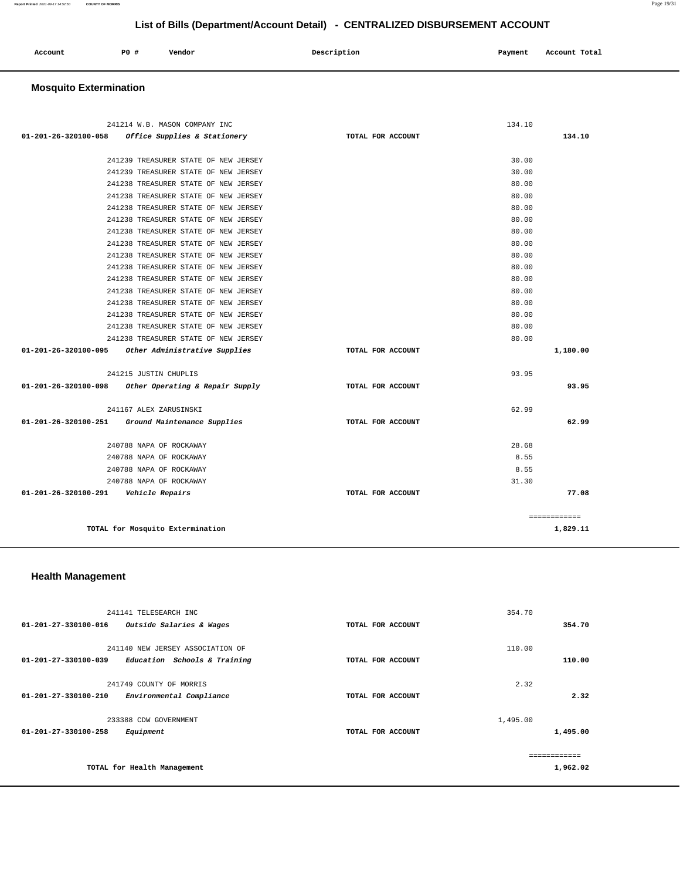| Account<br>. | <b>PO #</b> | Vendor | Description | Payment<br>___ | Account Total<br>. |
|--------------|-------------|--------|-------------|----------------|--------------------|
|              |             |        |             |                |                    |

## **Mosquito Extermination**

|                                | 241214 W.B. MASON COMPANY INC        |                   | 134.10       |       |
|--------------------------------|--------------------------------------|-------------------|--------------|-------|
| $01 - 201 - 26 - 320100 - 058$ | Office Supplies & Stationery         | TOTAL FOR ACCOUNT | 134.10       |       |
|                                |                                      |                   |              |       |
|                                | 241239 TREASURER STATE OF NEW JERSEY |                   | 30.00        |       |
|                                | 241239 TREASURER STATE OF NEW JERSEY |                   | 30.00        |       |
|                                | 241238 TREASURER STATE OF NEW JERSEY |                   | 80.00        |       |
|                                | 241238 TREASURER STATE OF NEW JERSEY |                   | 80.00        |       |
|                                | 241238 TREASURER STATE OF NEW JERSEY |                   | 80.00        |       |
|                                | 241238 TREASURER STATE OF NEW JERSEY |                   | 80.00        |       |
|                                | 241238 TREASURER STATE OF NEW JERSEY |                   | 80.00        |       |
|                                | 241238 TREASURER STATE OF NEW JERSEY |                   | 80.00        |       |
|                                | 241238 TREASURER STATE OF NEW JERSEY |                   | 80.00        |       |
|                                | 241238 TREASURER STATE OF NEW JERSEY |                   | 80.00        |       |
|                                | 241238 TREASURER STATE OF NEW JERSEY |                   | 80.00        |       |
|                                | 241238 TREASURER STATE OF NEW JERSEY |                   | 80.00        |       |
|                                | 241238 TREASURER STATE OF NEW JERSEY |                   | 80.00        |       |
|                                | 241238 TREASURER STATE OF NEW JERSEY |                   | 80.00        |       |
|                                | 241238 TREASURER STATE OF NEW JERSEY |                   | 80.00        |       |
|                                | 241238 TREASURER STATE OF NEW JERSEY |                   | 80.00        |       |
| 01-201-26-320100-095           | Other Administrative Supplies        | TOTAL FOR ACCOUNT | 1,180.00     |       |
|                                |                                      |                   |              |       |
|                                | 241215 JUSTIN CHUPLIS                |                   | 93.95        |       |
| 01-201-26-320100-098           | Other Operating & Repair Supply      | TOTAL FOR ACCOUNT |              | 93.95 |
|                                |                                      |                   |              |       |
|                                | 241167 ALEX ZARUSINSKI               |                   | 62.99        |       |
| 01-201-26-320100-251           | Ground Maintenance Supplies          | TOTAL FOR ACCOUNT |              | 62.99 |
|                                |                                      |                   |              |       |
|                                | 240788 NAPA OF ROCKAWAY              |                   | 28.68        |       |
|                                | 240788 NAPA OF ROCKAWAY              |                   | 8.55         |       |
|                                | 240788 NAPA OF ROCKAWAY              |                   | 8.55         |       |
|                                | 240788 NAPA OF ROCKAWAY              |                   | 31.30        |       |
| 01-201-26-320100-291           | <i><b>Vehicle Repairs</b></i>        | TOTAL FOR ACCOUNT |              | 77.08 |
|                                |                                      |                   | ============ |       |
|                                | TOTAL for Mosquito Extermination     |                   | 1,829.11     |       |

### **Health Management**

| 241141 TELESEARCH INC                                |                   | 354.70   |
|------------------------------------------------------|-------------------|----------|
| 01-201-27-330100-016<br>Outside Salaries & Wages     | TOTAL FOR ACCOUNT | 354.70   |
| 241140 NEW JERSEY ASSOCIATION OF                     |                   | 110.00   |
| 01-201-27-330100-039<br>Education Schools & Training | TOTAL FOR ACCOUNT | 110.00   |
| 241749 COUNTY OF MORRIS                              |                   | 2.32     |
| 01-201-27-330100-210<br>Environmental Compliance     | TOTAL FOR ACCOUNT | 2.32     |
|                                                      |                   |          |
| 233388 CDW GOVERNMENT                                |                   | 1,495.00 |
| 01-201-27-330100-258<br>Equipment                    | TOTAL FOR ACCOUNT | 1,495.00 |
|                                                      |                   |          |
| TOTAL for Health Management                          |                   | 1,962.02 |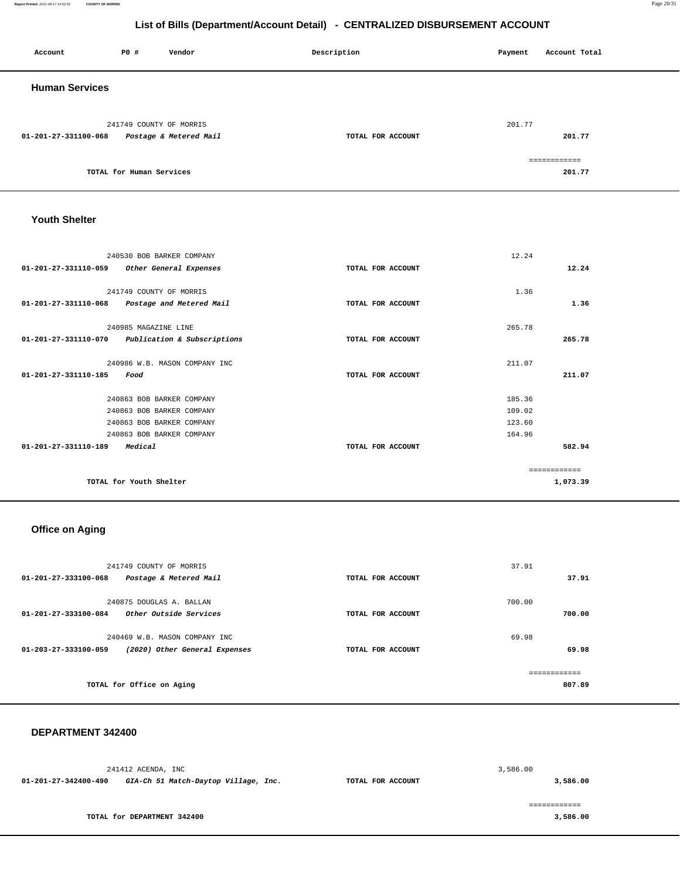**Report Printed** 2021-09-17 14:52:50 **COUNTY OF MORRIS** Page 20/31

## **List of Bills (Department/Account Detail) - CENTRALIZED DISBURSEMENT ACCOUNT**

| Account               | <b>PO #</b>              | Vendor                 | Description       | Account Total<br>Payment |  |
|-----------------------|--------------------------|------------------------|-------------------|--------------------------|--|
| <b>Human Services</b> |                          |                        |                   |                          |  |
| 01-201-27-331100-068  | 241749 COUNTY OF MORRIS  | Postage & Metered Mail | TOTAL FOR ACCOUNT | 201.77<br>201.77         |  |
|                       | TOTAL for Human Services |                        |                   | ============<br>201.77   |  |

### **Youth Shelter**

| 240530 BOB BARKER COMPANY                        |                   | 12.24  |          |
|--------------------------------------------------|-------------------|--------|----------|
| 01-201-27-331110-059<br>Other General Expenses   | TOTAL FOR ACCOUNT |        | 12.24    |
|                                                  |                   |        |          |
| 241749 COUNTY OF MORRIS                          |                   | 1.36   |          |
| 01-201-27-331110-068<br>Postage and Metered Mail | TOTAL FOR ACCOUNT |        | 1.36     |
| 240985 MAGAZINE LINE                             |                   | 265.78 |          |
|                                                  |                   |        |          |
| 01-201-27-331110-070 Publication & Subscriptions | TOTAL FOR ACCOUNT |        | 265.78   |
| 240986 W.B. MASON COMPANY INC                    |                   | 211.07 |          |
| 01-201-27-331110-185<br>Food                     | TOTAL FOR ACCOUNT |        | 211.07   |
|                                                  |                   |        |          |
| 240863 BOB BARKER COMPANY                        |                   | 185.36 |          |
| 240863 BOB BARKER COMPANY                        |                   | 109.02 |          |
| 240863 BOB BARKER COMPANY                        |                   | 123.60 |          |
| 240863 BOB BARKER COMPANY                        |                   | 164.96 |          |
| $01 - 201 - 27 - 331110 - 189$<br>Medical        | TOTAL FOR ACCOUNT |        | 582.94   |
|                                                  |                   |        |          |
|                                                  |                   |        |          |
| TOTAL for Youth Shelter                          |                   |        | 1,073.39 |

## **Office on Aging**

| 241749 COUNTY OF MORRIS<br>$01 - 201 - 27 - 333100 - 068$<br>Postage & Metered Mail    | TOTAL FOR ACCOUNT | 37.91<br>37.91         |
|----------------------------------------------------------------------------------------|-------------------|------------------------|
| 240875 DOUGLAS A. BALLAN<br>$01 - 201 - 27 - 333100 - 084$<br>Other Outside Services   | TOTAL FOR ACCOUNT | 700.00<br>700.00       |
| 240469 W.B. MASON COMPANY INC<br>01-203-27-333100-059<br>(2020) Other General Expenses | TOTAL FOR ACCOUNT | 69.98<br>69.98         |
| TOTAL for Office on Aging                                                              |                   | ============<br>807.89 |

#### **DEPARTMENT 342400**

|                      | 241412 ACENDA, INC                   |                   | 3,586.00 |
|----------------------|--------------------------------------|-------------------|----------|
| 01-201-27-342400-490 | GIA-Ch 51 Match-Daytop Village, Inc. | TOTAL FOR ACCOUNT | 3,586.00 |
|                      |                                      |                   |          |
|                      | TOTAL for DEPARTMENT 342400          |                   | 3,586.00 |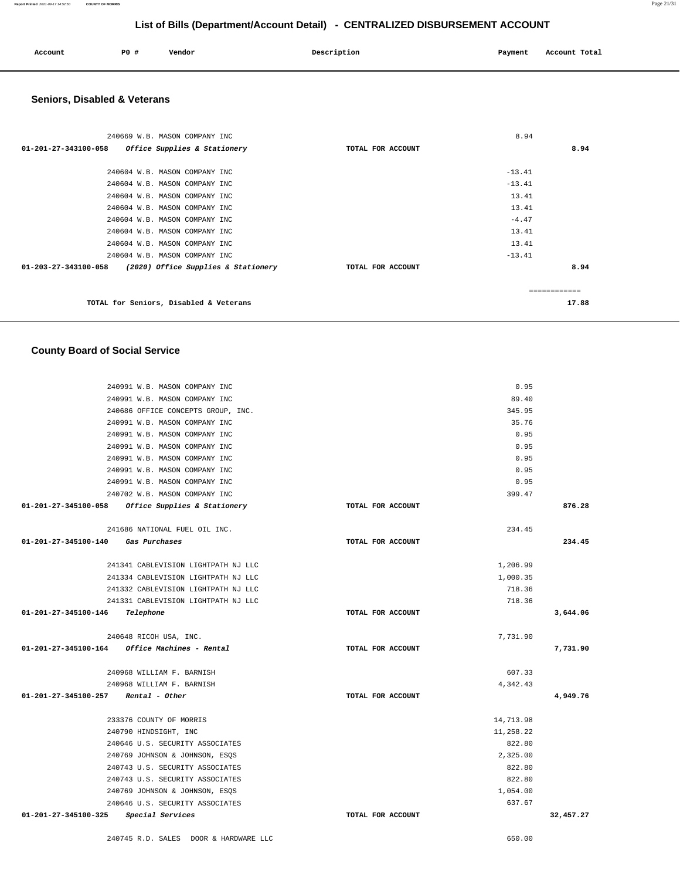240968 WILLIAM F. BARNISH 240968 WILLIAM F. BARNISH 233376 COUNTY OF MORRIS 240790 HINDSIGHT, INC 240646 U.S. SECURITY ASSOCIATES 240769 JOHNSON & JOHNSON, ESQS 240743 U.S. SECURITY ASSOCIATES 240743 U.S. SECURITY ASSOCIATES 240769 JOHNSON & JOHNSON, ESQS 240646 U.S. SECURITY ASSOCIATES 11,258.22 822.80 2,325.00 822.80 822.80 1,054.00 637.67  **01-201-27-345100-325 Special Services TOTAL FOR ACCOUNT [32,457.27](https://32,457.27)**  240745 R.D. SALES DOOR & HARDWARE LLC 650.00

240991 W.B. MASON COMPANY INC 240991 W.B. MASON COMPANY INC 240991 W.B. MASON COMPANY INC 240991 W.B. MASON COMPANY INC 240991 W.B. MASON COMPANY INC 240991 W.B. MASON COMPANY INC 240702 W.B. MASON COMPANY INC **01-201-27-345100-058 Office Supplies & Stationery TOTAL FOR ACCOUNT**  35.76 0.95 0.95 0.95 0.95 0.95 399.47 **876.28** 241686 NATIONAL FUEL OIL INC. **01-201-27-345100-140 Gas Purchases TOTAL FOR ACCOUNT**  234.45 **234.45** 241341 CABLEVISION LIGHTPATH NJ LLC 241334 CABLEVISION LIGHTPATH NJ LLC 241332 CABLEVISION LIGHTPATH NJ LLC 241331 CABLEVISION LIGHTPATH NJ LLC **01-201-27-345100-146 Telephone TOTAL FOR ACCOUNT**  1,206.99 1,000.35 718.36 718.36 **3,644.06** 240648 RICOH USA, INC. **01-201-27-345100-164 Office Machines - Rental TOTAL FOR ACCOUNT**  7,731.90 **7,731.90 01-201-27-345100-257 Rental - Other TOTAL FOR ACCOUNT**  607.33 4,342.43 **4,949.76** 14,713.98

#### **County Board of Social Service**

 240991 W.B. MASON COMPANY INC 240991 W.B. MASON COMPANY INC 240686 OFFICE CONCEPTS GROUP, INC.

 **Seniors, Disabled & Veterans**

| 240669 W.B. MASON COMPANY INC                               |                   | 8.94     |       |
|-------------------------------------------------------------|-------------------|----------|-------|
| Office Supplies & Stationery<br>01-201-27-343100-058        | TOTAL FOR ACCOUNT |          | 8.94  |
| 240604 W.B. MASON COMPANY INC                               |                   | $-13.41$ |       |
| 240604 W.B. MASON COMPANY INC                               |                   | $-13.41$ |       |
| 240604 W.B. MASON COMPANY INC                               |                   | 13.41    |       |
| 240604 W.B. MASON COMPANY INC                               |                   | 13.41    |       |
| 240604 W.B. MASON COMPANY INC                               |                   | $-4.47$  |       |
| 240604 W.B. MASON COMPANY INC                               |                   | 13.41    |       |
| 240604 W.B. MASON COMPANY INC                               |                   | 13.41    |       |
| 240604 W.B. MASON COMPANY INC                               |                   | $-13.41$ |       |
| 01-203-27-343100-058<br>(2020) Office Supplies & Stationery | TOTAL FOR ACCOUNT |          | 8.94  |
|                                                             |                   |          |       |
| TOTAL for Seniors, Disabled & Veterans                      |                   |          | 17.88 |

# **List of Bills (Department/Account Detail) - CENTRALIZED DISBURSEMENT ACCOUNT Account P0 # Vendor Description Payment Account Total**

0.95 89.40 345.95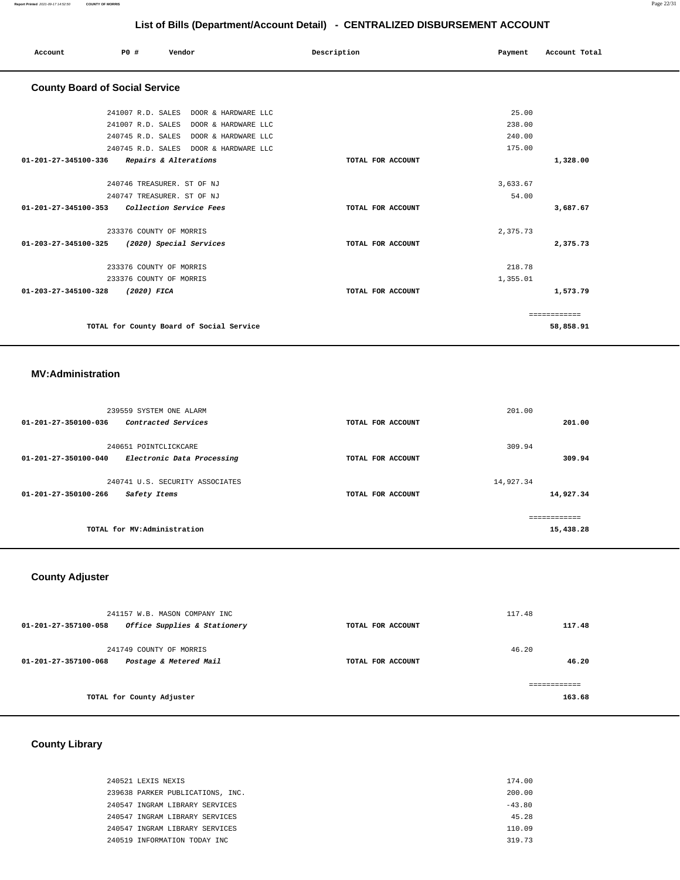| PO#<br>Vendor<br>Account                        | Description<br>Payment | Account Total |
|-------------------------------------------------|------------------------|---------------|
| <b>County Board of Social Service</b>           |                        |               |
| 241007 R.D. SALES DOOR & HARDWARE LLC           |                        | 25.00         |
| 241007 R.D. SALES DOOR & HARDWARE LLC           |                        | 238.00        |
| 240745 R.D. SALES DOOR & HARDWARE LLC           |                        | 240.00        |
| 240745 R.D. SALES DOOR & HARDWARE LLC           |                        | 175.00        |
| 01-201-27-345100-336<br>Repairs & Alterations   | TOTAL FOR ACCOUNT      | 1,328.00      |
| 240746 TREASURER. ST OF NJ                      |                        | 3,633.67      |
| 240747 TREASURER. ST OF NJ                      |                        | 54.00         |
| Collection Service Fees<br>01-201-27-345100-353 | TOTAL FOR ACCOUNT      | 3,687.67      |
| 233376 COUNTY OF MORRIS                         |                        | 2,375.73      |
| 01-203-27-345100-325<br>(2020) Special Services | TOTAL FOR ACCOUNT      | 2,375.73      |
| 233376 COUNTY OF MORRIS                         |                        | 218.78        |
| 233376 COUNTY OF MORRIS                         | 1,355.01               |               |
| 01-203-27-345100-328<br>(2020) FICA             | TOTAL FOR ACCOUNT      | 1,573.79      |
|                                                 |                        | ============  |
| TOTAL for County Board of Social Service        |                        | 58,858.91     |

## **MV:Administration**

| 239559 SYSTEM ONE ALARM                            |                   | 201.00    |               |
|----------------------------------------------------|-------------------|-----------|---------------|
| 01-201-27-350100-036<br>Contracted Services        | TOTAL FOR ACCOUNT |           | 201.00        |
|                                                    |                   |           |               |
| 240651 POINTCLICKCARE                              |                   | 309.94    |               |
| 01-201-27-350100-040<br>Electronic Data Processing | TOTAL FOR ACCOUNT |           | 309.94        |
| 240741 U.S. SECURITY ASSOCIATES                    |                   | 14,927.34 |               |
| $01 - 201 - 27 - 350100 - 266$<br>Safety Items     | TOTAL FOR ACCOUNT |           | 14,927.34     |
|                                                    |                   |           | ------------- |
|                                                    |                   |           |               |
| TOTAL for MV:Administration                        |                   |           | 15,438.28     |

## **County Adjuster**

|                      | 241157 W.B. MASON COMPANY INC |                   | 117.48 |        |
|----------------------|-------------------------------|-------------------|--------|--------|
| 01-201-27-357100-058 | Office Supplies & Stationery  | TOTAL FOR ACCOUNT |        | 117.48 |
|                      |                               |                   | 46.20  |        |
|                      | 241749 COUNTY OF MORRIS       |                   |        |        |
| 01-201-27-357100-068 | Postage & Metered Mail        | TOTAL FOR ACCOUNT |        | 46.20  |
|                      |                               |                   |        |        |
|                      |                               |                   |        |        |
|                      | TOTAL for County Adjuster     |                   |        | 163.68 |

## **County Library**

| 240521 LEXIS NEXIS               | 174.00   |
|----------------------------------|----------|
| 239638 PARKER PUBLICATIONS, INC. | 200.00   |
| 240547 INGRAM LIBRARY SERVICES   | $-43.80$ |
| 240547 INGRAM LIBRARY SERVICES   | 45.28    |
| 240547 INGRAM LIBRARY SERVICES   | 110.09   |
| 240519 INFORMATION TODAY INC     | 319.73   |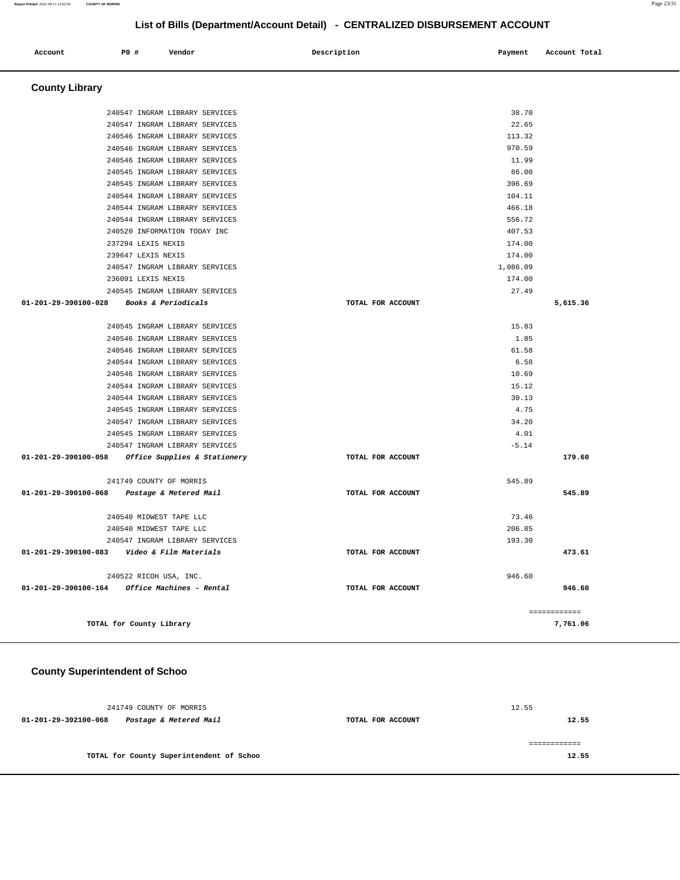| Account<br>. | P0 # | Vendor | Description | Payment | Account Total |
|--------------|------|--------|-------------|---------|---------------|
|              |      |        |             |         |               |

 **County Library** 

|                      | 240547 INGRAM LIBRARY SERVICES                 |                   | 38.70    |              |
|----------------------|------------------------------------------------|-------------------|----------|--------------|
|                      | 240547 INGRAM LIBRARY SERVICES                 |                   | 22.65    |              |
|                      | 240546 INGRAM LIBRARY SERVICES                 |                   | 113.32   |              |
|                      | 240546 INGRAM LIBRARY SERVICES                 |                   | 970.59   |              |
|                      | 240546 INGRAM LIBRARY SERVICES                 |                   | 11.99    |              |
|                      | 240545 INGRAM LIBRARY SERVICES                 |                   | 86.00    |              |
|                      | 240545 INGRAM LIBRARY SERVICES                 |                   | 396.69   |              |
|                      | 240544 INGRAM LIBRARY SERVICES                 |                   | 104.11   |              |
|                      | 240544 INGRAM LIBRARY SERVICES                 |                   | 466.18   |              |
|                      | 240544 INGRAM LIBRARY SERVICES                 |                   | 556.72   |              |
|                      | 240520 INFORMATION TODAY INC                   |                   | 407.53   |              |
|                      | 237294 LEXIS NEXIS                             |                   | 174.00   |              |
|                      | 239647 LEXIS NEXIS                             |                   | 174.00   |              |
|                      | 240547 INGRAM LIBRARY SERVICES                 |                   | 1,086.09 |              |
|                      | 236091 LEXIS NEXIS                             |                   | 174.00   |              |
|                      | 240545 INGRAM LIBRARY SERVICES                 |                   | 27.49    |              |
| 01-201-29-390100-028 | <i>Books &amp; Periodicals</i>                 | TOTAL FOR ACCOUNT |          | 5,615.36     |
|                      | 240545 INGRAM LIBRARY SERVICES                 |                   | 15.83    |              |
|                      | 240546 INGRAM LIBRARY SERVICES                 |                   | 1.85     |              |
|                      | 240546 INGRAM LIBRARY SERVICES                 |                   | 61.58    |              |
|                      | 240544 INGRAM LIBRARY SERVICES                 |                   | 6.58     |              |
|                      | 240546 INGRAM LIBRARY SERVICES                 |                   | 10.69    |              |
|                      | 240544 INGRAM LIBRARY SERVICES                 |                   | 15.12    |              |
|                      | 240544 INGRAM LIBRARY SERVICES                 |                   | 30.13    |              |
|                      | 240545 INGRAM LIBRARY SERVICES                 |                   | 4.75     |              |
|                      | 240547 INGRAM LIBRARY SERVICES                 |                   | 34.20    |              |
|                      | 240545 INGRAM LIBRARY SERVICES                 |                   | 4.01     |              |
|                      | 240547 INGRAM LIBRARY SERVICES                 |                   | $-5.14$  |              |
| 01-201-29-390100-058 | Office Supplies & Stationery                   | TOTAL FOR ACCOUNT |          | 179.60       |
|                      |                                                |                   |          |              |
|                      | 241749 COUNTY OF MORRIS                        |                   | 545.89   |              |
|                      | 01-201-29-390100-068 Postage & Metered Mail    | TOTAL FOR ACCOUNT |          | 545.89       |
|                      | 240540 MIDWEST TAPE LLC                        |                   | 73.46    |              |
|                      | 240540 MIDWEST TAPE LLC                        |                   | 206.85   |              |
|                      | 240547 INGRAM LIBRARY SERVICES                 |                   | 193.30   |              |
|                      | 01-201-29-390100-083    Video & Film Materials | TOTAL FOR ACCOUNT |          | 473.61       |
|                      | 240522 RICOH USA, INC.                         |                   | 946.60   |              |
|                      |                                                | TOTAL FOR ACCOUNT |          | 946.60       |
|                      |                                                |                   |          |              |
|                      |                                                |                   |          | ============ |
|                      | TOTAL for County Library                       |                   |          | 7,761.06     |

## **County Superintendent of Schoo**

|                      | 241749 COUNTY OF MORRIS                  |                   | 12.55 |
|----------------------|------------------------------------------|-------------------|-------|
| 01-201-29-392100-068 | Postage & Metered Mail                   | TOTAL FOR ACCOUNT | 12.55 |
|                      | TOTAL for County Superintendent of Schoo |                   | 12.55 |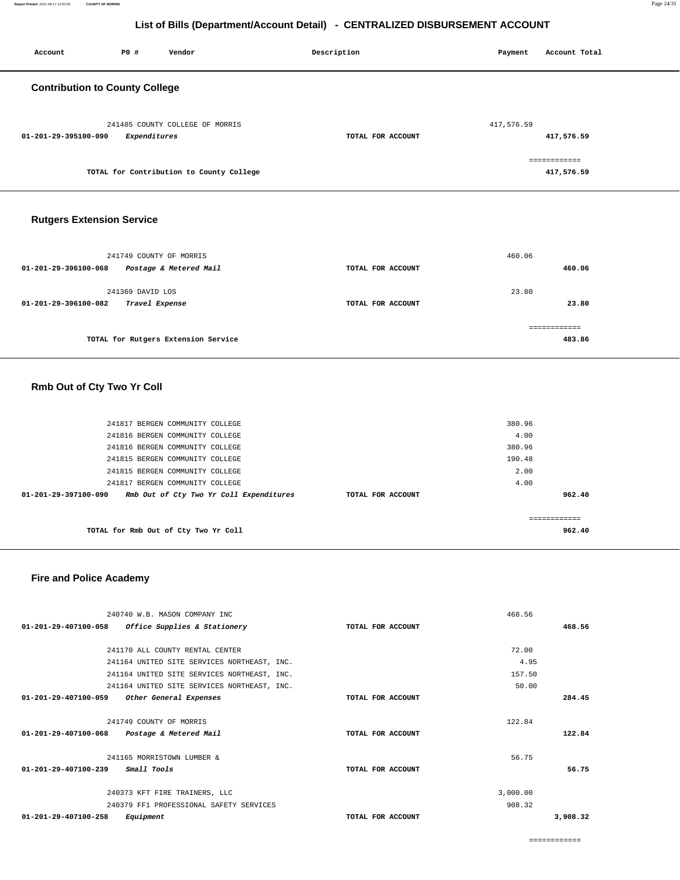============

468.56

**468.56**

| 241170 ALL COUNTY RENTAL CENTER                |                   | 72.00    |
|------------------------------------------------|-------------------|----------|
| 241164 UNITED SITE SERVICES NORTHEAST, INC.    |                   | 4.95     |
| 241164 UNITED SITE SERVICES NORTHEAST, INC.    |                   | 157.50   |
| 241164 UNITED SITE SERVICES NORTHEAST, INC.    |                   | 50.00    |
| 01-201-29-407100-059<br>Other General Expenses | TOTAL FOR ACCOUNT | 284.45   |
|                                                |                   |          |
| 241749 COUNTY OF MORRIS                        |                   | 122.84   |
| 01-201-29-407100-068<br>Postage & Metered Mail | TOTAL FOR ACCOUNT | 122.84   |
|                                                |                   |          |
| 241165 MORRISTOWN LUMBER &                     |                   | 56.75    |
| $01 - 201 - 29 - 407100 - 239$<br>Small Tools  | TOTAL FOR ACCOUNT | 56.75    |
|                                                |                   |          |
| 240373 KFT FIRE TRAINERS, LLC                  |                   | 3,000.00 |
| 240379 FF1 PROFESSIONAL SAFETY SERVICES        |                   | 908.32   |
| $01 - 201 - 29 - 407100 - 258$<br>Equipment    | TOTAL FOR ACCOUNT | 3,908.32 |

#### **Fire and Police Academy**

240740 W.B. MASON COMPANY INC

**01-201-29-407100-058 Office Supplies & Stationery TOTAL FOR ACCOUNT** 

| 241817 BERGEN COMMUNITY COLLEGE                                           |                   | 380.96 |
|---------------------------------------------------------------------------|-------------------|--------|
| 241816 BERGEN COMMUNITY COLLEGE                                           |                   | 4.00   |
| 241816 BERGEN COMMUNITY COLLEGE                                           |                   | 380.96 |
| 241815 BERGEN COMMUNITY COLLEGE                                           |                   | 190.48 |
| 241815 BERGEN COMMUNITY COLLEGE                                           |                   | 2.00   |
| 241817 BERGEN COMMUNITY COLLEGE                                           |                   | 4.00   |
| $01 - 201 - 29 - 397100 - 090$<br>Rmb Out of Cty Two Yr Coll Expenditures | TOTAL FOR ACCOUNT | 962.40 |
|                                                                           |                   |        |
|                                                                           |                   |        |
| TOTAL for Rmb Out of Cty Two Yr Coll                                      |                   | 962.40 |

# **Rmb Out of Cty Two Yr Coll**

| 241749 COUNTY OF MORRIS<br>Postage & Metered Mail<br>01-201-29-396100-068 | TOTAL FOR ACCOUNT | 460.06<br>460.06 |
|---------------------------------------------------------------------------|-------------------|------------------|
| 241369 DAVID LOS<br>01-201-29-396100-082<br>Travel Expense                | TOTAL FOR ACCOUNT | 23.80<br>23.80   |
| TOTAL for Rutgers Extension Service                                       |                   | 483.86           |

## **Rutgers Extension Service**

 **Contribution to County College**

| 241485 COUNTY COLLEGE OF MORRIS          |                   | 417,576.59 |
|------------------------------------------|-------------------|------------|
| Expenditures<br>01-201-29-395100-090     | TOTAL FOR ACCOUNT | 417,576.59 |
|                                          |                   |            |
|                                          |                   |            |
| TOTAL for Contribution to County College |                   | 417,576.59 |
|                                          |                   |            |

 **Account P0 # Vendor Description Payment Account Total**

**List of Bills (Department/Account Detail) - CENTRALIZED DISBURSEMENT ACCOUNT**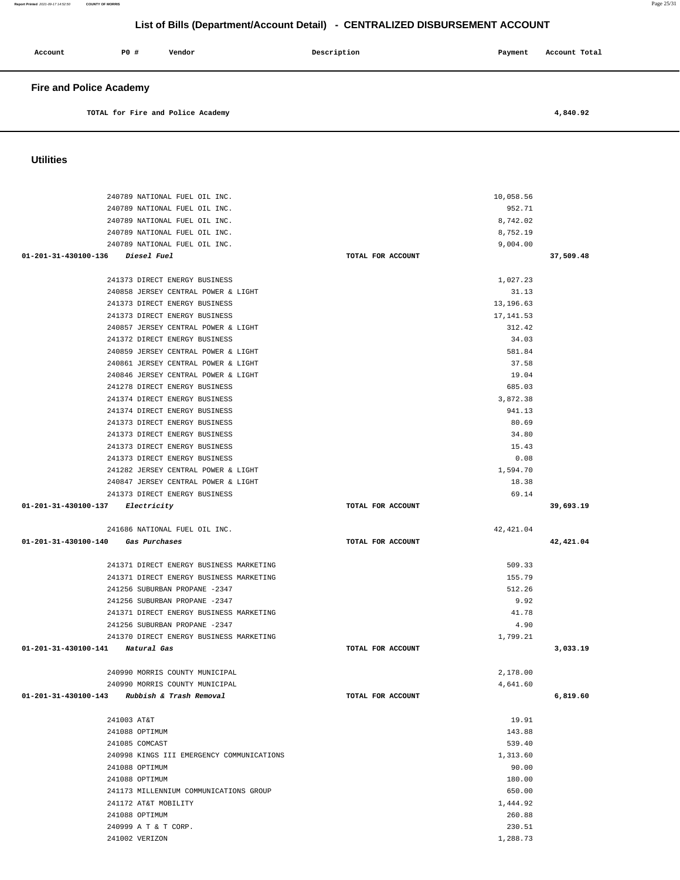| UUIIUES                                                              |                   |                 |           |
|----------------------------------------------------------------------|-------------------|-----------------|-----------|
|                                                                      |                   |                 |           |
| 240789 NATIONAL FUEL OIL INC.                                        |                   | 10,058.56       |           |
| 240789 NATIONAL FUEL OIL INC.                                        |                   | 952.71          |           |
| 240789 NATIONAL FUEL OIL INC.                                        |                   | 8,742.02        |           |
| 240789 NATIONAL FUEL OIL INC.                                        |                   | 8,752.19        |           |
| 240789 NATIONAL FUEL OIL INC.                                        |                   | 9,004.00        |           |
| 01-201-31-430100-136 Diesel Fuel                                     | TOTAL FOR ACCOUNT |                 | 37,509.48 |
|                                                                      |                   |                 |           |
| 241373 DIRECT ENERGY BUSINESS                                        |                   | 1,027.23        |           |
| 240858 JERSEY CENTRAL POWER & LIGHT                                  |                   | 31.13           |           |
| 241373 DIRECT ENERGY BUSINESS                                        |                   | 13, 196.63      |           |
| 241373 DIRECT ENERGY BUSINESS                                        |                   | 17, 141.53      |           |
| 240857 JERSEY CENTRAL POWER & LIGHT                                  |                   | 312.42          |           |
| 241372 DIRECT ENERGY BUSINESS                                        |                   | 34.03           |           |
| 240859 JERSEY CENTRAL POWER & LIGHT                                  |                   | 581.84          |           |
| 240861 JERSEY CENTRAL POWER & LIGHT                                  |                   | 37.58           |           |
| 240846 JERSEY CENTRAL POWER & LIGHT                                  |                   | 19.04           |           |
| 241278 DIRECT ENERGY BUSINESS                                        |                   | 685.03          |           |
| 241374 DIRECT ENERGY BUSINESS                                        |                   | 3.872.38        |           |
| 241374 DIRECT ENERGY BUSINESS                                        |                   | 941.13          |           |
| 241373 DIRECT ENERGY BUSINESS                                        |                   | 80.69           |           |
| 241373 DIRECT ENERGY BUSINESS                                        |                   | 34.80           |           |
| 241373 DIRECT ENERGY BUSINESS                                        |                   | 15.43           |           |
| 241373 DIRECT ENERGY BUSINESS                                        |                   | 0.08            |           |
| 241282 JERSEY CENTRAL POWER & LIGHT                                  |                   | 1,594.70        |           |
| 240847 JERSEY CENTRAL POWER & LIGHT<br>241373 DIRECT ENERGY BUSINESS |                   | 18.38<br>69.14  |           |
|                                                                      |                   |                 |           |
|                                                                      |                   |                 |           |
| 01-201-31-430100-137 Electricity                                     | TOTAL FOR ACCOUNT |                 | 39,693.19 |
|                                                                      |                   |                 |           |
| 241686 NATIONAL FUEL OIL INC.<br>01-201-31-430100-140 Gas Purchases  | TOTAL FOR ACCOUNT | 42, 421.04      | 42,421.04 |
|                                                                      |                   |                 |           |
| 241371 DIRECT ENERGY BUSINESS MARKETING                              |                   | 509.33          |           |
| 241371 DIRECT ENERGY BUSINESS MARKETING                              |                   | 155.79          |           |
| 241256 SUBURBAN PROPANE -2347                                        |                   | 512.26          |           |
| 241256 SUBURBAN PROPANE -2347                                        |                   | 9.92            |           |
| 241371 DIRECT ENERGY BUSINESS MARKETING                              |                   | 41.78           |           |
| 241256 SUBURBAN PROPANE -2347                                        |                   | 4.90            |           |
| 241370 DIRECT ENERGY BUSINESS MARKETING                              |                   | 1,799.21        |           |
| 01-201-31-430100-141 Natural Gas                                     | TOTAL FOR ACCOUNT |                 | 3,033.19  |
|                                                                      |                   |                 |           |
| 240990 MORRIS COUNTY MUNICIPAL                                       |                   | 2,178.00        |           |
| 240990 MORRIS COUNTY MUNICIPAL                                       |                   | 4,641.60        |           |
| 01-201-31-430100-143 Rubbish & Trash Removal                         | TOTAL FOR ACCOUNT |                 | 6,819.60  |
|                                                                      |                   |                 |           |
| 241003 AT&T                                                          |                   | 19.91<br>143.88 |           |
| 241088 OPTIMUM<br>241085 COMCAST                                     |                   | 539.40          |           |
| 240998 KINGS III EMERGENCY COMMUNICATIONS                            |                   | 1,313.60        |           |
| 241088 OPTIMUM                                                       |                   | 90.00           |           |
| 241088 OPTIMUM                                                       |                   | 180.00          |           |
| 241173 MILLENNIUM COMMUNICATIONS GROUP                               |                   | 650.00          |           |
| 241172 AT&T MOBILITY                                                 |                   | 1,444.92        |           |
| 241088 OPTIMUM                                                       |                   | 260.88          |           |
| 240999 A T & T CORP.                                                 |                   | 230.51          |           |

## **Utilities**

| Account                        | <b>PO #</b> | Vendor                            | Description | Payment | Account Total |  |
|--------------------------------|-------------|-----------------------------------|-------------|---------|---------------|--|
| <b>Fire and Police Academy</b> |             |                                   |             |         |               |  |
|                                |             | TOTAL for Fire and Police Academy |             |         | 4,840.92      |  |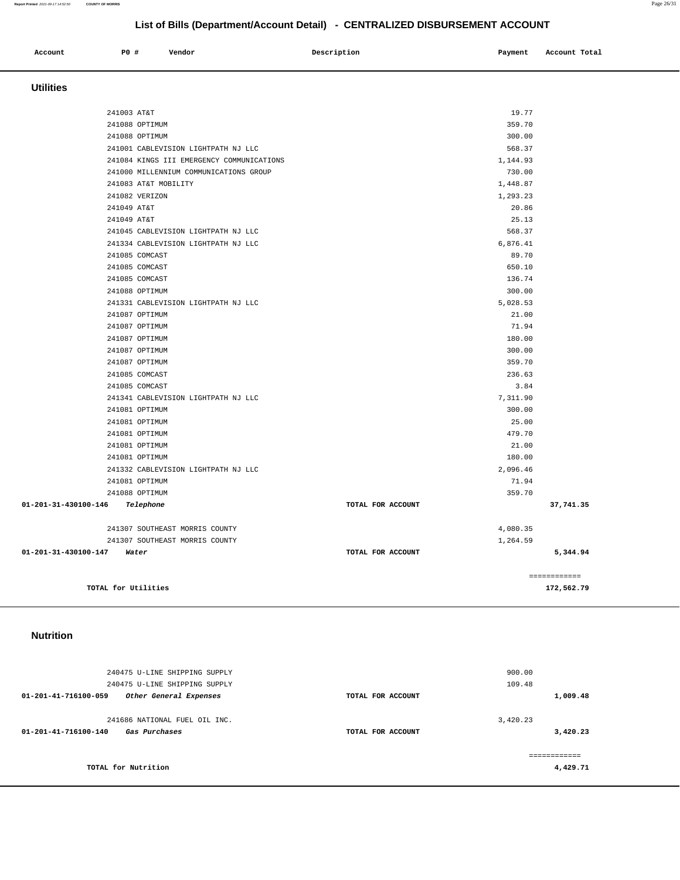#### 240475 U-LINE SHIPPING SUPPLY 240475 U-LINE SHIPPING SUPPLY **01-201-41-716100-059 Other General Expenses TOTAL FOR ACCOUNT**  900.00 109.48 **1,009.48** 241686 NATIONAL FUEL OIL INC. **01-201-41-716100-140 Gas Purchases TOTAL FOR ACCOUNT**  3,420.23 **3,420.23 TOTAL for Nutrition**  ============ **4,429.71**

#### **Nutrition**

| <b>Utilities</b>                          |                   |                            |
|-------------------------------------------|-------------------|----------------------------|
| 241003 AT&T                               | 19.77             |                            |
| 241088 OPTIMUM                            | 359.70            |                            |
| 241088 OPTIMUM                            | 300.00            |                            |
| 241001 CABLEVISION LIGHTPATH NJ LLC       | 568.37            |                            |
| 241084 KINGS III EMERGENCY COMMUNICATIONS | 1,144.93          |                            |
| 241000 MILLENNIUM COMMUNICATIONS GROUP    | 730.00            |                            |
| 241083 AT&T MOBILITY                      | 1,448.87          |                            |
| 241082 VERIZON                            | 1,293.23          |                            |
| 241049 AT&T                               | 20.86             |                            |
| 241049 AT&T                               | 25.13             |                            |
| 241045 CABLEVISION LIGHTPATH NJ LLC       | 568.37            |                            |
| 241334 CABLEVISION LIGHTPATH NJ LLC       | 6,876.41          |                            |
| 241085 COMCAST                            | 89.70             |                            |
| 241085 COMCAST                            | 650.10            |                            |
| 241085 COMCAST                            | 136.74            |                            |
| 241088 OPTIMUM                            | 300.00            |                            |
| 241331 CABLEVISION LIGHTPATH NJ LLC       | 5,028.53          |                            |
| 241087 OPTIMUM                            | 21.00             |                            |
| 241087 OPTIMUM                            | 71.94             |                            |
| 241087 OPTIMUM                            | 180.00            |                            |
| 241087 OPTIMUM                            | 300.00            |                            |
| 241087 OPTIMUM                            | 359.70            |                            |
| 241085 COMCAST                            | 236.63            |                            |
| 241085 COMCAST                            | 3.84              |                            |
| 241341 CABLEVISION LIGHTPATH NJ LLC       | 7,311.90          |                            |
| 241081 OPTIMUM                            | 300.00            |                            |
| 241081 OPTIMUM                            | 25.00             |                            |
| 241081 OPTIMUM                            | 479.70            |                            |
| 241081 OPTIMUM                            | 21.00             |                            |
| 241081 OPTIMUM                            | 180.00            |                            |
| 241332 CABLEVISION LIGHTPATH NJ LLC       | 2,096.46          |                            |
| 241081 OPTIMUM                            | 71.94             |                            |
| 241088 OPTIMUM                            | 359.70            |                            |
| 01-201-31-430100-146<br>Telephone         | TOTAL FOR ACCOUNT | 37,741.35                  |
| 241307 SOUTHEAST MORRIS COUNTY            | 4,080.35          |                            |
| 241307 SOUTHEAST MORRIS COUNTY            | 1,264.59          |                            |
| 01-201-31-430100-147<br>Water             | TOTAL FOR ACCOUNT | 5,344.94                   |
| TOTAL for Utilities                       |                   | ------------<br>172,562.79 |

# **List of Bills (Department/Account Detail) - CENTRALIZED DISBURSEMENT ACCOUNT**

 **Account** 20 **P P**  $\uparrow$  **Payment** Payment Account Total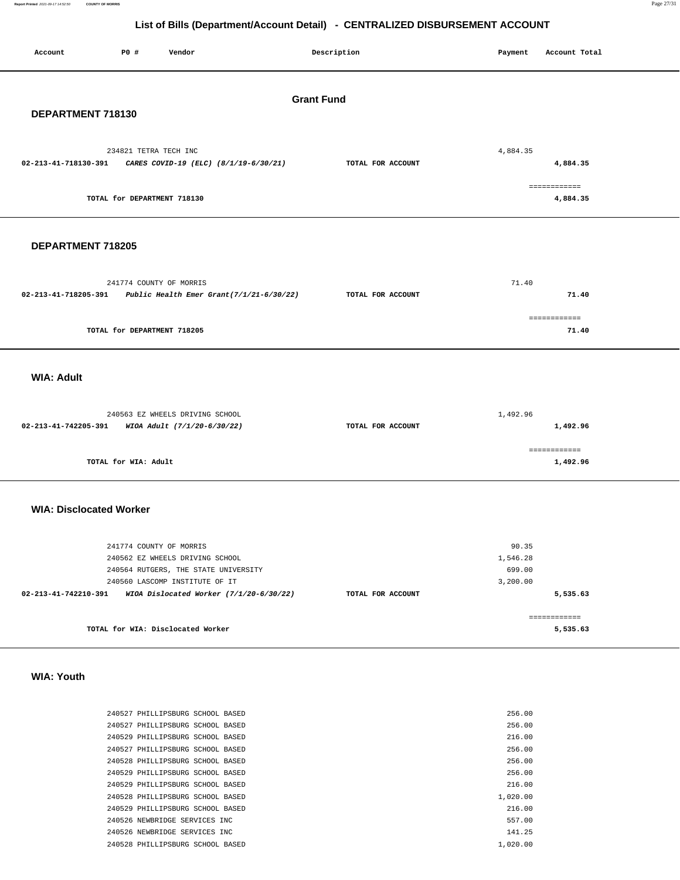**Report Printed** 2021-09-17 14:52:50 **COUNTY OF MORRIS** Page 27/31

## **List of Bills (Department/Account Detail) - CENTRALIZED DISBURSEMENT ACCOUNT**

| Account                        | P0 #                                   | Vendor                                                                                                                               |                                             | Description       | Payment                                 | Account Total                        |  |
|--------------------------------|----------------------------------------|--------------------------------------------------------------------------------------------------------------------------------------|---------------------------------------------|-------------------|-----------------------------------------|--------------------------------------|--|
|                                | <b>Grant Fund</b><br>DEPARTMENT 718130 |                                                                                                                                      |                                             |                   |                                         |                                      |  |
| 02-213-41-718130-391           | 234821 TETRA TECH INC                  | CARES COVID-19 (ELC) (8/1/19-6/30/21)                                                                                                |                                             | TOTAL FOR ACCOUNT | 4,884.35                                | 4,884.35<br>============             |  |
|                                | TOTAL for DEPARTMENT 718130            |                                                                                                                                      |                                             |                   |                                         | 4,884.35                             |  |
| DEPARTMENT 718205              |                                        |                                                                                                                                      |                                             |                   |                                         |                                      |  |
| 02-213-41-718205-391           |                                        | 241774 COUNTY OF MORRIS                                                                                                              | Public Health Emer Grant $(7/1/21-6/30/22)$ | TOTAL FOR ACCOUNT | 71.40                                   | 71.40                                |  |
|                                | TOTAL for DEPARTMENT 718205            |                                                                                                                                      |                                             |                   |                                         | ------------<br>71.40                |  |
| <b>WIA: Adult</b>              |                                        |                                                                                                                                      |                                             |                   |                                         |                                      |  |
| 02-213-41-742205-391           |                                        | 240563 EZ WHEELS DRIVING SCHOOL<br>WIOA Adult (7/1/20-6/30/22)                                                                       |                                             | TOTAL FOR ACCOUNT | 1,492.96                                | 1,492.96                             |  |
|                                | TOTAL for WIA: Adult                   |                                                                                                                                      |                                             |                   |                                         | ------------<br>1,492.96             |  |
| <b>WIA: Disclocated Worker</b> |                                        |                                                                                                                                      |                                             |                   |                                         |                                      |  |
|                                |                                        | 241774 COUNTY OF MORRIS<br>240562 EZ WHEELS DRIVING SCHOOL<br>240564 RUTGERS, THE STATE UNIVERSITY<br>240560 LASCOMP INSTITUTE OF IT |                                             |                   | 90.35<br>1,546.28<br>699.00<br>3,200.00 |                                      |  |
| 02-213-41-742210-391           |                                        | TOTAL for WIA: Disclocated Worker                                                                                                    | WIOA Dislocated Worker (7/1/20-6/30/22)     | TOTAL FOR ACCOUNT |                                         | 5,535.63<br>============<br>5,535.63 |  |

 **WIA: Youth** 

|  | 240527 PHILLIPSBURG SCHOOL BASED |  |  | 256.00   |
|--|----------------------------------|--|--|----------|
|  | 240527 PHILLIPSBURG SCHOOL BASED |  |  | 256.00   |
|  | 240529 PHILLIPSBURG SCHOOL BASED |  |  | 216.00   |
|  | 240527 PHILLIPSBURG SCHOOL BASED |  |  | 256.00   |
|  | 240528 PHILLIPSBURG SCHOOL BASED |  |  | 256.00   |
|  | 240529 PHILLIPSBURG SCHOOL BASED |  |  | 256.00   |
|  | 240529 PHILLIPSBURG SCHOOL BASED |  |  | 216.00   |
|  | 240528 PHILLIPSBURG SCHOOL BASED |  |  | 1,020.00 |
|  | 240529 PHILLIPSBURG SCHOOL BASED |  |  | 216.00   |
|  | 240526 NEWBRIDGE SERVICES INC.   |  |  | 557.00   |
|  | 240526 NEWBRIDGE SERVICES INC    |  |  | 141.25   |
|  | 240528 PHILLIPSBURG SCHOOL BASED |  |  | 1,020,00 |
|  |                                  |  |  |          |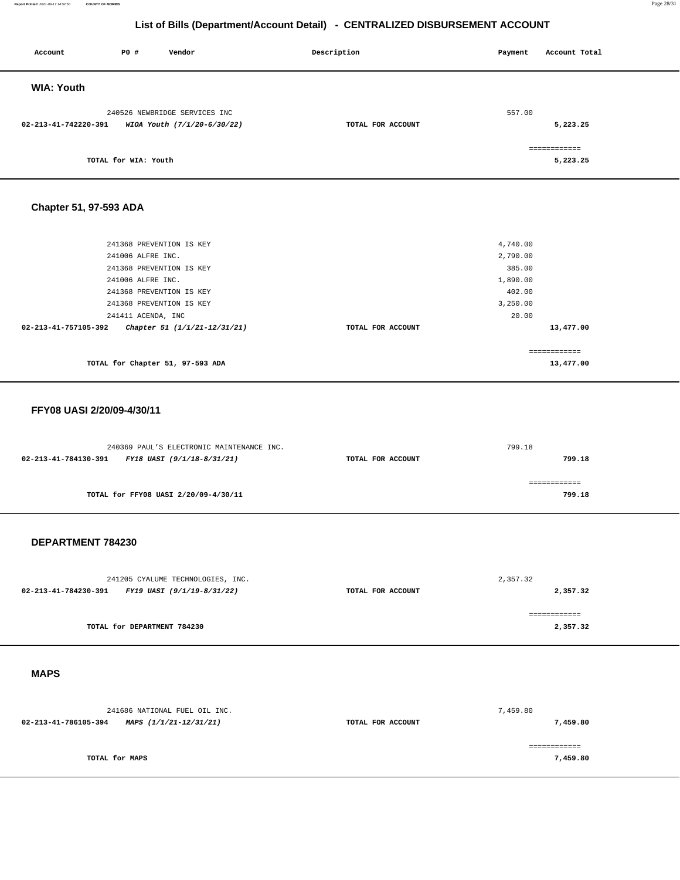#### **Report Printed** 2021-09-17 14:52:50 **COUNTY OF MORRIS** Page 28/31

## **List of Bills (Department/Account Detail) - CENTRALIZED DISBURSEMENT ACCOUNT**

| Account              | P0 #                 | Vendor                        | Description       | Payment | Account Total |
|----------------------|----------------------|-------------------------------|-------------------|---------|---------------|
| <b>WIA: Youth</b>    |                      |                               |                   |         |               |
|                      |                      | 240526 NEWBRIDGE SERVICES INC |                   | 557.00  |               |
| 02-213-41-742220-391 |                      | WIOA Youth (7/1/20-6/30/22)   | TOTAL FOR ACCOUNT |         | 5,223.25      |
|                      |                      |                               |                   |         | ============  |
|                      | TOTAL for WIA: Youth |                               |                   |         | 5,223.25      |

## **Chapter 51, 97-593 ADA**

| 241368 PREVENTION IS KEY                             |                   | 4,740.00    |
|------------------------------------------------------|-------------------|-------------|
| 241006 ALFRE INC.                                    |                   | 2,790.00    |
| 241368 PREVENTION IS KEY                             |                   | 385.00      |
| 241006 ALFRE INC.                                    |                   | 1,890.00    |
| 241368 PREVENTION IS KEY                             |                   | 402.00      |
| 241368 PREVENTION IS KEY                             |                   | 3,250.00    |
| 241411 ACENDA, INC                                   |                   | 20.00       |
| 02-213-41-757105-392<br>Chapter 51 (1/1/21-12/31/21) | TOTAL FOR ACCOUNT | 13,477.00   |
|                                                      |                   |             |
|                                                      |                   | :========== |
| TOTAL for Chapter 51, 97-593 ADA                     |                   | 13,477.00   |

#### **FFY08 UASI 2/20/09-4/30/11**

|                      | 240369 PAUL'S ELECTRONIC MAINTENANCE INC. |                   | 799.18 |
|----------------------|-------------------------------------------|-------------------|--------|
| 02-213-41-784130-391 | FY18 UASI (9/1/18-8/31/21)                | TOTAL FOR ACCOUNT | 799.18 |
|                      |                                           |                   |        |
|                      |                                           |                   |        |
|                      | TOTAL for FFY08 UASI 2/20/09-4/30/11      |                   | 799.18 |
|                      |                                           |                   |        |

#### **DEPARTMENT 784230**

| 241205 CYALUME TECHNOLOGIES, INC.                  |                   | 2,357.32 |
|----------------------------------------------------|-------------------|----------|
| 02-213-41-784230-391<br>FY19 UASI (9/1/19-8/31/22) | TOTAL FOR ACCOUNT | 2,357.32 |
|                                                    |                   |          |
|                                                    |                   |          |
| TOTAL for DEPARTMENT 784230                        |                   | 2,357.32 |
|                                                    |                   |          |

## **MAPS**

| 241686 NATIONAL FUEL OIL INC.                  |                   | 7,459.80 |
|------------------------------------------------|-------------------|----------|
| 02-213-41-786105-394<br>MAPS (1/1/21-12/31/21) | TOTAL FOR ACCOUNT | 7,459.80 |
|                                                |                   |          |
|                                                |                   |          |
| TOTAL for MAPS                                 |                   | 7,459.80 |
|                                                |                   |          |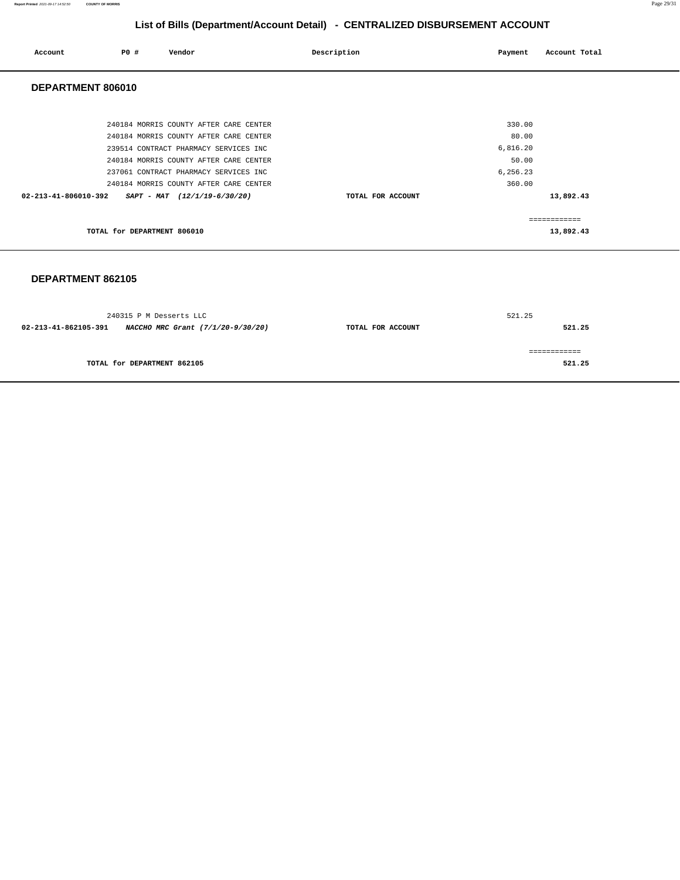| Account              | P0 #                        | Vendor                                 | Description |                   | Payment  | Account Total |
|----------------------|-----------------------------|----------------------------------------|-------------|-------------------|----------|---------------|
| DEPARTMENT 806010    |                             |                                        |             |                   |          |               |
|                      |                             |                                        |             |                   |          |               |
|                      |                             | 240184 MORRIS COUNTY AFTER CARE CENTER |             |                   | 330.00   |               |
|                      |                             | 240184 MORRIS COUNTY AFTER CARE CENTER |             |                   | 80.00    |               |
|                      |                             | 239514 CONTRACT PHARMACY SERVICES INC  |             |                   | 6,816.20 |               |
|                      |                             | 240184 MORRIS COUNTY AFTER CARE CENTER |             |                   | 50.00    |               |
|                      |                             | 237061 CONTRACT PHARMACY SERVICES INC  |             |                   | 6,256.23 |               |
|                      |                             | 240184 MORRIS COUNTY AFTER CARE CENTER |             |                   | 360.00   |               |
| 02-213-41-806010-392 |                             | $SAPT - MAT$ (12/1/19-6/30/20)         |             | TOTAL FOR ACCOUNT |          | 13,892.43     |
|                      |                             |                                        |             |                   |          | ------------  |
|                      | TOTAL for DEPARTMENT 806010 |                                        |             |                   |          | 13,892.43     |

#### **DEPARTMENT 862105**

| 240315 P M Desserts LLC                                   | 521.25            |        |  |
|-----------------------------------------------------------|-------------------|--------|--|
| 02-213-41-862105-391<br>NACCHO MRC Grant (7/1/20-9/30/20) | TOTAL FOR ACCOUNT | 521.25 |  |
|                                                           |                   |        |  |
| TOTAL for DEPARTMENT 862105                               |                   | 521.25 |  |
|                                                           |                   |        |  |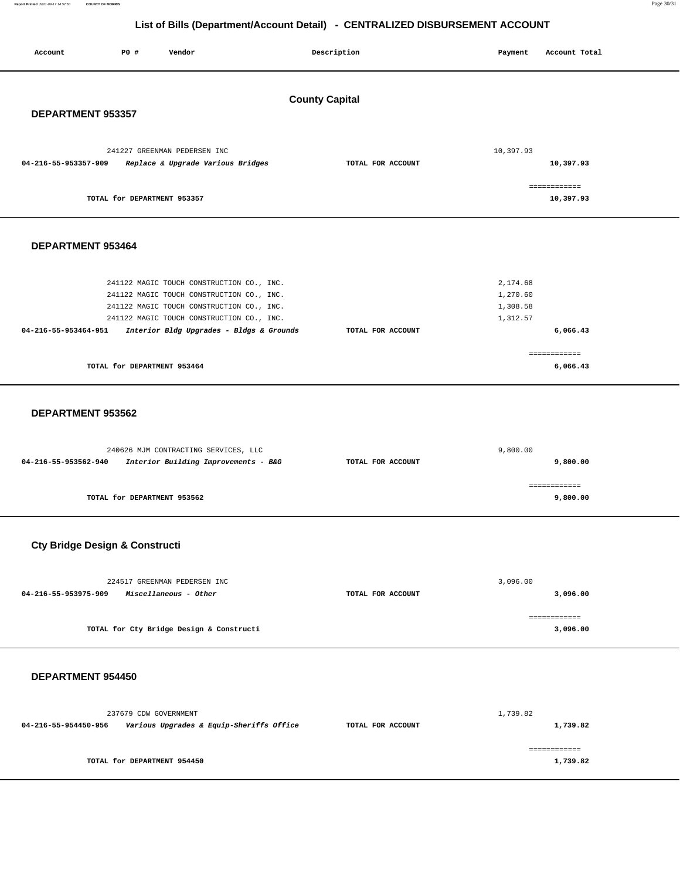**Report Printed** 2021-09-17 14:52:50 **COUNTY OF MORRIS** Page 30/31

# **List of Bills (Department/Account Detail) - CENTRALIZED DISBURSEMENT ACCOUNT**

| Account                        | P0 #                        | Vendor                                                                                                                              |                                          | Description       |  | Payment                          | Account Total             |
|--------------------------------|-----------------------------|-------------------------------------------------------------------------------------------------------------------------------------|------------------------------------------|-------------------|--|----------------------------------|---------------------------|
| <b>County Capital</b>          |                             |                                                                                                                                     |                                          |                   |  |                                  |                           |
| DEPARTMENT 953357              |                             |                                                                                                                                     |                                          |                   |  |                                  |                           |
| 04-216-55-953357-909           |                             | 241227 GREENMAN PEDERSEN INC<br>Replace & Upgrade Various Bridges                                                                   |                                          | TOTAL FOR ACCOUNT |  | 10,397.93                        | 10,397.93                 |
|                                | TOTAL for DEPARTMENT 953357 |                                                                                                                                     |                                          |                   |  |                                  | ============<br>10,397.93 |
| DEPARTMENT 953464              |                             |                                                                                                                                     |                                          |                   |  |                                  |                           |
|                                |                             | 241122 MAGIC TOUCH CONSTRUCTION CO., INC.<br>241122 MAGIC TOUCH CONSTRUCTION CO., INC.<br>241122 MAGIC TOUCH CONSTRUCTION CO., INC. |                                          |                   |  | 2,174.68<br>1,270.60<br>1,308.58 |                           |
| 04-216-55-953464-951           |                             | 241122 MAGIC TOUCH CONSTRUCTION CO., INC.                                                                                           | Interior Bldg Upgrades - Bldgs & Grounds | TOTAL FOR ACCOUNT |  | 1,312.57                         | 6,066.43                  |
|                                | TOTAL for DEPARTMENT 953464 |                                                                                                                                     |                                          |                   |  |                                  | ------------<br>6,066.43  |
| DEPARTMENT 953562              |                             |                                                                                                                                     |                                          |                   |  |                                  |                           |
| 04-216-55-953562-940           |                             | 240626 MJM CONTRACTING SERVICES, LLC<br>Interior Building Improvements - B&G                                                        |                                          | TOTAL FOR ACCOUNT |  | 9,800.00                         | 9,800.00                  |
|                                | TOTAL for DEPARTMENT 953562 |                                                                                                                                     |                                          |                   |  |                                  | ------------<br>9,800.00  |
| Cty Bridge Design & Constructi |                             |                                                                                                                                     |                                          |                   |  |                                  |                           |
| 04-216-55-953975-909           |                             | 224517 GREENMAN PEDERSEN INC<br>Miscellaneous - Other                                                                               |                                          | TOTAL FOR ACCOUNT |  | 3,096.00                         | 3,096.00                  |
|                                |                             | TOTAL for Cty Bridge Design & Constructi                                                                                            |                                          |                   |  |                                  | ============<br>3,096.00  |
| <b>DEPARTMENT 954450</b>       |                             |                                                                                                                                     |                                          |                   |  |                                  |                           |
| 04-216-55-954450-956           | 237679 CDW GOVERNMENT       |                                                                                                                                     | Various Upgrades & Equip-Sheriffs Office | TOTAL FOR ACCOUNT |  | 1,739.82                         | 1,739.82                  |
|                                | TOTAL for DEPARTMENT 954450 |                                                                                                                                     |                                          |                   |  |                                  | ============<br>1,739.82  |